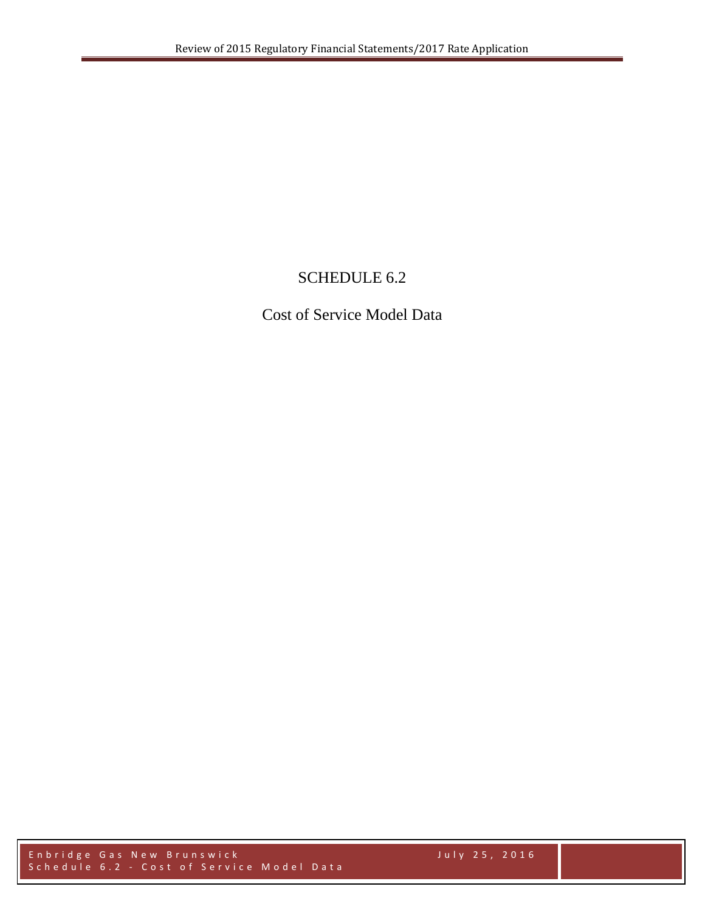# SCHEDULE 6.2

Cost of Service Model Data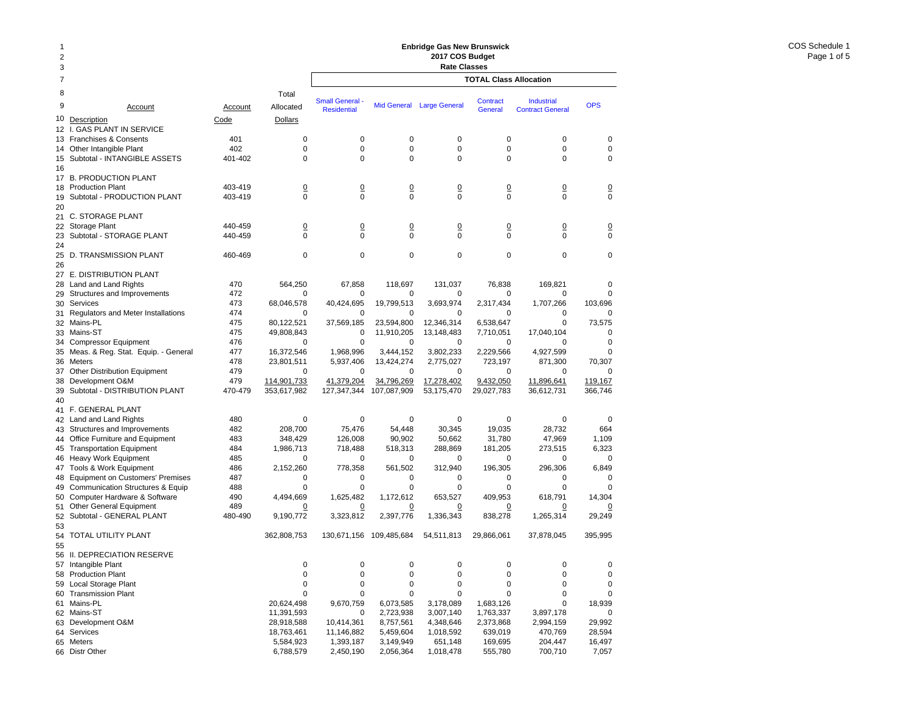### 2378 Total9 Account Account Allocated10 <u>Description</u> and Code Dollars Code Dollars 12 I. GAS PLANT IN SERVICE 13 Franchises & Consents 401 0 14 Other Intangible Plant 402 0 15 Subtotal - INTANGIBLE ASSETS 401-402 0 16 17 B. PRODUCTION PLANT 18 Production Plant 18 and 103-419 18 and 103-419 10 19 Subtotal - PRODUCTION PLANT 403-419 0 2021 C. STORAGE PLANT 22 Storage Plant 120 0 0 0 0 440-459 0 0 0 0 0 0 0  $\frac{0}{0}$ 23 Subtotal - STORAGE PLANT 440-459 0 2425 D. TRANSMISSION PLANT 460-469 0 26 27 E. DISTRIBUTION PLANT 28 Land and Land Rights 470 564,250 29 Structures and Improvements 472 0 30 Services Services 473 68,046,578 31 Regulators and Meter Installations 474 0 32 Mains-PL 475 80,122,521 33 Mains-ST 475 49,808,843 34 Compressor Equipment 476 0 35 Meas. & Reg. Stat. Equip. - General 477 16,372,546 36 Meters Meters 478 23,801,511 37 Other Distribution Equipment 479 0 38 Development O&M 479 479 114,901,733 39 Subtotal - DISTRIBUTION PLANT 470-479 353,617,982 40 41 F. GENERAL PLANT 42 Land and Land Rights 480 0 43 Structures and Improvements 482 208,700 44 Office Furniture and Equipment 483 348,429 45 Transportation Equipment 484 1,986,713 46 Heavy Work Equipment 485 0 47 Tools & Work Equipment 486 2,152,260 48 Equipment on Customers' Premises  $487$  0 49 Communication Structures & Equip 488 0 50 Computer Hardware & Software  $490$  4,494,669 51 Other General Equipment 489 0 52 Subtotal - GENERAL PLANT 480-490 9,190,772 5354 TOTAL UTILITY PLANT 362,808,753 55 56 II. DEPRECIATION RESERVE 57 Intangible Plant 0 58 Production Plant 0 59 Local Storage Plant 0 60 Transmission Plant 0 61 Mains-PL 20,624,498 62 Mains-ST 11,391,593 63 Development O&M 28,918,588 64 Services 18,763,461 65 Meters 5,584,923 **TOTAL Class Allocation2017 COS Budget Rate Classes Industrial** Contract GeneralSmall General - Mid General Large General Contract - Industrial - OPS<br>Residential - Mid General Large General - General - Contract General 0 0 0 0 000 0 0 0 000 0 0 0 000 0 0 0 0 0 0 0 0 0 000 0 0 0 0 0 0 0 0 0 000 0 0 0 0067,858 118,697 131,037 76,838 169,821 0 0 0 0 0 0040,424,695 19,799,513 3,693,974 2,317,434 1,707,266 103,696 0 0 0 0 0037,569,185 23,594,800 12,346,314 6,538,647 0 73,575 0 11,910,205 13,148,483 7,710,051 17,040,104 0 0 0 0 0 001,968,996 3,444,152 3,802,233 2,229,566 4,927,599 0 5,937,406 13,424,274 2,775,027 723,197 871,300 70,307 0 0 0 0 00119.167 41,379,204 34,796,269 17,278,402 9,432,050 11,896,641 127,347,344 107,087,909 53,175,470 29,027,783 36,612,731 366,746 0 0 0 0 0075,476 54,448 30,345 19,035 28,732 664 126,008 90,902 50,662 31,780 47,969 1,109 718,488 518,313 288,869 181,205 273,515 6,323 0 0 0 0 00778,358 561,502 312,940 196,305 296,306 6,849 0 0 0 0 000 0 0 0 001,625,482 1,172,612 653,527 409,953 618,791 14,304 0 0 0 0 0 0 3,323,812 2,397,776 1,336,343 838,278 1,265,314 29,249 130,671,156 109,485,684 54,511,813 29,866,061 37,878,045 395,995 0 0 0 0 00 $\Omega$ 0 0 0 0 000 0 0 0 000 0 0 0 009,670,759 6,073,585 3,178,089 1,683,126 0 18,939 0 2,723,938 3,007,140 1,763,337 3,897,178 0 10,414,361 8,757,561 4,348,646 2,373,868 2,994,159 29,992 11,146,882 5,459,604 1,018,592 639,019 470,769 28,594 1,393,187 3,149,949 651,148 169,695 204,447 16,497 2,450,190 2,056,364 1,018,478 555,780 700,710 7,057

**Enbridge Gas New Brunswick** 

66 Distr Other 6,788,579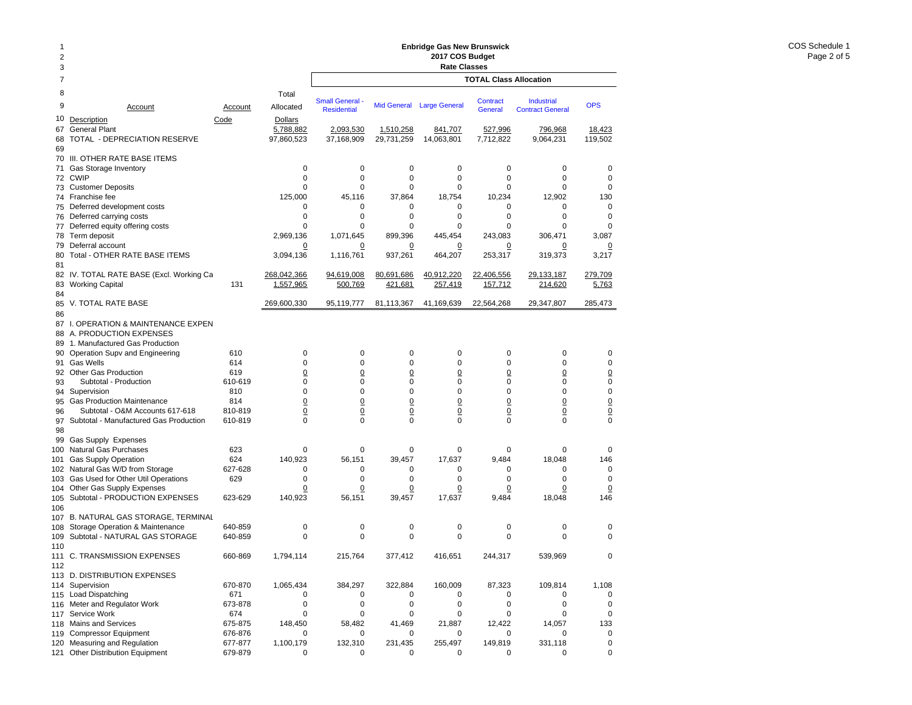## **Enbridge Gas New Brunswick 2017 COS Budget**

| $\overline{2}$ |                                                                      |                    |                            | Enbridge Gas New Brunswick<br>2017 COS Budget |                                   |                                   |                                   |                                    |                    |  |  |  |  |
|----------------|----------------------------------------------------------------------|--------------------|----------------------------|-----------------------------------------------|-----------------------------------|-----------------------------------|-----------------------------------|------------------------------------|--------------------|--|--|--|--|
| 3              |                                                                      |                    |                            |                                               |                                   | <b>Rate Classes</b>               |                                   |                                    |                    |  |  |  |  |
| 7              |                                                                      |                    |                            |                                               |                                   |                                   | <b>TOTAL Class Allocation</b>     |                                    |                    |  |  |  |  |
| 8              |                                                                      |                    | Total                      |                                               |                                   |                                   |                                   |                                    |                    |  |  |  |  |
| 9              | Account                                                              | Account            | Allocated                  | <b>Small General</b>                          | <b>Mid General</b>                | <b>Large General</b>              | <b>Contract</b>                   | <b>Industrial</b>                  | <b>OPS</b>         |  |  |  |  |
| 10             | Description                                                          | Code               | <b>Dollars</b>             | <b>Residential</b>                            |                                   |                                   | <b>General</b>                    | <b>Contract General</b>            |                    |  |  |  |  |
| 67             | <b>General Plant</b>                                                 |                    | 5,788,882                  | 2,093,530                                     | 1,510,258                         | 841,707                           | 527,996                           | 796,968                            | 18,423             |  |  |  |  |
| 68             | TOTAL - DEPRECIATION RESERVE                                         |                    | 97,860,523                 | 37,168,909                                    | 29,731,259                        | 14,063,801                        | 7,712,822                         | 9,064,231                          | 119,502            |  |  |  |  |
| 69             |                                                                      |                    |                            |                                               |                                   |                                   |                                   |                                    |                    |  |  |  |  |
| 70<br>71       | III. OTHER RATE BASE ITEMS<br>Gas Storage Inventory                  |                    | 0                          | 0                                             | $\mathbf 0$                       | $\mathbf 0$                       | 0                                 | 0                                  | 0                  |  |  |  |  |
| 72             | <b>CWIP</b>                                                          |                    | 0                          | 0                                             | 0                                 | 0                                 | $\mathbf 0$                       | 0                                  | $\mathbf 0$        |  |  |  |  |
| 73             | <b>Customer Deposits</b>                                             |                    | 0                          | 0                                             | 0                                 | 0                                 | $\mathbf 0$                       | 0                                  | $\mathbf 0$        |  |  |  |  |
| 74             | Franchise fee<br>Deferred development costs                          |                    | 125,000                    | 45,116                                        | 37,864                            | 18,754<br>0                       | 10.234                            | 12,902<br>0                        | 130<br>$\mathbf 0$ |  |  |  |  |
| 75<br>76       | Deferred carrying costs                                              |                    | 0<br>0                     | 0<br>0                                        | 0<br>$\mathbf 0$                  | $\mathbf 0$                       | 0<br>0                            | $\mathbf 0$                        | $\mathbf 0$        |  |  |  |  |
| 77             | Deferred equity offering costs                                       |                    | 0                          | 0                                             | 0                                 | 0                                 | 0                                 | 0                                  | $\Omega$           |  |  |  |  |
| 78             | Term deposit                                                         |                    | 2,969,136                  | 1,071,645                                     | 899,396                           | 445,454                           | 243,083                           | 306,471                            | 3,087              |  |  |  |  |
| 79             | Deferral account                                                     |                    | 0                          | 0                                             | <u>0</u>                          | 0                                 | 0                                 | 0                                  |                    |  |  |  |  |
| 80<br>81       | Total - OTHER RATE BASE ITEMS                                        |                    | 3,094,136                  | 1,116,761                                     | 937,261                           | 464,207                           | 253,317                           | 319,373                            | 3,217              |  |  |  |  |
|                | 82 IV. TOTAL RATE BASE (Excl. Working Ca                             |                    | 268,042,366                | 94,619,008                                    | 80,691,686                        | 40,912,220                        | 22,406,556                        | 29,133,187                         | 279,709            |  |  |  |  |
| 83             | <b>Working Capital</b>                                               | 131                | 1,557,965                  | 500,769                                       | 421,681                           | 257,419                           | 157,712                           | 214,620                            | 5,763              |  |  |  |  |
| 84             |                                                                      |                    |                            |                                               |                                   |                                   |                                   |                                    | 285,473            |  |  |  |  |
| 85<br>86       | V. TOTAL RATE BASE                                                   |                    | 269,600,330                | 95,119,777                                    | 81,113,367                        | 41,169,639                        | 22,564,268                        | 29,347,807                         |                    |  |  |  |  |
| 87             | I. OPERATION & MAINTENANCE EXPEN                                     |                    |                            |                                               |                                   |                                   |                                   |                                    |                    |  |  |  |  |
| 88             | A. PRODUCTION EXPENSES                                               |                    |                            |                                               |                                   |                                   |                                   |                                    |                    |  |  |  |  |
| 89             | 1. Manufactured Gas Production                                       |                    |                            |                                               |                                   |                                   |                                   |                                    |                    |  |  |  |  |
| 90<br>91       | Operation Supv and Engineering<br><b>Gas Wells</b>                   | 610<br>614         | 0<br>0                     | 0<br>0                                        | $\mathbf 0$<br>0                  | 0<br>0                            | 0<br>0                            | 0<br>0                             | 0<br>$\mathbf 0$   |  |  |  |  |
|                | 92 Other Gas Production                                              | 619                | $\overline{0}$             | $\overline{0}$                                | $\underline{0}$                   | 0                                 | $\overline{0}$                    | $\underline{0}$                    | $\underline{0}$    |  |  |  |  |
| 93             | Subtotal - Production                                                | 610-619            | 0                          | 0                                             | 0                                 | 0                                 | 0                                 | 0                                  | $\pmb{0}$          |  |  |  |  |
| 94             | Supervision                                                          | 810                | 0                          | 0                                             | $\mathbf 0$                       | 0                                 | 0                                 | 0                                  | $\pmb{0}$          |  |  |  |  |
| 95<br>96       | <b>Gas Production Maintenance</b><br>Subtotal - O&M Accounts 617-618 | 814<br>810-819     | $\overline{0}$<br><u>0</u> | $\overline{0}$<br>$\overline{0}$              | $\underline{0}$<br>$\overline{0}$ | $\underline{0}$<br>$\overline{0}$ | $\overline{0}$<br>$\underline{0}$ | $\underline{0}$<br>$\underline{0}$ | $\frac{0}{0}$      |  |  |  |  |
| 97             | Subtotal - Manufactured Gas Production                               | 610-819            | 0                          | 0                                             | $\mathbf 0$                       | 0                                 | $\mathbf 0$                       | $\mathbf 0$                        | $\mathbf 0$        |  |  |  |  |
| 98             |                                                                      |                    |                            |                                               |                                   |                                   |                                   |                                    |                    |  |  |  |  |
| 99             | Gas Supply Expenses                                                  |                    |                            |                                               |                                   |                                   |                                   |                                    |                    |  |  |  |  |
| 100<br>101     | Natural Gas Purchases<br><b>Gas Supply Operation</b>                 | 623<br>624         | 0<br>140,923               | 0<br>56,151                                   | 0<br>39,457                       | 0<br>17,637                       | 0<br>9,484                        | 0<br>18,048                        | 0<br>146           |  |  |  |  |
| 102            | Natural Gas W/D from Storage                                         | 627-628            | 0                          | 0                                             | 0                                 | 0                                 | 0                                 | 0                                  | $\mathbf 0$        |  |  |  |  |
| 103            | Gas Used for Other Util Operations                                   | 629                | 0                          | 0                                             | 0                                 | 0                                 | 0                                 | 0                                  | 0                  |  |  |  |  |
| 104            | Other Gas Supply Expenses                                            |                    | <u>0</u>                   | $\overline{0}$                                | <u>0</u>                          | 0                                 | $\overline{0}$                    | $\overline{0}$                     | $\overline{0}$     |  |  |  |  |
| 105<br>106     | Subtotal - PRODUCTION EXPENSES                                       | 623-629            | 140,923                    | 56,151                                        | 39,457                            | 17,637                            | 9,484                             | 18.048                             | 146                |  |  |  |  |
| 107            | <b>B. NATURAL GAS STORAGE. TERMINAL</b>                              |                    |                            |                                               |                                   |                                   |                                   |                                    |                    |  |  |  |  |
| 108            | Storage Operation & Maintenance                                      | 640-859            | 0                          | 0                                             | 0                                 | 0                                 | 0                                 | 0                                  | 0                  |  |  |  |  |
| 109            | Subtotal - NATURAL GAS STORAGE                                       | 640-859            | $\Omega$                   | 0                                             | $\Omega$                          | $\mathbf 0$                       | $\mathbf 0$                       | 0                                  | 0                  |  |  |  |  |
| 110            | 111 C. TRANSMISSION EXPENSES                                         | 660-869            | 1,794,114                  | 215,764                                       | 377,412                           | 416,651                           | 244,317                           | 539,969                            | 0                  |  |  |  |  |
| 112            |                                                                      |                    |                            |                                               |                                   |                                   |                                   |                                    |                    |  |  |  |  |
|                | 113 D. DISTRIBUTION EXPENSES<br>114 Supervision                      | 670-870            | 1,065,434                  | 384,297                                       | 322,884                           | 160,009                           | 87,323                            | 109,814                            | 1,108              |  |  |  |  |
| 115            | Load Dispatching                                                     | 671                | 0                          | 0                                             | 0                                 | 0                                 | 0                                 | 0                                  | $\mathbf 0$        |  |  |  |  |
| 116            | Meter and Regulator Work                                             | 673-878            | 0                          | 0                                             | $\mathbf 0$                       | $\mathbf 0$                       | 0                                 | 0                                  | $\mathbf 0$        |  |  |  |  |
| 117            | Service Work                                                         | 674                | 0                          | 0                                             | $\mathbf 0$                       | 0                                 | 0                                 | $\mathbf 0$                        | $\mathbf 0$        |  |  |  |  |
| 118<br>119     | Mains and Services<br><b>Compressor Equipment</b>                    | 675-875<br>676-876 | 148,450<br>0               | 58,482<br>0                                   | 41,469<br>0                       | 21,887<br>0                       | 12,422<br>0                       | 14,057<br>0                        | 133<br>$\mathbf 0$ |  |  |  |  |
| 120            | Measuring and Regulation                                             | 677-877            | 1,100,179                  | 132,310                                       | 231,435                           | 255,497                           | 149,819                           | 331,118                            | $\mathbf 0$        |  |  |  |  |
| 121            | <b>Other Distribution Equipment</b>                                  | 679-879            | 0                          | 0                                             | 0                                 | 0                                 | 0                                 | 0                                  | $\mathbf 0$        |  |  |  |  |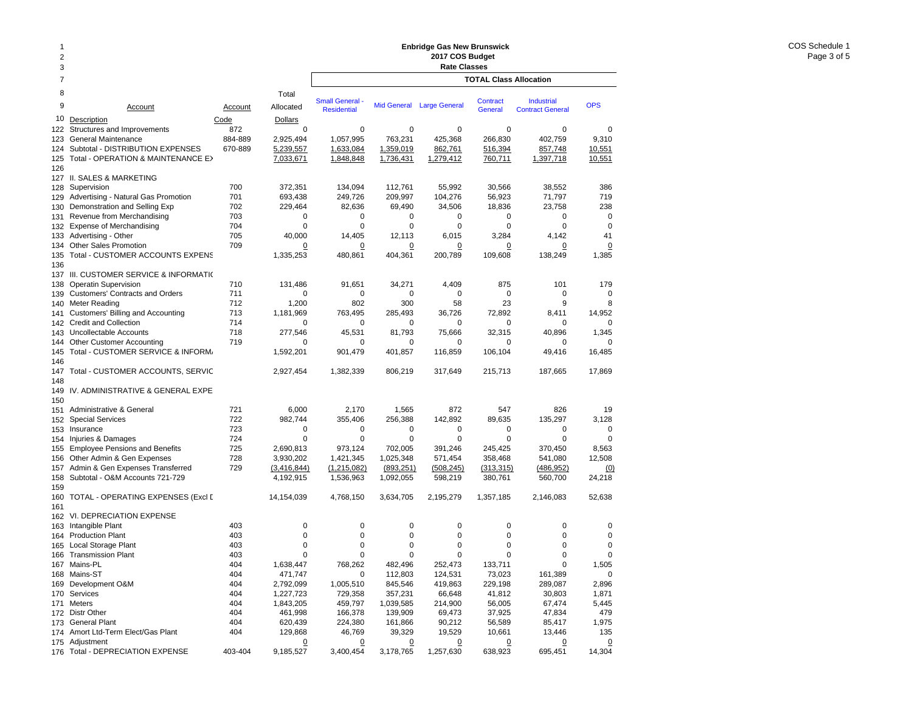### Total Account Account AllocatedDescription Code Dollars Structures and Improvements 672 General Maintenance 884-889 2,925,494 124 Subtotal - DISTRIBUTION EXPENSES 670-889 5,239,557 125 Total - OPERATION & MAINTENANCE EX 7,033,671 127 II. SALES & MARKETING 128 Supervision 2700 372,351 129 Advertising - Natural Gas Promotion 701 693,438 130 Demonstration and Selling Exp  $702$  229,464 131 Revenue from Merchandising 703 0 132 Expense of Merchandising 704 0 133 Advertising - Other 705 40,000 134 Other Sales Promotion 709 0 135 Total - CUSTOMER ACCOUNTS EXPENS 1,335,253 137 III. CUSTOMER SERVICE & INFORMATIO 138 Operatin Supervision 138 Operatin Supervision 131,486 139 Customers' Contracts and Orders 711 0 140 Meter Reading 712 1,200 141 Customers' Billing and Accounting **713** 1,181,969 142 Credit and Collection 714 0 143 Uncollectable Accounts 718 277,546 144 Other Customer Accounting 719 0 145 Total - CUSTOMER SERVICE & INFORM. 1,592,201 Total - CUSTOMER ACCOUNTS, SERVIC 2.927.454 149 IV. ADMINISTRATIVE & GENERAL EXPE 151 Administrative & General 151 721 6,000 152 Special Services 722 982,744 153 Insurance 723 0 154 Injuries & Damages 724 0 155 Employee Pensions and Benefits 725 2,690,813 156 Other Admin & Gen Expenses 728 3,930,202 Admin & Gen Expenses Transferred 729 (3.416.844) 158 Subtotal - O&M Accounts 721-729 4,192,915 160 TOTAL - OPERATING EXPENSES (Excl D 14,154,039 162 VI. DEPRECIATION EXPENSE 163 Intangible Plant 403 0 164 Production Plant 403 0 165 Local Storage Plant 165 2003 165 2004 165 2004 165 2004 165 2004 165 2005 166 2004 167 2005 168 2007 168 20 166 Transmission Plant 403 0 167 Mains-PL 404 1,638,447 168 Mains-ST 404 471,747 169 Development O&M 404 2,792,099 170 Services 404 1,227,723 171 Meters 404 1,843,205 172 Distr Other 404 461,998 173 General Plant **173 General Plant** 173 General Plant **TOTAL Class AllocationEnbridge Gas New Brunswick 2017 COS Budget Rate Classes Industrial** Contract GeneralSmall General - Mid General Large General Contract Industrial OPS<br>Residential - Mid General Large General General Contract General 0 0 0 0 009.310 1,057,995 763,231 425,368 266,830 402,759 9,310 1,633,084 1,359,019 862,761 516,394 857,748 10,551 1,848,848 1,736,431 1,279,412 760,711 1,397,718 10,551 134,094 112,761 55,992 30,566 38,552 386 249,726 209,997 104,276 56,923 71,797 719 82,636 69,490 34,506 18,836 23,758 238 0 0 0 0 000 0 0 0 00 $41$ 14,405 12,113 6,015 3,284 4,142 41 0 $\overline{0}$  0 0 0 0 480,861 404,361 200,789 109,608 138,249 1,385 91,651 34,271 4,409 875 101 179 0 0 0 0 00802 300 58 23 9 8763,495 285,493 36,726 72,892 8,411 14,952 0 0 0 0 001.345 45,531 81,793 75,666 32,315 40,896 1,345 0 0 0 0 00901,479 401,857 116,859 106,104 49,416 16,485 1,382,339 806,219 317,649 215,713 187,665 17,869 2,170 1,565 872 547 826 19 355,406 256,388 142,892 89,635 135,297 3,128 0 0 0 0 000 0 0 0 00973,124 702,005 391,246 245,425 370,450 8,563 1,421,345 1,025,348 571,454 358,468 541,080 12,508 (1,215,082) (893,251) (508,245) (313,315) (486,952) (0) 1,536,963 1,092,055 598,219 380,761 560,700 24,218 4,768,150 3,634,705 2,195,279 1,357,185 2,146,083 52,638 0 0 0 0 000 0 0 0 000 0 0 0 000 0 0 0 00768,262 482,496 252,473 133,711 0 1,505 0 112,803 124,531 73,023 161,389 0 1,005,510 845,546 419,863 229,198 289,087 2,896 729,358 357,231 66,648 41,812 30,803 1,871 459,797 1,039,585 214,900 56,005 67,474 5,445 166,378 139,909 69,473 37,925 47,834 479 224,380 161,866 90,212 56,589 85,417 1,975

 $\Omega$ 

 $\overline{0}$ 

46,769 39,329 19,529 10,661 13,446 135

3,400,454 3,178,765 1,257,630 638,923 695,451 14,304

0 0 0 0

9

10

122

123

126

136

146147

148

150

157

159

161

174 Amort Ltd-Term Elect/Gas Plant 404 129,868 175 Adjustment 2018 2019 12:00:00 00:00 00:00 00:00 00:00 00:00 00:00 00:00 00:00 00:00 00:00 00:00 00:00 00:0 176 Total - DEPRECIATION EXPENSE 403-404 9,185,527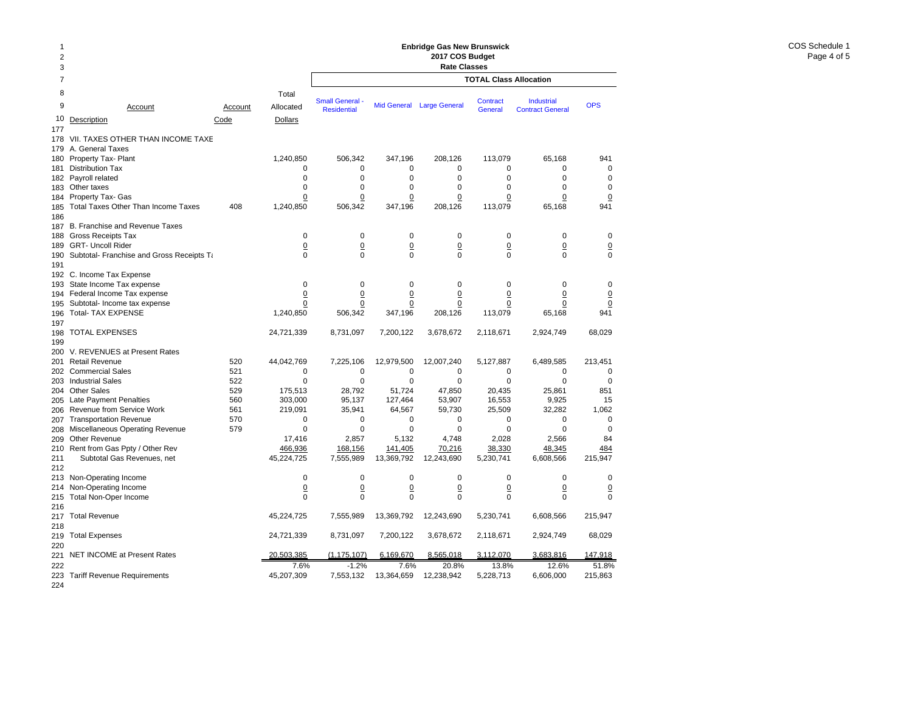### 2378 Total9 Accountt Account Allocated 10Description Code Dollars 177178 VII. TAXES OTHER THAN INCOME TAXE 179 A. General Taxes 180 Property Tax- Plant 1,240,850 181 Distribution Tax 0 182 Payroll related 0 183Other taxes 0 184 Property Tax- Gas <u>0</u> 185 Total Taxes Other Than Income Taxes 408 1,240,850 186 187 B. Franchise and Revenue Taxes 188 Gross Receipts Tax 0 189 GRT- Uncoll Rider 0 190 Subtotal- Franchise and Gross Receipts Tandoversity of the CO 191 192 C. Income Tax Expense 193 State Income Tax expense 0 194 Federal Income Tax expense 0 195 Subtotal- Income tax expense 00 196 Total- TAX EXPENSE 1,240,850 197 198 TOTAL EXPENSES 24,721,339 199 200 V. REVENUES at Present Rates 201 Retail Revenue 520 44,042,769 202 Commercial Sales 521 0 203 Industrial Sales 522 0 204 Other Sales 529 175,513 205 Late Payment Penalties 660 560 303,000 206 Revenue from Service Work  $561$  219,091 207 Transportation Revenue 570 0 208 Miscellaneous Operating Revenue 579 by the settlement of the settlement of the settlement of the settlemen 209 Other Revenue 17,416 210 Rent from Gas Ppty / Other Rev 466,936 211 Subtotal Gas Revenues, net 45,224,725 212213 Non-Operating Income 0 214 Non-Operating Income <u>0</u> 215 Total Non-Oper Income 0 216 217 Total Revenue 45,224,725 218219 Total Expenses 24,721,339 220221 NET INCOME at Present Rates 20,503,385 222 7.6%223 Tariff Revenue Requirements 45,207,309 **TOTAL Class Allocation2017 COS Budget Rate Classes** Industrial Contract GeneralSmall General - Mid General Large General Contract Industrial OPS<br>Residential - Mid General Large General General Contract General 506,342 347,196 208,126 113,079 65,168 941 0 0 0 0 000 0 0 0 00 $\mathbf 0$ 0 0 0 0 000 0 0 0 0 0 506,342 347,196 208,126 113,079 65,168 941 0 0 0 0 000 0 0 0 0 0 0 0 0 0 000 0 0 0 000 0 0 0 0 0  $\Omega$  0 0 0 0 0 506,342 347,196 208,126 113,079 65,168 941 8,731,097 7,200,122 3,678,672 2,118,671 2,924,749 68,029 7,225,106 12,979,500 12,007,240 5,127,887 6,489,585 213,451 0 0 0 0 00 $\Omega$ 0 0 0 0 0028,792 51,724 47,850 20,435 25,861 851 95,137 127,464 53,907 16,553 9,925 15 35,941 64,567 59,730 25,509 32,282 1,062 0 0 0 0 000 0 0 0 002,857 5,132 4,748 2,028 2,566 84 168,156 141,405 70,216 38,330 48,345 484 7,555,989 13,369,792 12,243,690 5,230,741 6,608,566 215,947 0 0 0 0 00 $\Omega$  0 0 0 0 0 0 0 0 0 000 7,555,989 13,369,792 12,243,690 5,230,741 6,608,566 215,947 8,731,097 7,200,122 3,678,672 2,118,671 2,924,749 68,029 (1,175,107) 6,169,670 8,565,018 3,112,070 3,683,816 147,918 -1.2% 7.6% 20.8% 13.8% 12.6% 51.8%7,553,132 13,364,659 12,238,942 5,228,713 6,606,000 215,863

**Enbridge Gas New Brunswick** 

224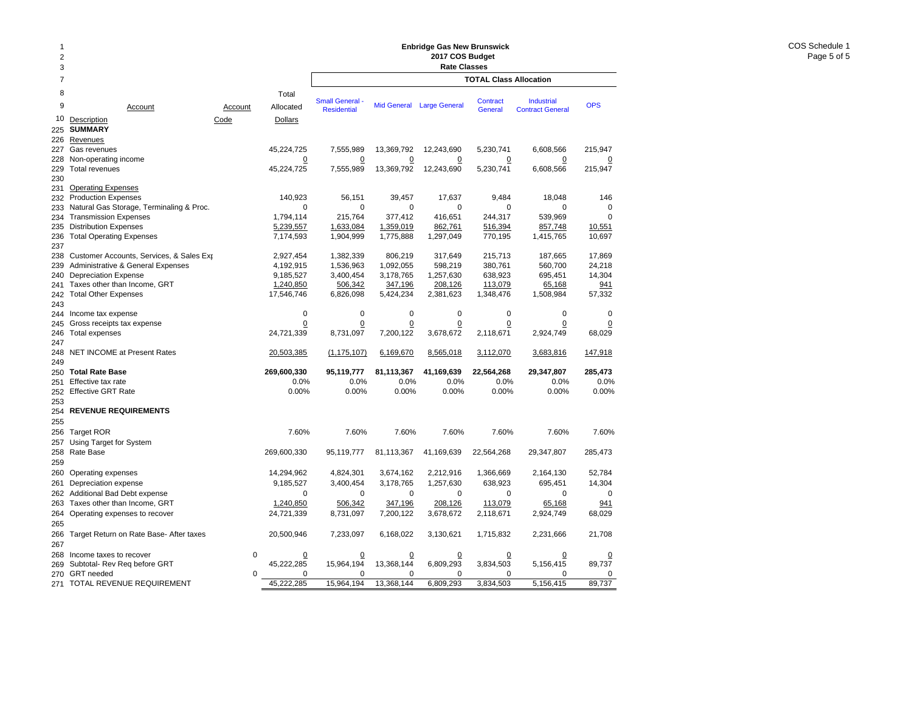## **Enbridge Gas New Brunswick 2017 COS Budget**

| 2              |                                             |          |                    | <b>Enbridge Gas New Brunswick</b><br>2017 COS Budget |                |                           |                               |                                       |                |  |  |  |  |  |
|----------------|---------------------------------------------|----------|--------------------|------------------------------------------------------|----------------|---------------------------|-------------------------------|---------------------------------------|----------------|--|--|--|--|--|
| 3              |                                             |          |                    |                                                      |                | <b>Rate Classes</b>       |                               |                                       |                |  |  |  |  |  |
| $\overline{7}$ |                                             |          |                    |                                                      |                |                           | <b>TOTAL Class Allocation</b> |                                       |                |  |  |  |  |  |
| 8<br>9         | Account                                     | Account  | Total<br>Allocated | <b>Small General</b> -<br><b>Residential</b>         |                | Mid General Large General | Contract<br>General           | Industrial<br><b>Contract General</b> | <b>OPS</b>     |  |  |  |  |  |
| 10             | Description                                 | Code     | <b>Dollars</b>     |                                                      |                |                           |                               |                                       |                |  |  |  |  |  |
| 225            | <b>SUMMARY</b>                              |          |                    |                                                      |                |                           |                               |                                       |                |  |  |  |  |  |
| 226            | Revenues                                    |          |                    |                                                      |                |                           |                               |                                       |                |  |  |  |  |  |
| 227            | Gas revenues                                |          | 45,224,725         | 7,555,989                                            | 13,369,792     | 12,243,690                | 5,230,741                     | 6,608,566                             | 215,947        |  |  |  |  |  |
| 228            | Non-operating income                        |          | $\overline{0}$     | $\Omega$                                             | $\overline{0}$ | $\overline{0}$            | $\overline{0}$                | $\overline{0}$                        | $\overline{0}$ |  |  |  |  |  |
| 229            | <b>Total revenues</b>                       |          | 45,224,725         | 7,555,989                                            | 13,369,792     | 12,243,690                | 5,230,741                     | 6,608,566                             | 215,947        |  |  |  |  |  |
| 230            |                                             |          |                    |                                                      |                |                           |                               |                                       |                |  |  |  |  |  |
| 231            | <b>Operating Expenses</b>                   |          |                    |                                                      |                |                           |                               |                                       |                |  |  |  |  |  |
| 232            | <b>Production Expenses</b>                  |          | 140,923            | 56,151                                               | 39,457         | 17,637                    | 9,484                         | 18,048                                | 146            |  |  |  |  |  |
| 233            | Natural Gas Storage, Terminaling & Proc.    |          | $\Omega$           | 0                                                    | $\mathbf 0$    | $\Omega$                  | 0                             | $\Omega$                              | $\Omega$       |  |  |  |  |  |
| 234            | <b>Transmission Expenses</b>                |          | 1,794,114          | 215,764                                              | 377,412        | 416,651                   | 244,317                       | 539,969                               | $\mathbf 0$    |  |  |  |  |  |
| 235            | <b>Distribution Expenses</b>                |          | 5,239,557          | 1,633,084                                            | 1,359,019      | 862,761                   | 516,394                       | 857,748                               | 10,551         |  |  |  |  |  |
| 236            | <b>Total Operating Expenses</b>             |          | 7,174,593          | 1,904,999                                            | 1,775,888      | 1,297,049                 | 770,195                       | 1,415,765                             | 10,697         |  |  |  |  |  |
| 237            |                                             |          |                    |                                                      |                |                           |                               |                                       |                |  |  |  |  |  |
| 238            | Customer Accounts, Services, & Sales Exp    |          | 2,927,454          | 1,382,339                                            | 806,219        | 317,649                   | 215,713                       | 187,665                               | 17,869         |  |  |  |  |  |
| 239            | Administrative & General Expenses           |          | 4,192,915          | 1,536,963                                            | 1,092,055      | 598,219                   | 380,761                       | 560,700                               | 24,218         |  |  |  |  |  |
| 240            | <b>Depreciation Expense</b>                 |          | 9,185,527          | 3,400,454                                            | 3,178,765      | 1,257,630                 | 638,923                       | 695,451                               | 14,304         |  |  |  |  |  |
| 241            | Taxes other than Income, GRT                |          | 1,240,850          | 506,342                                              | 347,196        | 208,126                   | 113,079                       | 65,168                                | 941            |  |  |  |  |  |
| 242            | <b>Total Other Expenses</b>                 |          | 17,546,746         | 6,826,098                                            | 5,424,234      | 2,381,623                 | 1,348,476                     | 1,508,984                             | 57,332         |  |  |  |  |  |
| 243            |                                             |          |                    |                                                      |                |                           |                               |                                       |                |  |  |  |  |  |
| 244            | Income tax expense                          |          | $\pmb{0}$          | $\mathbf 0$                                          | $\mathbf 0$    | $\mathbf 0$               | $\mathbf 0$                   | $\mathbf 0$                           | $\mathbf 0$    |  |  |  |  |  |
| 245            | Gross receipts tax expense                  |          | $\Omega$           | $\mathbf 0$                                          | 0              | $\overline{0}$            | $\overline{0}$                | 0                                     | 0              |  |  |  |  |  |
| 246            | Total expenses                              |          | 24,721,339         | 8,731,097                                            | 7,200,122      | 3,678,672                 | 2,118,671                     | 2,924,749                             | 68,029         |  |  |  |  |  |
| 247            |                                             |          |                    |                                                      |                |                           |                               |                                       |                |  |  |  |  |  |
| 248            | <b>NET INCOME at Present Rates</b>          |          | 20,503,385         | (1, 175, 107)                                        | 6,169,670      | 8,565,018                 | 3,112,070                     | 3,683,816                             | 147,918        |  |  |  |  |  |
| 249<br>250     | <b>Total Rate Base</b>                      |          | 269,600,330        | 95,119,777                                           | 81,113,367     | 41,169,639                | 22,564,268                    | 29,347,807                            | 285,473        |  |  |  |  |  |
| 251            | Effective tax rate                          |          | 0.0%               | 0.0%                                                 | 0.0%           | 0.0%                      | 0.0%                          | 0.0%                                  | 0.0%           |  |  |  |  |  |
| 252            | <b>Effective GRT Rate</b>                   |          | 0.00%              | 0.00%                                                | 0.00%          | 0.00%                     | 0.00%                         | 0.00%                                 | 0.00%          |  |  |  |  |  |
| 253            |                                             |          |                    |                                                      |                |                           |                               |                                       |                |  |  |  |  |  |
| 254            | <b>REVENUE REQUIREMENTS</b>                 |          |                    |                                                      |                |                           |                               |                                       |                |  |  |  |  |  |
| 255            |                                             |          |                    |                                                      |                |                           |                               |                                       |                |  |  |  |  |  |
| 256            | <b>Target ROR</b>                           |          | 7.60%              | 7.60%                                                | 7.60%          | 7.60%                     | 7.60%                         | 7.60%                                 | 7.60%          |  |  |  |  |  |
| 257            | Using Target for System                     |          |                    |                                                      |                |                           |                               |                                       |                |  |  |  |  |  |
| 258            | Rate Base                                   |          | 269,600,330        | 95,119,777                                           | 81,113,367     | 41,169,639                | 22,564,268                    | 29,347,807                            | 285,473        |  |  |  |  |  |
| 259            |                                             |          |                    |                                                      |                |                           |                               |                                       |                |  |  |  |  |  |
| 260            | Operating expenses                          |          | 14,294,962         | 4,824,301                                            | 3,674,162      | 2,212,916                 | 1,366,669                     | 2,164,130                             | 52,784         |  |  |  |  |  |
| 261            | Depreciation expense                        |          | 9,185,527          | 3,400,454                                            | 3,178,765      | 1,257,630                 | 638,923                       | 695,451                               | 14,304         |  |  |  |  |  |
|                |                                             |          | $\mathbf 0$        | $\mathbf 0$                                          | $\mathbf 0$    | $\mathbf 0$               | $\mathbf 0$                   | 0                                     | $\mathbf 0$    |  |  |  |  |  |
| 262            | Additional Bad Debt expense                 |          |                    |                                                      |                |                           |                               |                                       |                |  |  |  |  |  |
| 263            | Taxes other than Income, GRT                |          | 1.240.850          | 506,342                                              | 347,196        | 208,126                   | 113,079                       | 65,168                                | 941            |  |  |  |  |  |
| 264            | Operating expenses to recover               |          | 24,721,339         | 8,731,097                                            | 7,200,122      | 3,678,672                 | 2,118,671                     | 2,924,749                             | 68,029         |  |  |  |  |  |
| 265            |                                             |          |                    |                                                      |                |                           |                               |                                       |                |  |  |  |  |  |
|                | 266 Target Return on Rate Base- After taxes |          | 20,500,946         | 7,233,097                                            | 6,168,022      | 3,130,621                 | 1,715,832                     | 2,231,666                             | 21,708         |  |  |  |  |  |
| 267            |                                             |          |                    |                                                      |                |                           |                               |                                       |                |  |  |  |  |  |
| 268            | Income taxes to recover                     | 0        | $\overline{0}$     | 0                                                    | 0              | $\overline{0}$            | 0                             | 0                                     |                |  |  |  |  |  |
| 269            | Subtotal- Rev Req before GRT                |          | 45,222,285         | 15,964,194                                           | 13,368,144     | 6,809,293                 | 3,834,503                     | 5,156,415                             | 89,737         |  |  |  |  |  |
| 270            | <b>GRT</b> needed                           | $\Omega$ | 0                  | 0                                                    | 0              | 0<br>6,809,293            | 0                             | $\Omega$                              | 0              |  |  |  |  |  |
| 271            | TOTAL REVENUE REQUIREMENT                   |          | 45,222,285         | 15,964,194                                           | 13,368,144     |                           | 3.834.503                     | 5,156,415                             | 89,737         |  |  |  |  |  |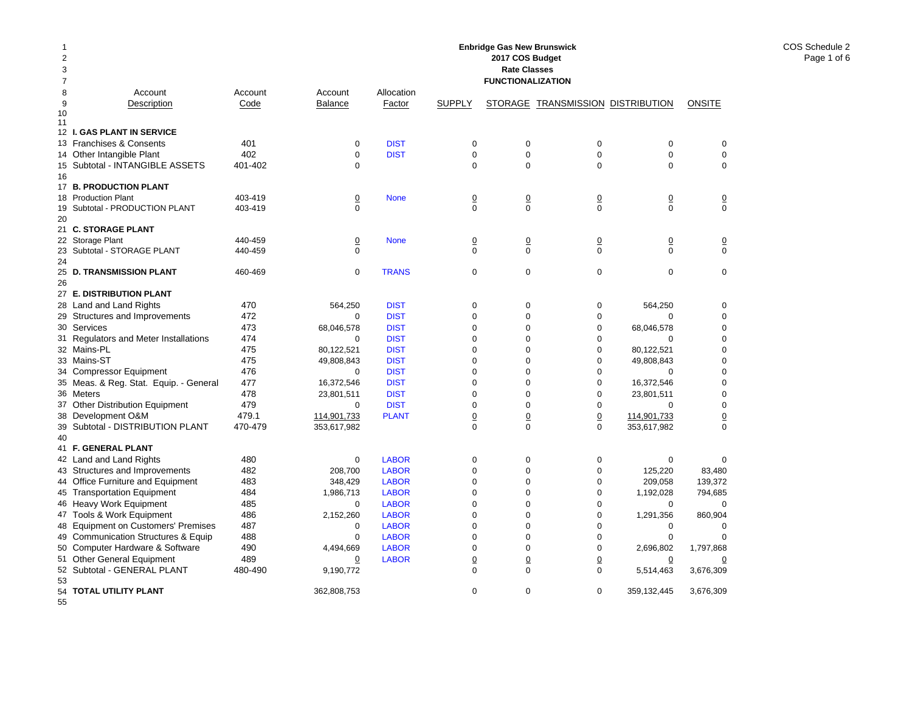| 8<br>Account<br>Account<br>Account<br>Allocation<br>9<br>Description<br>Code<br><b>Balance</b><br>Factor<br><b>SUPPLY</b><br>STORAGE TRANSMISSION DISTRIBUTION<br><b>ONSITE</b><br>10<br>11<br>12 I. GAS PLANT IN SERVICE<br>13 Franchises & Consents<br>401<br><b>DIST</b><br>$\mathbf 0$<br>0<br>0<br>0<br>$\mathbf 0$<br>0<br>402<br>14 Other Intangible Plant<br>0<br><b>DIST</b><br>$\mathbf 0$<br>$\mathbf 0$<br>$\mathbf 0$<br>$\mathbf 0$<br>$\mathbf 0$<br>15 Subtotal - INTANGIBLE ASSETS<br>401-402<br>$\Omega$<br>$\mathbf 0$<br>$\Omega$<br>$\Omega$<br>$\mathbf 0$<br>$\Omega$<br>16<br>17 B. PRODUCTION PLANT<br>18 Production Plant<br>403-419<br>$\underline{0}$<br>$\overline{\mathbf{0}}$<br>$\underline{0}$<br>$\underline{0}$<br><b>None</b><br>$\overline{0}$<br>$\overline{0}$<br>$\Omega$<br>$\Omega$<br>$\Omega$<br>$\Omega$<br>$\Omega$<br>Subtotal - PRODUCTION PLANT<br>403-419<br>$\Omega$<br>19<br>20<br>21 C. STORAGE PLANT<br>22 Storage Plant<br>440-459<br>$\overline{0}$<br><b>None</b><br>$\Omega$<br>$\overline{0}$<br>$\Omega$<br>$\overline{0}$<br>$\Omega$<br>$\Omega$<br>$\Omega$<br>$\Omega$<br>$\Omega$<br>$\Omega$<br>23<br>Subtotal - STORAGE PLANT<br>440-459<br>$\Omega$<br>24<br>$\mathbf 0$<br>$\mathbf 0$<br>$\mathbf 0$<br>$\mathbf 0$<br><b>D. TRANSMISSION PLANT</b><br>460-469<br>$\mathbf 0$<br><b>TRANS</b><br>$\mathbf 0$<br>25<br>26<br>27 E. DISTRIBUTION PLANT<br>Land and Land Rights<br>470<br>564.250<br><b>DIST</b><br>$\mathbf 0$<br>$\mathbf 0$<br>$\mathbf 0$<br>564.250<br>$\mathbf 0$<br>28<br>29 Structures and Improvements<br>472<br><b>DIST</b><br>$\mathsf 0$<br>$\Omega$<br>0<br>0<br>$\Omega$<br>$\Omega$<br>30 Services<br>473<br><b>DIST</b><br>$\mathsf 0$<br>$\mathbf 0$<br>0<br>68,046,578<br>0<br>68,046,578<br>474<br>31 Regulators and Meter Installations<br><b>DIST</b><br>$\mathsf 0$<br>$\mathbf 0$<br>0<br>0<br>0<br>$\Omega$<br>475<br><b>DIST</b><br>$\Omega$<br>0<br>32 Mains-PL<br>80,122,521<br>$\mathbf 0$<br>80,122,521<br>0<br>475<br>33 Mains-ST<br><b>DIST</b><br>49,808,843<br>$\mathbf 0$<br>$\Omega$<br>$\mathbf 0$<br>49,808,843<br>$\mathbf 0$<br>476<br><b>DIST</b><br>$\mathbf 0$<br>$\Omega$<br>$\mathbf 0$<br>$\mathbf 0$<br>34 Compressor Equipment<br>0<br>$\Omega$<br>35 Meas. & Reg. Stat. Equip. - General<br>477<br><b>DIST</b><br>$\mathbf 0$<br>$\mathbf 0$<br>$\mathbf 0$<br>$\mathbf 0$<br>16,372,546<br>16,372,546<br>478<br>36 Meters<br><b>DIST</b><br>$\mathbf 0$<br>$\Omega$<br>$\mathbf 0$<br>$\mathbf 0$<br>23.801.511<br>23.801.511<br>479<br><b>Other Distribution Equipment</b><br><b>DIST</b><br>$\mathbf 0$<br>$\Omega$<br>$\mathbf 0$<br>$\mathbf 0$<br>$\mathbf 0$<br>$\mathbf 0$<br>37<br>479.1<br>38 Development O&M<br><b>PLANT</b><br>$\overline{0}$<br>$\overline{0}$<br>$\overline{0}$<br>114,901,733<br>114,901,733<br>$\overline{0}$<br>39 Subtotal - DISTRIBUTION PLANT<br>470-479<br>$\Omega$<br>353,617,982<br>353,617,982<br>$\Omega$<br>$\Omega$<br>$\Omega$<br>40<br>41 F. GENERAL PLANT<br>42 Land and Land Rights<br>480<br>0<br><b>LABOR</b><br>$\mathbf 0$<br>$\mathbf 0$<br>$\mathbf 0$<br>$\mathbf 0$<br>$\mathbf 0$<br>482<br><b>LABOR</b><br>43 Structures and Improvements<br>208,700<br>$\mathbf 0$<br>$\mathbf 0$<br>0<br>125,220<br>83,480<br>44 Office Furniture and Equipment<br>483<br><b>LABOR</b><br>$\mathsf 0$<br>$\mathbf 0$<br>0<br>209,058<br>139,372<br>348,429<br>484<br>45 Transportation Equipment<br>1,986,713<br><b>LABOR</b><br>$\mathbf 0$<br>$\mathbf 0$<br>0<br>1,192,028<br>794,685<br>485<br>46 Heavy Work Equipment<br><b>LABOR</b><br>$\mathbf 0$<br>$\mathbf 0$<br>$\mathbf 0$<br>0<br>0<br>0<br>486<br>$\mathbf 0$<br>$\Omega$<br>$\mathbf 0$<br>47 Tools & Work Equipment<br>2,152,260<br><b>LABOR</b><br>1,291,356<br>860,904<br>487<br>48 Equipment on Customers' Premises<br><b>LABOR</b><br>$\mathbf 0$<br>$\Omega$<br>$\mathbf 0$<br>$\mathbf 0$<br>$\mathbf 0$<br>$\mathbf 0$<br><b>Communication Structures &amp; Equip</b><br>488<br><b>LABOR</b><br>$\mathbf 0$<br>$\Omega$<br>$\mathbf 0$<br>$\mathbf 0$<br>$\mathbf 0$<br>$\mathbf 0$<br>49<br>490<br>Computer Hardware & Software<br><b>LABOR</b><br>$\mathbf 0$<br>$\mathbf 0$<br>$\mathbf 0$<br>4,494,669<br>2,696,802<br>1,797,868<br>50<br>51 Other General Equipment<br>489<br><b>LABOR</b><br>$\overline{0}$<br>$\overline{0}$<br>$\overline{0}$<br>0<br>$\overline{0}$<br>0<br>52 Subtotal - GENERAL PLANT<br>480-490<br>$\mathbf 0$<br>$\Omega$<br>$\mathbf 0$<br>9,190,772<br>5,514,463<br>3,676,309<br>53<br>$\mathbf 0$<br>54 TOTAL UTILITY PLANT<br>362,808,753<br>$\mathbf 0$<br>$\mathbf 0$<br>359,132,445<br>3,676,309<br>55 | 1<br>$\overline{c}$<br>3<br>7 |  |  | <b>Enbridge Gas New Brunswick</b><br>2017 COS Budget<br><b>Rate Classes</b><br><b>FUNCTIONALIZATION</b> |  |  |
|--------------------------------------------------------------------------------------------------------------------------------------------------------------------------------------------------------------------------------------------------------------------------------------------------------------------------------------------------------------------------------------------------------------------------------------------------------------------------------------------------------------------------------------------------------------------------------------------------------------------------------------------------------------------------------------------------------------------------------------------------------------------------------------------------------------------------------------------------------------------------------------------------------------------------------------------------------------------------------------------------------------------------------------------------------------------------------------------------------------------------------------------------------------------------------------------------------------------------------------------------------------------------------------------------------------------------------------------------------------------------------------------------------------------------------------------------------------------------------------------------------------------------------------------------------------------------------------------------------------------------------------------------------------------------------------------------------------------------------------------------------------------------------------------------------------------------------------------------------------------------------------------------------------------------------------------------------------------------------------------------------------------------------------------------------------------------------------------------------------------------------------------------------------------------------------------------------------------------------------------------------------------------------------------------------------------------------------------------------------------------------------------------------------------------------------------------------------------------------------------------------------------------------------------------------------------------------------------------------------------------------------------------------------------------------------------------------------------------------------------------------------------------------------------------------------------------------------------------------------------------------------------------------------------------------------------------------------------------------------------------------------------------------------------------------------------------------------------------------------------------------------------------------------------------------------------------------------------------------------------------------------------------------------------------------------------------------------------------------------------------------------------------------------------------------------------------------------------------------------------------------------------------------------------------------------------------------------------------------------------------------------------------------------------------------------------------------------------------------------------------------------------------------------------------------------------------------------------------------------------------------------------------------------------------------------------------------------------------------------------------------------------------------------------------------------------------------------------------------------------------------------------------------------------------------------------------------------------------------------------------------------------------------------------------------------------------------------------------------------------------------------------------------------------------------------------------------------------------------------------------------------------------------------------------------------------------------------------------------------------------------------------------------------------------------------------------|-------------------------------|--|--|---------------------------------------------------------------------------------------------------------|--|--|
|                                                                                                                                                                                                                                                                                                                                                                                                                                                                                                                                                                                                                                                                                                                                                                                                                                                                                                                                                                                                                                                                                                                                                                                                                                                                                                                                                                                                                                                                                                                                                                                                                                                                                                                                                                                                                                                                                                                                                                                                                                                                                                                                                                                                                                                                                                                                                                                                                                                                                                                                                                                                                                                                                                                                                                                                                                                                                                                                                                                                                                                                                                                                                                                                                                                                                                                                                                                                                                                                                                                                                                                                                                                                                                                                                                                                                                                                                                                                                                                                                                                                                                                                                                                                                                                                                                                                                                                                                                                                                                                                                                                                                                                                                                  |                               |  |  |                                                                                                         |  |  |
|                                                                                                                                                                                                                                                                                                                                                                                                                                                                                                                                                                                                                                                                                                                                                                                                                                                                                                                                                                                                                                                                                                                                                                                                                                                                                                                                                                                                                                                                                                                                                                                                                                                                                                                                                                                                                                                                                                                                                                                                                                                                                                                                                                                                                                                                                                                                                                                                                                                                                                                                                                                                                                                                                                                                                                                                                                                                                                                                                                                                                                                                                                                                                                                                                                                                                                                                                                                                                                                                                                                                                                                                                                                                                                                                                                                                                                                                                                                                                                                                                                                                                                                                                                                                                                                                                                                                                                                                                                                                                                                                                                                                                                                                                                  |                               |  |  |                                                                                                         |  |  |
|                                                                                                                                                                                                                                                                                                                                                                                                                                                                                                                                                                                                                                                                                                                                                                                                                                                                                                                                                                                                                                                                                                                                                                                                                                                                                                                                                                                                                                                                                                                                                                                                                                                                                                                                                                                                                                                                                                                                                                                                                                                                                                                                                                                                                                                                                                                                                                                                                                                                                                                                                                                                                                                                                                                                                                                                                                                                                                                                                                                                                                                                                                                                                                                                                                                                                                                                                                                                                                                                                                                                                                                                                                                                                                                                                                                                                                                                                                                                                                                                                                                                                                                                                                                                                                                                                                                                                                                                                                                                                                                                                                                                                                                                                                  |                               |  |  |                                                                                                         |  |  |
|                                                                                                                                                                                                                                                                                                                                                                                                                                                                                                                                                                                                                                                                                                                                                                                                                                                                                                                                                                                                                                                                                                                                                                                                                                                                                                                                                                                                                                                                                                                                                                                                                                                                                                                                                                                                                                                                                                                                                                                                                                                                                                                                                                                                                                                                                                                                                                                                                                                                                                                                                                                                                                                                                                                                                                                                                                                                                                                                                                                                                                                                                                                                                                                                                                                                                                                                                                                                                                                                                                                                                                                                                                                                                                                                                                                                                                                                                                                                                                                                                                                                                                                                                                                                                                                                                                                                                                                                                                                                                                                                                                                                                                                                                                  |                               |  |  |                                                                                                         |  |  |
|                                                                                                                                                                                                                                                                                                                                                                                                                                                                                                                                                                                                                                                                                                                                                                                                                                                                                                                                                                                                                                                                                                                                                                                                                                                                                                                                                                                                                                                                                                                                                                                                                                                                                                                                                                                                                                                                                                                                                                                                                                                                                                                                                                                                                                                                                                                                                                                                                                                                                                                                                                                                                                                                                                                                                                                                                                                                                                                                                                                                                                                                                                                                                                                                                                                                                                                                                                                                                                                                                                                                                                                                                                                                                                                                                                                                                                                                                                                                                                                                                                                                                                                                                                                                                                                                                                                                                                                                                                                                                                                                                                                                                                                                                                  |                               |  |  |                                                                                                         |  |  |
|                                                                                                                                                                                                                                                                                                                                                                                                                                                                                                                                                                                                                                                                                                                                                                                                                                                                                                                                                                                                                                                                                                                                                                                                                                                                                                                                                                                                                                                                                                                                                                                                                                                                                                                                                                                                                                                                                                                                                                                                                                                                                                                                                                                                                                                                                                                                                                                                                                                                                                                                                                                                                                                                                                                                                                                                                                                                                                                                                                                                                                                                                                                                                                                                                                                                                                                                                                                                                                                                                                                                                                                                                                                                                                                                                                                                                                                                                                                                                                                                                                                                                                                                                                                                                                                                                                                                                                                                                                                                                                                                                                                                                                                                                                  |                               |  |  |                                                                                                         |  |  |
|                                                                                                                                                                                                                                                                                                                                                                                                                                                                                                                                                                                                                                                                                                                                                                                                                                                                                                                                                                                                                                                                                                                                                                                                                                                                                                                                                                                                                                                                                                                                                                                                                                                                                                                                                                                                                                                                                                                                                                                                                                                                                                                                                                                                                                                                                                                                                                                                                                                                                                                                                                                                                                                                                                                                                                                                                                                                                                                                                                                                                                                                                                                                                                                                                                                                                                                                                                                                                                                                                                                                                                                                                                                                                                                                                                                                                                                                                                                                                                                                                                                                                                                                                                                                                                                                                                                                                                                                                                                                                                                                                                                                                                                                                                  |                               |  |  |                                                                                                         |  |  |
|                                                                                                                                                                                                                                                                                                                                                                                                                                                                                                                                                                                                                                                                                                                                                                                                                                                                                                                                                                                                                                                                                                                                                                                                                                                                                                                                                                                                                                                                                                                                                                                                                                                                                                                                                                                                                                                                                                                                                                                                                                                                                                                                                                                                                                                                                                                                                                                                                                                                                                                                                                                                                                                                                                                                                                                                                                                                                                                                                                                                                                                                                                                                                                                                                                                                                                                                                                                                                                                                                                                                                                                                                                                                                                                                                                                                                                                                                                                                                                                                                                                                                                                                                                                                                                                                                                                                                                                                                                                                                                                                                                                                                                                                                                  |                               |  |  |                                                                                                         |  |  |
|                                                                                                                                                                                                                                                                                                                                                                                                                                                                                                                                                                                                                                                                                                                                                                                                                                                                                                                                                                                                                                                                                                                                                                                                                                                                                                                                                                                                                                                                                                                                                                                                                                                                                                                                                                                                                                                                                                                                                                                                                                                                                                                                                                                                                                                                                                                                                                                                                                                                                                                                                                                                                                                                                                                                                                                                                                                                                                                                                                                                                                                                                                                                                                                                                                                                                                                                                                                                                                                                                                                                                                                                                                                                                                                                                                                                                                                                                                                                                                                                                                                                                                                                                                                                                                                                                                                                                                                                                                                                                                                                                                                                                                                                                                  |                               |  |  |                                                                                                         |  |  |
|                                                                                                                                                                                                                                                                                                                                                                                                                                                                                                                                                                                                                                                                                                                                                                                                                                                                                                                                                                                                                                                                                                                                                                                                                                                                                                                                                                                                                                                                                                                                                                                                                                                                                                                                                                                                                                                                                                                                                                                                                                                                                                                                                                                                                                                                                                                                                                                                                                                                                                                                                                                                                                                                                                                                                                                                                                                                                                                                                                                                                                                                                                                                                                                                                                                                                                                                                                                                                                                                                                                                                                                                                                                                                                                                                                                                                                                                                                                                                                                                                                                                                                                                                                                                                                                                                                                                                                                                                                                                                                                                                                                                                                                                                                  |                               |  |  |                                                                                                         |  |  |
|                                                                                                                                                                                                                                                                                                                                                                                                                                                                                                                                                                                                                                                                                                                                                                                                                                                                                                                                                                                                                                                                                                                                                                                                                                                                                                                                                                                                                                                                                                                                                                                                                                                                                                                                                                                                                                                                                                                                                                                                                                                                                                                                                                                                                                                                                                                                                                                                                                                                                                                                                                                                                                                                                                                                                                                                                                                                                                                                                                                                                                                                                                                                                                                                                                                                                                                                                                                                                                                                                                                                                                                                                                                                                                                                                                                                                                                                                                                                                                                                                                                                                                                                                                                                                                                                                                                                                                                                                                                                                                                                                                                                                                                                                                  |                               |  |  |                                                                                                         |  |  |
|                                                                                                                                                                                                                                                                                                                                                                                                                                                                                                                                                                                                                                                                                                                                                                                                                                                                                                                                                                                                                                                                                                                                                                                                                                                                                                                                                                                                                                                                                                                                                                                                                                                                                                                                                                                                                                                                                                                                                                                                                                                                                                                                                                                                                                                                                                                                                                                                                                                                                                                                                                                                                                                                                                                                                                                                                                                                                                                                                                                                                                                                                                                                                                                                                                                                                                                                                                                                                                                                                                                                                                                                                                                                                                                                                                                                                                                                                                                                                                                                                                                                                                                                                                                                                                                                                                                                                                                                                                                                                                                                                                                                                                                                                                  |                               |  |  |                                                                                                         |  |  |
|                                                                                                                                                                                                                                                                                                                                                                                                                                                                                                                                                                                                                                                                                                                                                                                                                                                                                                                                                                                                                                                                                                                                                                                                                                                                                                                                                                                                                                                                                                                                                                                                                                                                                                                                                                                                                                                                                                                                                                                                                                                                                                                                                                                                                                                                                                                                                                                                                                                                                                                                                                                                                                                                                                                                                                                                                                                                                                                                                                                                                                                                                                                                                                                                                                                                                                                                                                                                                                                                                                                                                                                                                                                                                                                                                                                                                                                                                                                                                                                                                                                                                                                                                                                                                                                                                                                                                                                                                                                                                                                                                                                                                                                                                                  |                               |  |  |                                                                                                         |  |  |
|                                                                                                                                                                                                                                                                                                                                                                                                                                                                                                                                                                                                                                                                                                                                                                                                                                                                                                                                                                                                                                                                                                                                                                                                                                                                                                                                                                                                                                                                                                                                                                                                                                                                                                                                                                                                                                                                                                                                                                                                                                                                                                                                                                                                                                                                                                                                                                                                                                                                                                                                                                                                                                                                                                                                                                                                                                                                                                                                                                                                                                                                                                                                                                                                                                                                                                                                                                                                                                                                                                                                                                                                                                                                                                                                                                                                                                                                                                                                                                                                                                                                                                                                                                                                                                                                                                                                                                                                                                                                                                                                                                                                                                                                                                  |                               |  |  |                                                                                                         |  |  |
|                                                                                                                                                                                                                                                                                                                                                                                                                                                                                                                                                                                                                                                                                                                                                                                                                                                                                                                                                                                                                                                                                                                                                                                                                                                                                                                                                                                                                                                                                                                                                                                                                                                                                                                                                                                                                                                                                                                                                                                                                                                                                                                                                                                                                                                                                                                                                                                                                                                                                                                                                                                                                                                                                                                                                                                                                                                                                                                                                                                                                                                                                                                                                                                                                                                                                                                                                                                                                                                                                                                                                                                                                                                                                                                                                                                                                                                                                                                                                                                                                                                                                                                                                                                                                                                                                                                                                                                                                                                                                                                                                                                                                                                                                                  |                               |  |  |                                                                                                         |  |  |
|                                                                                                                                                                                                                                                                                                                                                                                                                                                                                                                                                                                                                                                                                                                                                                                                                                                                                                                                                                                                                                                                                                                                                                                                                                                                                                                                                                                                                                                                                                                                                                                                                                                                                                                                                                                                                                                                                                                                                                                                                                                                                                                                                                                                                                                                                                                                                                                                                                                                                                                                                                                                                                                                                                                                                                                                                                                                                                                                                                                                                                                                                                                                                                                                                                                                                                                                                                                                                                                                                                                                                                                                                                                                                                                                                                                                                                                                                                                                                                                                                                                                                                                                                                                                                                                                                                                                                                                                                                                                                                                                                                                                                                                                                                  |                               |  |  |                                                                                                         |  |  |
|                                                                                                                                                                                                                                                                                                                                                                                                                                                                                                                                                                                                                                                                                                                                                                                                                                                                                                                                                                                                                                                                                                                                                                                                                                                                                                                                                                                                                                                                                                                                                                                                                                                                                                                                                                                                                                                                                                                                                                                                                                                                                                                                                                                                                                                                                                                                                                                                                                                                                                                                                                                                                                                                                                                                                                                                                                                                                                                                                                                                                                                                                                                                                                                                                                                                                                                                                                                                                                                                                                                                                                                                                                                                                                                                                                                                                                                                                                                                                                                                                                                                                                                                                                                                                                                                                                                                                                                                                                                                                                                                                                                                                                                                                                  |                               |  |  |                                                                                                         |  |  |
|                                                                                                                                                                                                                                                                                                                                                                                                                                                                                                                                                                                                                                                                                                                                                                                                                                                                                                                                                                                                                                                                                                                                                                                                                                                                                                                                                                                                                                                                                                                                                                                                                                                                                                                                                                                                                                                                                                                                                                                                                                                                                                                                                                                                                                                                                                                                                                                                                                                                                                                                                                                                                                                                                                                                                                                                                                                                                                                                                                                                                                                                                                                                                                                                                                                                                                                                                                                                                                                                                                                                                                                                                                                                                                                                                                                                                                                                                                                                                                                                                                                                                                                                                                                                                                                                                                                                                                                                                                                                                                                                                                                                                                                                                                  |                               |  |  |                                                                                                         |  |  |
|                                                                                                                                                                                                                                                                                                                                                                                                                                                                                                                                                                                                                                                                                                                                                                                                                                                                                                                                                                                                                                                                                                                                                                                                                                                                                                                                                                                                                                                                                                                                                                                                                                                                                                                                                                                                                                                                                                                                                                                                                                                                                                                                                                                                                                                                                                                                                                                                                                                                                                                                                                                                                                                                                                                                                                                                                                                                                                                                                                                                                                                                                                                                                                                                                                                                                                                                                                                                                                                                                                                                                                                                                                                                                                                                                                                                                                                                                                                                                                                                                                                                                                                                                                                                                                                                                                                                                                                                                                                                                                                                                                                                                                                                                                  |                               |  |  |                                                                                                         |  |  |
|                                                                                                                                                                                                                                                                                                                                                                                                                                                                                                                                                                                                                                                                                                                                                                                                                                                                                                                                                                                                                                                                                                                                                                                                                                                                                                                                                                                                                                                                                                                                                                                                                                                                                                                                                                                                                                                                                                                                                                                                                                                                                                                                                                                                                                                                                                                                                                                                                                                                                                                                                                                                                                                                                                                                                                                                                                                                                                                                                                                                                                                                                                                                                                                                                                                                                                                                                                                                                                                                                                                                                                                                                                                                                                                                                                                                                                                                                                                                                                                                                                                                                                                                                                                                                                                                                                                                                                                                                                                                                                                                                                                                                                                                                                  |                               |  |  |                                                                                                         |  |  |
|                                                                                                                                                                                                                                                                                                                                                                                                                                                                                                                                                                                                                                                                                                                                                                                                                                                                                                                                                                                                                                                                                                                                                                                                                                                                                                                                                                                                                                                                                                                                                                                                                                                                                                                                                                                                                                                                                                                                                                                                                                                                                                                                                                                                                                                                                                                                                                                                                                                                                                                                                                                                                                                                                                                                                                                                                                                                                                                                                                                                                                                                                                                                                                                                                                                                                                                                                                                                                                                                                                                                                                                                                                                                                                                                                                                                                                                                                                                                                                                                                                                                                                                                                                                                                                                                                                                                                                                                                                                                                                                                                                                                                                                                                                  |                               |  |  |                                                                                                         |  |  |
|                                                                                                                                                                                                                                                                                                                                                                                                                                                                                                                                                                                                                                                                                                                                                                                                                                                                                                                                                                                                                                                                                                                                                                                                                                                                                                                                                                                                                                                                                                                                                                                                                                                                                                                                                                                                                                                                                                                                                                                                                                                                                                                                                                                                                                                                                                                                                                                                                                                                                                                                                                                                                                                                                                                                                                                                                                                                                                                                                                                                                                                                                                                                                                                                                                                                                                                                                                                                                                                                                                                                                                                                                                                                                                                                                                                                                                                                                                                                                                                                                                                                                                                                                                                                                                                                                                                                                                                                                                                                                                                                                                                                                                                                                                  |                               |  |  |                                                                                                         |  |  |
|                                                                                                                                                                                                                                                                                                                                                                                                                                                                                                                                                                                                                                                                                                                                                                                                                                                                                                                                                                                                                                                                                                                                                                                                                                                                                                                                                                                                                                                                                                                                                                                                                                                                                                                                                                                                                                                                                                                                                                                                                                                                                                                                                                                                                                                                                                                                                                                                                                                                                                                                                                                                                                                                                                                                                                                                                                                                                                                                                                                                                                                                                                                                                                                                                                                                                                                                                                                                                                                                                                                                                                                                                                                                                                                                                                                                                                                                                                                                                                                                                                                                                                                                                                                                                                                                                                                                                                                                                                                                                                                                                                                                                                                                                                  |                               |  |  |                                                                                                         |  |  |
|                                                                                                                                                                                                                                                                                                                                                                                                                                                                                                                                                                                                                                                                                                                                                                                                                                                                                                                                                                                                                                                                                                                                                                                                                                                                                                                                                                                                                                                                                                                                                                                                                                                                                                                                                                                                                                                                                                                                                                                                                                                                                                                                                                                                                                                                                                                                                                                                                                                                                                                                                                                                                                                                                                                                                                                                                                                                                                                                                                                                                                                                                                                                                                                                                                                                                                                                                                                                                                                                                                                                                                                                                                                                                                                                                                                                                                                                                                                                                                                                                                                                                                                                                                                                                                                                                                                                                                                                                                                                                                                                                                                                                                                                                                  |                               |  |  |                                                                                                         |  |  |
|                                                                                                                                                                                                                                                                                                                                                                                                                                                                                                                                                                                                                                                                                                                                                                                                                                                                                                                                                                                                                                                                                                                                                                                                                                                                                                                                                                                                                                                                                                                                                                                                                                                                                                                                                                                                                                                                                                                                                                                                                                                                                                                                                                                                                                                                                                                                                                                                                                                                                                                                                                                                                                                                                                                                                                                                                                                                                                                                                                                                                                                                                                                                                                                                                                                                                                                                                                                                                                                                                                                                                                                                                                                                                                                                                                                                                                                                                                                                                                                                                                                                                                                                                                                                                                                                                                                                                                                                                                                                                                                                                                                                                                                                                                  |                               |  |  |                                                                                                         |  |  |
|                                                                                                                                                                                                                                                                                                                                                                                                                                                                                                                                                                                                                                                                                                                                                                                                                                                                                                                                                                                                                                                                                                                                                                                                                                                                                                                                                                                                                                                                                                                                                                                                                                                                                                                                                                                                                                                                                                                                                                                                                                                                                                                                                                                                                                                                                                                                                                                                                                                                                                                                                                                                                                                                                                                                                                                                                                                                                                                                                                                                                                                                                                                                                                                                                                                                                                                                                                                                                                                                                                                                                                                                                                                                                                                                                                                                                                                                                                                                                                                                                                                                                                                                                                                                                                                                                                                                                                                                                                                                                                                                                                                                                                                                                                  |                               |  |  |                                                                                                         |  |  |
|                                                                                                                                                                                                                                                                                                                                                                                                                                                                                                                                                                                                                                                                                                                                                                                                                                                                                                                                                                                                                                                                                                                                                                                                                                                                                                                                                                                                                                                                                                                                                                                                                                                                                                                                                                                                                                                                                                                                                                                                                                                                                                                                                                                                                                                                                                                                                                                                                                                                                                                                                                                                                                                                                                                                                                                                                                                                                                                                                                                                                                                                                                                                                                                                                                                                                                                                                                                                                                                                                                                                                                                                                                                                                                                                                                                                                                                                                                                                                                                                                                                                                                                                                                                                                                                                                                                                                                                                                                                                                                                                                                                                                                                                                                  |                               |  |  |                                                                                                         |  |  |
|                                                                                                                                                                                                                                                                                                                                                                                                                                                                                                                                                                                                                                                                                                                                                                                                                                                                                                                                                                                                                                                                                                                                                                                                                                                                                                                                                                                                                                                                                                                                                                                                                                                                                                                                                                                                                                                                                                                                                                                                                                                                                                                                                                                                                                                                                                                                                                                                                                                                                                                                                                                                                                                                                                                                                                                                                                                                                                                                                                                                                                                                                                                                                                                                                                                                                                                                                                                                                                                                                                                                                                                                                                                                                                                                                                                                                                                                                                                                                                                                                                                                                                                                                                                                                                                                                                                                                                                                                                                                                                                                                                                                                                                                                                  |                               |  |  |                                                                                                         |  |  |
|                                                                                                                                                                                                                                                                                                                                                                                                                                                                                                                                                                                                                                                                                                                                                                                                                                                                                                                                                                                                                                                                                                                                                                                                                                                                                                                                                                                                                                                                                                                                                                                                                                                                                                                                                                                                                                                                                                                                                                                                                                                                                                                                                                                                                                                                                                                                                                                                                                                                                                                                                                                                                                                                                                                                                                                                                                                                                                                                                                                                                                                                                                                                                                                                                                                                                                                                                                                                                                                                                                                                                                                                                                                                                                                                                                                                                                                                                                                                                                                                                                                                                                                                                                                                                                                                                                                                                                                                                                                                                                                                                                                                                                                                                                  |                               |  |  |                                                                                                         |  |  |
|                                                                                                                                                                                                                                                                                                                                                                                                                                                                                                                                                                                                                                                                                                                                                                                                                                                                                                                                                                                                                                                                                                                                                                                                                                                                                                                                                                                                                                                                                                                                                                                                                                                                                                                                                                                                                                                                                                                                                                                                                                                                                                                                                                                                                                                                                                                                                                                                                                                                                                                                                                                                                                                                                                                                                                                                                                                                                                                                                                                                                                                                                                                                                                                                                                                                                                                                                                                                                                                                                                                                                                                                                                                                                                                                                                                                                                                                                                                                                                                                                                                                                                                                                                                                                                                                                                                                                                                                                                                                                                                                                                                                                                                                                                  |                               |  |  |                                                                                                         |  |  |
|                                                                                                                                                                                                                                                                                                                                                                                                                                                                                                                                                                                                                                                                                                                                                                                                                                                                                                                                                                                                                                                                                                                                                                                                                                                                                                                                                                                                                                                                                                                                                                                                                                                                                                                                                                                                                                                                                                                                                                                                                                                                                                                                                                                                                                                                                                                                                                                                                                                                                                                                                                                                                                                                                                                                                                                                                                                                                                                                                                                                                                                                                                                                                                                                                                                                                                                                                                                                                                                                                                                                                                                                                                                                                                                                                                                                                                                                                                                                                                                                                                                                                                                                                                                                                                                                                                                                                                                                                                                                                                                                                                                                                                                                                                  |                               |  |  |                                                                                                         |  |  |
|                                                                                                                                                                                                                                                                                                                                                                                                                                                                                                                                                                                                                                                                                                                                                                                                                                                                                                                                                                                                                                                                                                                                                                                                                                                                                                                                                                                                                                                                                                                                                                                                                                                                                                                                                                                                                                                                                                                                                                                                                                                                                                                                                                                                                                                                                                                                                                                                                                                                                                                                                                                                                                                                                                                                                                                                                                                                                                                                                                                                                                                                                                                                                                                                                                                                                                                                                                                                                                                                                                                                                                                                                                                                                                                                                                                                                                                                                                                                                                                                                                                                                                                                                                                                                                                                                                                                                                                                                                                                                                                                                                                                                                                                                                  |                               |  |  |                                                                                                         |  |  |
|                                                                                                                                                                                                                                                                                                                                                                                                                                                                                                                                                                                                                                                                                                                                                                                                                                                                                                                                                                                                                                                                                                                                                                                                                                                                                                                                                                                                                                                                                                                                                                                                                                                                                                                                                                                                                                                                                                                                                                                                                                                                                                                                                                                                                                                                                                                                                                                                                                                                                                                                                                                                                                                                                                                                                                                                                                                                                                                                                                                                                                                                                                                                                                                                                                                                                                                                                                                                                                                                                                                                                                                                                                                                                                                                                                                                                                                                                                                                                                                                                                                                                                                                                                                                                                                                                                                                                                                                                                                                                                                                                                                                                                                                                                  |                               |  |  |                                                                                                         |  |  |
|                                                                                                                                                                                                                                                                                                                                                                                                                                                                                                                                                                                                                                                                                                                                                                                                                                                                                                                                                                                                                                                                                                                                                                                                                                                                                                                                                                                                                                                                                                                                                                                                                                                                                                                                                                                                                                                                                                                                                                                                                                                                                                                                                                                                                                                                                                                                                                                                                                                                                                                                                                                                                                                                                                                                                                                                                                                                                                                                                                                                                                                                                                                                                                                                                                                                                                                                                                                                                                                                                                                                                                                                                                                                                                                                                                                                                                                                                                                                                                                                                                                                                                                                                                                                                                                                                                                                                                                                                                                                                                                                                                                                                                                                                                  |                               |  |  |                                                                                                         |  |  |
|                                                                                                                                                                                                                                                                                                                                                                                                                                                                                                                                                                                                                                                                                                                                                                                                                                                                                                                                                                                                                                                                                                                                                                                                                                                                                                                                                                                                                                                                                                                                                                                                                                                                                                                                                                                                                                                                                                                                                                                                                                                                                                                                                                                                                                                                                                                                                                                                                                                                                                                                                                                                                                                                                                                                                                                                                                                                                                                                                                                                                                                                                                                                                                                                                                                                                                                                                                                                                                                                                                                                                                                                                                                                                                                                                                                                                                                                                                                                                                                                                                                                                                                                                                                                                                                                                                                                                                                                                                                                                                                                                                                                                                                                                                  |                               |  |  |                                                                                                         |  |  |
|                                                                                                                                                                                                                                                                                                                                                                                                                                                                                                                                                                                                                                                                                                                                                                                                                                                                                                                                                                                                                                                                                                                                                                                                                                                                                                                                                                                                                                                                                                                                                                                                                                                                                                                                                                                                                                                                                                                                                                                                                                                                                                                                                                                                                                                                                                                                                                                                                                                                                                                                                                                                                                                                                                                                                                                                                                                                                                                                                                                                                                                                                                                                                                                                                                                                                                                                                                                                                                                                                                                                                                                                                                                                                                                                                                                                                                                                                                                                                                                                                                                                                                                                                                                                                                                                                                                                                                                                                                                                                                                                                                                                                                                                                                  |                               |  |  |                                                                                                         |  |  |
|                                                                                                                                                                                                                                                                                                                                                                                                                                                                                                                                                                                                                                                                                                                                                                                                                                                                                                                                                                                                                                                                                                                                                                                                                                                                                                                                                                                                                                                                                                                                                                                                                                                                                                                                                                                                                                                                                                                                                                                                                                                                                                                                                                                                                                                                                                                                                                                                                                                                                                                                                                                                                                                                                                                                                                                                                                                                                                                                                                                                                                                                                                                                                                                                                                                                                                                                                                                                                                                                                                                                                                                                                                                                                                                                                                                                                                                                                                                                                                                                                                                                                                                                                                                                                                                                                                                                                                                                                                                                                                                                                                                                                                                                                                  |                               |  |  |                                                                                                         |  |  |
|                                                                                                                                                                                                                                                                                                                                                                                                                                                                                                                                                                                                                                                                                                                                                                                                                                                                                                                                                                                                                                                                                                                                                                                                                                                                                                                                                                                                                                                                                                                                                                                                                                                                                                                                                                                                                                                                                                                                                                                                                                                                                                                                                                                                                                                                                                                                                                                                                                                                                                                                                                                                                                                                                                                                                                                                                                                                                                                                                                                                                                                                                                                                                                                                                                                                                                                                                                                                                                                                                                                                                                                                                                                                                                                                                                                                                                                                                                                                                                                                                                                                                                                                                                                                                                                                                                                                                                                                                                                                                                                                                                                                                                                                                                  |                               |  |  |                                                                                                         |  |  |
|                                                                                                                                                                                                                                                                                                                                                                                                                                                                                                                                                                                                                                                                                                                                                                                                                                                                                                                                                                                                                                                                                                                                                                                                                                                                                                                                                                                                                                                                                                                                                                                                                                                                                                                                                                                                                                                                                                                                                                                                                                                                                                                                                                                                                                                                                                                                                                                                                                                                                                                                                                                                                                                                                                                                                                                                                                                                                                                                                                                                                                                                                                                                                                                                                                                                                                                                                                                                                                                                                                                                                                                                                                                                                                                                                                                                                                                                                                                                                                                                                                                                                                                                                                                                                                                                                                                                                                                                                                                                                                                                                                                                                                                                                                  |                               |  |  |                                                                                                         |  |  |
|                                                                                                                                                                                                                                                                                                                                                                                                                                                                                                                                                                                                                                                                                                                                                                                                                                                                                                                                                                                                                                                                                                                                                                                                                                                                                                                                                                                                                                                                                                                                                                                                                                                                                                                                                                                                                                                                                                                                                                                                                                                                                                                                                                                                                                                                                                                                                                                                                                                                                                                                                                                                                                                                                                                                                                                                                                                                                                                                                                                                                                                                                                                                                                                                                                                                                                                                                                                                                                                                                                                                                                                                                                                                                                                                                                                                                                                                                                                                                                                                                                                                                                                                                                                                                                                                                                                                                                                                                                                                                                                                                                                                                                                                                                  |                               |  |  |                                                                                                         |  |  |
|                                                                                                                                                                                                                                                                                                                                                                                                                                                                                                                                                                                                                                                                                                                                                                                                                                                                                                                                                                                                                                                                                                                                                                                                                                                                                                                                                                                                                                                                                                                                                                                                                                                                                                                                                                                                                                                                                                                                                                                                                                                                                                                                                                                                                                                                                                                                                                                                                                                                                                                                                                                                                                                                                                                                                                                                                                                                                                                                                                                                                                                                                                                                                                                                                                                                                                                                                                                                                                                                                                                                                                                                                                                                                                                                                                                                                                                                                                                                                                                                                                                                                                                                                                                                                                                                                                                                                                                                                                                                                                                                                                                                                                                                                                  |                               |  |  |                                                                                                         |  |  |
|                                                                                                                                                                                                                                                                                                                                                                                                                                                                                                                                                                                                                                                                                                                                                                                                                                                                                                                                                                                                                                                                                                                                                                                                                                                                                                                                                                                                                                                                                                                                                                                                                                                                                                                                                                                                                                                                                                                                                                                                                                                                                                                                                                                                                                                                                                                                                                                                                                                                                                                                                                                                                                                                                                                                                                                                                                                                                                                                                                                                                                                                                                                                                                                                                                                                                                                                                                                                                                                                                                                                                                                                                                                                                                                                                                                                                                                                                                                                                                                                                                                                                                                                                                                                                                                                                                                                                                                                                                                                                                                                                                                                                                                                                                  |                               |  |  |                                                                                                         |  |  |
|                                                                                                                                                                                                                                                                                                                                                                                                                                                                                                                                                                                                                                                                                                                                                                                                                                                                                                                                                                                                                                                                                                                                                                                                                                                                                                                                                                                                                                                                                                                                                                                                                                                                                                                                                                                                                                                                                                                                                                                                                                                                                                                                                                                                                                                                                                                                                                                                                                                                                                                                                                                                                                                                                                                                                                                                                                                                                                                                                                                                                                                                                                                                                                                                                                                                                                                                                                                                                                                                                                                                                                                                                                                                                                                                                                                                                                                                                                                                                                                                                                                                                                                                                                                                                                                                                                                                                                                                                                                                                                                                                                                                                                                                                                  |                               |  |  |                                                                                                         |  |  |
|                                                                                                                                                                                                                                                                                                                                                                                                                                                                                                                                                                                                                                                                                                                                                                                                                                                                                                                                                                                                                                                                                                                                                                                                                                                                                                                                                                                                                                                                                                                                                                                                                                                                                                                                                                                                                                                                                                                                                                                                                                                                                                                                                                                                                                                                                                                                                                                                                                                                                                                                                                                                                                                                                                                                                                                                                                                                                                                                                                                                                                                                                                                                                                                                                                                                                                                                                                                                                                                                                                                                                                                                                                                                                                                                                                                                                                                                                                                                                                                                                                                                                                                                                                                                                                                                                                                                                                                                                                                                                                                                                                                                                                                                                                  |                               |  |  |                                                                                                         |  |  |
|                                                                                                                                                                                                                                                                                                                                                                                                                                                                                                                                                                                                                                                                                                                                                                                                                                                                                                                                                                                                                                                                                                                                                                                                                                                                                                                                                                                                                                                                                                                                                                                                                                                                                                                                                                                                                                                                                                                                                                                                                                                                                                                                                                                                                                                                                                                                                                                                                                                                                                                                                                                                                                                                                                                                                                                                                                                                                                                                                                                                                                                                                                                                                                                                                                                                                                                                                                                                                                                                                                                                                                                                                                                                                                                                                                                                                                                                                                                                                                                                                                                                                                                                                                                                                                                                                                                                                                                                                                                                                                                                                                                                                                                                                                  |                               |  |  |                                                                                                         |  |  |

COS Schedule 2 Page 1 of 6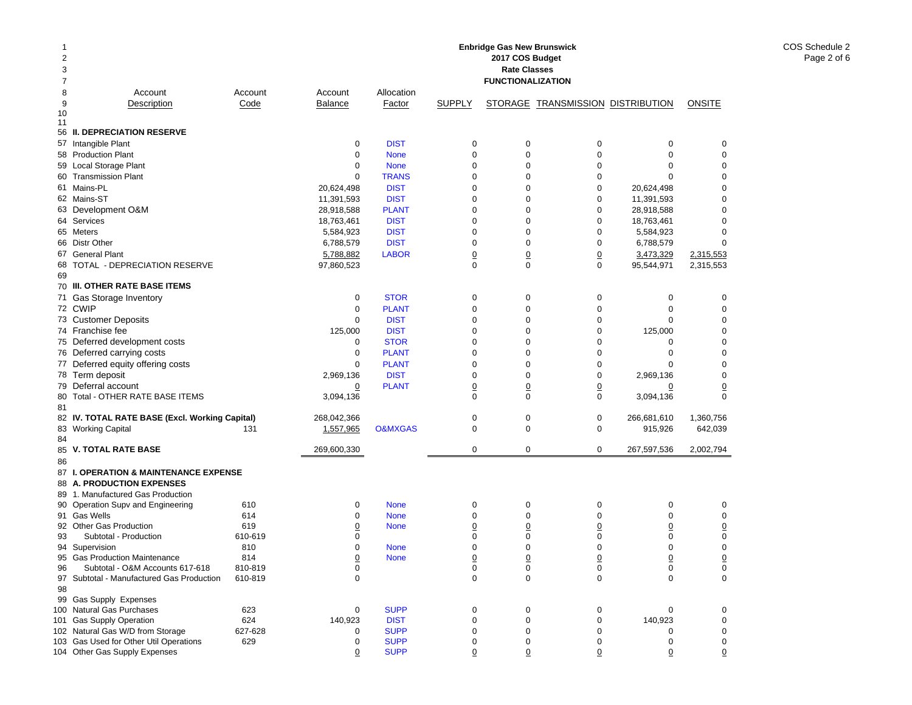| 1<br>2<br>3<br>7 |                                                                      |                |                     |                    |                | <b>Enbridge Gas New Brunswick</b><br>2017 COS Budget<br><b>Rate Classes</b><br><b>FUNCTIONALIZATION</b> |                                   |                     |               |
|------------------|----------------------------------------------------------------------|----------------|---------------------|--------------------|----------------|---------------------------------------------------------------------------------------------------------|-----------------------------------|---------------------|---------------|
| 8                | Account                                                              | Account        | Account             | Allocation         |                |                                                                                                         |                                   |                     |               |
| 9                | Description                                                          | Code           | <b>Balance</b>      | Factor             | <b>SUPPLY</b>  |                                                                                                         | STORAGE TRANSMISSION DISTRIBUTION |                     | <b>ONSITE</b> |
| 10<br>11         |                                                                      |                |                     |                    |                |                                                                                                         |                                   |                     |               |
| 56               | <b>II. DEPRECIATION RESERVE</b>                                      |                |                     |                    |                |                                                                                                         |                                   |                     |               |
|                  | 57 Intangible Plant                                                  |                | 0                   | <b>DIST</b>        | 0              | $\pmb{0}$                                                                                               | 0                                 | 0                   | 0             |
|                  | 58 Production Plant                                                  |                | $\mathbf 0$         | <b>None</b>        | $\mathbf 0$    | $\mathbf 0$                                                                                             | $\mathbf 0$                       | $\mathbf 0$         | 0             |
|                  | 59 Local Storage Plant                                               |                | $\mathbf 0$         | <b>None</b>        | 0              | $\mathbf 0$                                                                                             | $\mathbf 0$                       | $\mathbf 0$         | 0             |
|                  | 60 Transmission Plant                                                |                | $\mathbf 0$         | <b>TRANS</b>       | 0              | $\mathbf 0$                                                                                             | $\mathbf 0$                       | $\Omega$            | 0             |
|                  | 61 Mains-PL                                                          |                | 20,624,498          | <b>DIST</b>        | 0              | $\mathbf 0$                                                                                             | $\mathbf 0$                       | 20,624,498          | 0             |
|                  | 62 Mains-ST                                                          |                | 11,391,593          | <b>DIST</b>        | $\mathbf 0$    | $\mathbf 0$                                                                                             | 0                                 | 11,391,593          | 0             |
|                  | 63 Development O&M                                                   |                | 28,918,588          | <b>PLANT</b>       | 0              | $\mathbf 0$                                                                                             | $\mathbf 0$                       | 28,918,588          | 0             |
|                  | 64 Services                                                          |                | 18,763,461          | <b>DIST</b>        | 0              | $\mathbf 0$                                                                                             | 0                                 | 18,763,461          | 0             |
|                  | 65 Meters                                                            |                | 5,584,923           | <b>DIST</b>        | 0              | $\mathbf 0$                                                                                             | $\mathbf 0$                       | 5,584,923           | 0             |
|                  | 66 Distr Other                                                       |                | 6,788,579           | <b>DIST</b>        | 0              | $\mathbf 0$                                                                                             | 0                                 | 6,788,579           | 0             |
|                  | 67 General Plant                                                     |                | 5,788,882           | <b>LABOR</b>       | $\overline{0}$ | $\overline{0}$                                                                                          | $\overline{0}$                    | 3,473,329           | 2,315,553     |
| 68               | TOTAL - DEPRECIATION RESERVE                                         |                | 97,860,523          |                    | $\Omega$       | $\mathbf 0$                                                                                             | $\mathbf 0$                       | 95,544,971          | 2,315,553     |
| 69               |                                                                      |                |                     |                    |                |                                                                                                         |                                   |                     |               |
|                  | 70 III. OTHER RATE BASE ITEMS                                        |                |                     |                    |                |                                                                                                         |                                   |                     |               |
|                  | 71 Gas Storage Inventory                                             |                | 0                   | <b>STOR</b>        | 0              | $\mathbf 0$                                                                                             | 0                                 | 0                   | 0             |
|                  | 72 CWIP                                                              |                | $\mathbf 0$         | <b>PLANT</b>       | 0              | $\mathbf 0$                                                                                             | 0                                 | $\mathbf 0$         | 0             |
|                  | 73 Customer Deposits                                                 |                | $\mathbf 0$         | <b>DIST</b>        | 0              | $\mathbf 0$                                                                                             | $\mathbf 0$                       | 0                   | 0             |
|                  | 74 Franchise fee                                                     |                | 125,000             | <b>DIST</b>        | 0              | $\mathbf 0$                                                                                             | 0                                 | 125,000             | 0             |
|                  | 75 Deferred development costs                                        |                | 0                   | <b>STOR</b>        | 0              | $\mathbf 0$                                                                                             | 0                                 | 0                   | 0             |
|                  | 76 Deferred carrying costs                                           |                | $\mathbf 0$         | <b>PLANT</b>       | 0              | $\mathbf 0$                                                                                             | $\mathbf 0$                       | 0                   | 0             |
|                  | 77 Deferred equity offering costs                                    |                | $\mathbf 0$         | <b>PLANT</b>       | 0              | $\mathbf 0$                                                                                             | 0                                 | 0                   | 0             |
|                  | 78 Term deposit                                                      |                | 2,969,136           | <b>DIST</b>        | 0              | $\mathbf 0$                                                                                             | $\mathbf 0$                       | 2,969,136           | 0             |
|                  | 79 Deferral account                                                  |                | <u>0</u>            | <b>PLANT</b>       | $\overline{0}$ | $\overline{0}$                                                                                          | $\overline{0}$                    | <u>0</u>            | 0             |
| 80               | Total - OTHER RATE BASE ITEMS                                        |                | 3,094,136           |                    | 0              | $\mathbf 0$                                                                                             | $\mathbf 0$                       | 3,094,136           | 0             |
| 81               |                                                                      |                |                     |                    |                |                                                                                                         |                                   |                     |               |
|                  | 82 IV. TOTAL RATE BASE (Excl. Working Capital)                       |                | 268,042,366         |                    | 0              | $\mathbf 0$                                                                                             | 0                                 | 266,681,610         | 1,360,756     |
|                  | 83 Working Capital                                                   | 131            | 1,557,965           | <b>O&amp;MXGAS</b> | 0              | $\mathbf 0$                                                                                             | $\mathbf 0$                       | 915,926             | 642,039       |
| 84               |                                                                      |                |                     |                    |                |                                                                                                         |                                   |                     |               |
|                  | 85 V. TOTAL RATE BASE                                                |                | 269,600,330         |                    | 0              | $\mathbf 0$                                                                                             | $\mathbf 0$                       | 267,597,536         | 2,002,794     |
| 86               |                                                                      |                |                     |                    |                |                                                                                                         |                                   |                     |               |
|                  | 87 I. OPERATION & MAINTENANCE EXPENSE                                |                |                     |                    |                |                                                                                                         |                                   |                     |               |
|                  | 88 A. PRODUCTION EXPENSES                                            |                |                     |                    |                |                                                                                                         |                                   |                     |               |
|                  | 89 1. Manufactured Gas Production                                    |                |                     |                    |                |                                                                                                         |                                   |                     |               |
|                  | 90 Operation Supv and Engineering                                    | 610            | 0                   | <b>None</b>        | $\mathbf 0$    | 0                                                                                                       | 0                                 | 0                   | 0             |
|                  | 91 Gas Wells                                                         | 614            | $\mathbf 0$         | <b>None</b>        | 0              | $\mathbf 0$                                                                                             | $\mathbf 0$                       | $\mathbf 0$         | 0             |
|                  | 92 Other Gas Production                                              | 619            | $\overline{0}$      | <b>None</b>        | 0              | $\overline{0}$                                                                                          | $\overline{0}$                    | <u>0</u>            | 0             |
| 93               | Subtotal - Production                                                | 610-619        | $\mathbf 0$         |                    | 0              | $\mathbf 0$                                                                                             | 0                                 | 0                   | 0             |
|                  | 94 Supervision                                                       | 810            | $\mathbf 0$         | <b>None</b>        | $\Omega$       | $\mathbf 0$                                                                                             | $\mathbf 0$                       | 0                   | 0             |
| 95<br>96         | <b>Gas Production Maintenance</b><br>Subtotal - O&M Accounts 617-618 | 814<br>810-819 | $\overline{0}$<br>0 | <b>None</b>        | 0<br>0         | 0<br>0                                                                                                  | $\overline{0}$<br>0               | $\overline{0}$<br>0 | 0<br>0        |
|                  | 97 Subtotal - Manufactured Gas Production                            | 610-819        | $\mathbf 0$         |                    | 0              | $\mathbf 0$                                                                                             | 0                                 | $\mathbf 0$         | $\mathbf 0$   |
| 98               |                                                                      |                |                     |                    |                |                                                                                                         |                                   |                     |               |
|                  | 99 Gas Supply Expenses                                               |                |                     |                    |                |                                                                                                         |                                   |                     |               |
|                  | 100 Natural Gas Purchases                                            | 623            | 0                   | <b>SUPP</b>        | 0              | $\mathbf 0$                                                                                             | 0                                 | 0                   | 0             |
|                  | 101 Gas Supply Operation                                             | 624            | 140,923             | <b>DIST</b>        | 0              | $\pmb{0}$                                                                                               | 0                                 | 140,923             | 0             |
|                  | 102 Natural Gas W/D from Storage                                     | 627-628        | 0                   | <b>SUPP</b>        | 0              | $\mathbf 0$                                                                                             | 0                                 | 0                   | 0             |
|                  | 103 Gas Used for Other Util Operations                               | 629            | 0                   | <b>SUPP</b>        | 0              | $\mathbf 0$                                                                                             | 0                                 | 0                   | 0             |
|                  | 104 Other Gas Supply Expenses                                        |                | $\overline{0}$      | <b>SUPP</b>        | $\overline{0}$ | $\overline{0}$                                                                                          | 0                                 | $\overline{0}$      | 0             |

COS Schedule 2 Page 2 of 6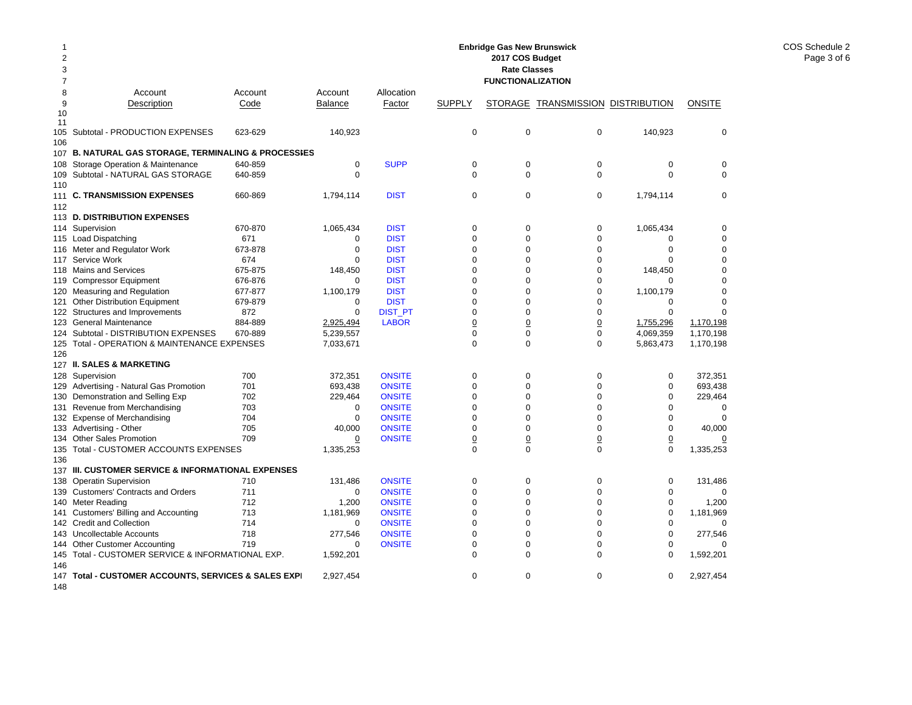| 2              |                                                             |         |                |                |                | 2017 COS Budget          |                                   |                 |               |
|----------------|-------------------------------------------------------------|---------|----------------|----------------|----------------|--------------------------|-----------------------------------|-----------------|---------------|
| 3              |                                                             |         |                |                |                | <b>Rate Classes</b>      |                                   |                 |               |
| $\overline{7}$ |                                                             |         |                |                |                | <b>FUNCTIONALIZATION</b> |                                   |                 |               |
| 8              | Account                                                     | Account | Account        | Allocation     |                |                          |                                   |                 |               |
| 9              | Description                                                 | Code    | <b>Balance</b> | Factor         | <b>SUPPLY</b>  |                          | STORAGE TRANSMISSION DISTRIBUTION |                 | <b>ONSITE</b> |
| 10<br>11       |                                                             |         |                |                |                |                          |                                   |                 |               |
| 105            | Subtotal - PRODUCTION EXPENSES                              | 623-629 | 140,923        |                | 0              | $\mathbf 0$              | $\mathbf 0$                       | 140,923         | $\mathbf 0$   |
| 106            |                                                             |         |                |                |                |                          |                                   |                 |               |
| 107            | <b>B. NATURAL GAS STORAGE, TERMINALING &amp; PROCESSIES</b> |         |                |                |                |                          |                                   |                 |               |
| 108            | Storage Operation & Maintenance                             | 640-859 | $\mathbf 0$    | <b>SUPP</b>    | 0              | $\mathbf 0$              | 0                                 | 0               | $\mathbf 0$   |
| 109            | Subtotal - NATURAL GAS STORAGE                              | 640-859 | $\Omega$       |                | $\Omega$       | $\Omega$                 | $\Omega$                          | $\Omega$        | $\Omega$      |
| 110            |                                                             |         |                |                |                |                          |                                   |                 |               |
| 111            | <b>C. TRANSMISSION EXPENSES</b>                             | 660-869 | 1,794,114      | <b>DIST</b>    | 0              | $\mathbf 0$              | 0                                 | 1,794,114       | $\mathbf 0$   |
| 112            |                                                             |         |                |                |                |                          |                                   |                 |               |
|                | 113 D. DISTRIBUTION EXPENSES                                |         |                |                |                |                          |                                   |                 |               |
| 114            | Supervision                                                 | 670-870 | 1,065,434      | <b>DIST</b>    | 0              | $\mathbf 0$              | 0                                 | 1,065,434       | $\mathbf 0$   |
|                | 115 Load Dispatching                                        | 671     | 0              | <b>DIST</b>    | $\Omega$       | $\Omega$                 | $\Omega$                          | $\Omega$        | $\mathbf 0$   |
| 116            | Meter and Regulator Work                                    | 673-878 | 0              | <b>DIST</b>    | 0              | $\Omega$                 | $\mathbf 0$                       | $\Omega$        | 0             |
|                | 117 Service Work                                            | 674     | 0              | <b>DIST</b>    | 0              | 0                        | $\mathbf 0$                       | $\Omega$        | $\mathbf 0$   |
|                | 118 Mains and Services                                      | 675-875 | 148,450        | <b>DIST</b>    | 0              | $\Omega$                 | $\mathbf 0$                       | 148,450         | $\Omega$      |
| 119            | <b>Compressor Equipment</b>                                 | 676-876 | 0              | <b>DIST</b>    | 0              | 0                        | $\mathbf 0$                       | $\Omega$        | $\mathbf 0$   |
| 120            | <b>Measuring and Regulation</b>                             | 677-877 | 1,100,179      | <b>DIST</b>    | 0              | 0                        | $\mathbf 0$                       | 1,100,179       | $\Omega$      |
| 121            | <b>Other Distribution Equipment</b>                         | 679-879 | 0              | <b>DIST</b>    | 0              | $\Omega$                 | $\mathbf 0$                       | 0               | $\Omega$      |
|                | 122 Structures and Improvements                             | 872     | $\mathbf 0$    | <b>DIST_PT</b> | 0              | $\Omega$                 | $\mathbf 0$                       | $\mathbf 0$     | $\Omega$      |
|                | 123 General Maintenance                                     | 884-889 | 2,925,494      | <b>LABOR</b>   | 0              | $\overline{0}$           | $\underline{0}$                   | 1,755,296       | 1,170,198     |
|                | 124 Subtotal - DISTRIBUTION EXPENSES                        | 670-889 | 5,239,557      |                | 0              | $\mathbf 0$              | $\boldsymbol{0}$                  | 4,069,359       | 1,170,198     |
|                | 125 Total - OPERATION & MAINTENANCE EXPENSES                |         | 7,033,671      |                | 0              | $\mathbf 0$              | $\mathbf 0$                       | 5,863,473       | 1,170,198     |
| 126            |                                                             |         |                |                |                |                          |                                   |                 |               |
|                | 127 II. SALES & MARKETING                                   |         |                |                |                |                          |                                   |                 |               |
|                | 128 Supervision                                             | 700     | 372,351        | <b>ONSITE</b>  | 0              | $\mathbf 0$              | $\mathbf 0$                       | $\mathbf 0$     | 372,351       |
|                | 129 Advertising - Natural Gas Promotion                     | 701     | 693,438        | <b>ONSITE</b>  | $\Omega$       | $\Omega$                 | $\mathbf 0$                       | $\Omega$        | 693,438       |
| 130            | Demonstration and Selling Exp                               | 702     | 229,464        | <b>ONSITE</b>  | 0              | $\Omega$                 | $\mathbf 0$                       | 0               | 229,464       |
| 131            | Revenue from Merchandising                                  | 703     | 0              | <b>ONSITE</b>  | 0              | 0                        | $\mathbf 0$                       | $\mathbf 0$     | $\mathbf 0$   |
|                | 132 Expense of Merchandising                                | 704     | $\Omega$       | <b>ONSITE</b>  | $\Omega$       | $\Omega$                 | $\Omega$                          | $\Omega$        | $\Omega$      |
|                | 133 Advertising - Other                                     | 705     | 40,000         | <b>ONSITE</b>  | 0              | $\mathbf 0$              | $\mathbf 0$                       | 0               | 40,000        |
|                | 134 Other Sales Promotion                                   | 709     | 0              | <b>ONSITE</b>  | $\overline{0}$ | $\overline{0}$           | $\overline{0}$                    | $\underline{0}$ | 0             |
| 135            | Total - CUSTOMER ACCOUNTS EXPENSES                          |         | 1,335,253      |                | $\Omega$       | $\Omega$                 | $\mathbf 0$                       | $\Omega$        | 1,335,253     |
| 136            |                                                             |         |                |                |                |                          |                                   |                 |               |
|                | 137 III. CUSTOMER SERVICE & INFORMATIONAL EXPENSES          |         |                |                |                |                          |                                   |                 |               |
| 138            | <b>Operatin Supervision</b>                                 | 710     | 131,486        | <b>ONSITE</b>  | 0              | $\mathbf 0$              | $\mathbf 0$                       | 0               | 131,486       |
| 139            | <b>Customers' Contracts and Orders</b>                      | 711     | 0              | <b>ONSITE</b>  | 0              | 0                        | 0                                 | $\Omega$        | 0             |
| 140            | <b>Meter Reading</b>                                        | 712     | 1,200          | <b>ONSITE</b>  | 0              | $\mathbf 0$              | $\mathbf 0$                       | 0               | 1,200         |
| 141            | Customers' Billing and Accounting                           | 713     | 1,181,969      | <b>ONSITE</b>  | $\Omega$       | $\Omega$                 | $\Omega$                          | 0               | 1,181,969     |
|                | 142 Credit and Collection                                   | 714     | 0              | <b>ONSITE</b>  | $\Omega$       | $\Omega$                 | $\Omega$                          | $\Omega$        | 0             |
| 143            | Uncollectable Accounts                                      | 718     | 277,546        | <b>ONSITE</b>  | $\overline{0}$ | $\Omega$                 | $\mathbf 0$                       | $\mathbf 0$     | 277,546       |
|                | 144 Other Customer Accounting                               | 719     | $\Omega$       | <b>ONSITE</b>  | $\Omega$<br>0  | 0                        | $\mathbf 0$<br>$\mathbf 0$        | $\Omega$        |               |
| 145<br>146     | Total - CUSTOMER SERVICE & INFORMATIONAL EXP.               |         | 1,592,201      |                |                | $\Omega$                 |                                   | 0               | 1,592,201     |
|                | 147 Total - CUSTOMER ACCOUNTS, SERVICES & SALES EXPI        |         | 2,927,454      |                | 0              | 0                        | $\mathbf 0$                       | 0               | 2,927,454     |
|                |                                                             |         |                |                |                |                          |                                   |                 |               |

**Enbridge Gas New Brunswick** 

148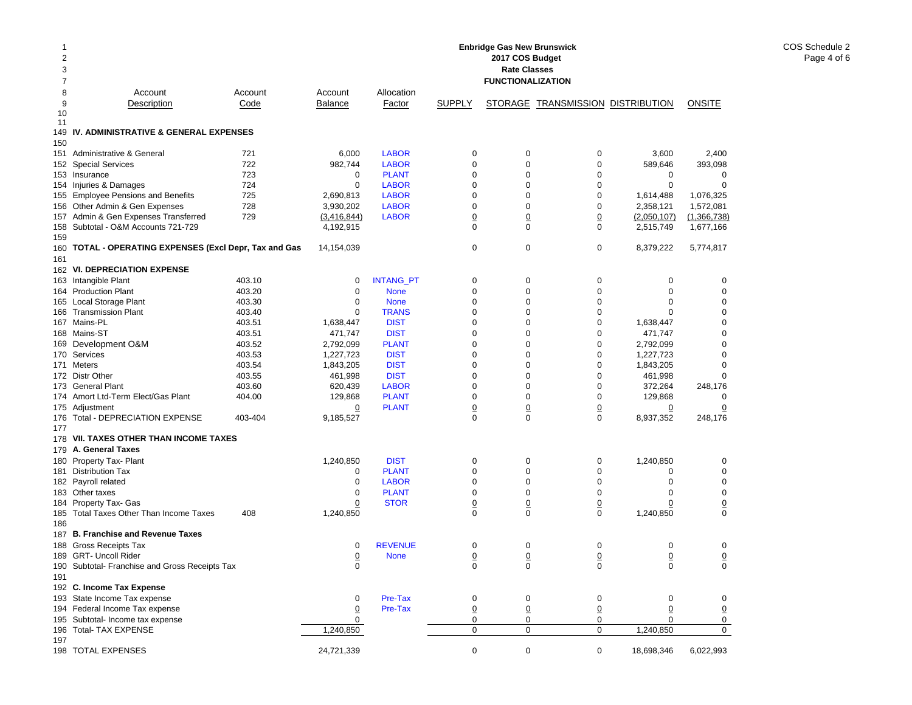| 1<br>2<br>3<br>7 | <b>Enbridge Gas New Brunswick</b><br>2017 COS Budget<br><b>Rate Classes</b><br><b>FUNCTIONALIZATION</b> |            |                |                              |                      |                     |                                   |                  |                  |  |
|------------------|---------------------------------------------------------------------------------------------------------|------------|----------------|------------------------------|----------------------|---------------------|-----------------------------------|------------------|------------------|--|
| 8                | Account                                                                                                 | Account    | Account        | Allocation                   |                      |                     |                                   |                  |                  |  |
| 9                | Description                                                                                             | Code       | <b>Balance</b> | Factor                       | <b>SUPPLY</b>        |                     | STORAGE TRANSMISSION DISTRIBUTION |                  | <b>ONSITE</b>    |  |
| 10               |                                                                                                         |            |                |                              |                      |                     |                                   |                  |                  |  |
| 11               |                                                                                                         |            |                |                              |                      |                     |                                   |                  |                  |  |
| 149              | IV. ADMINISTRATIVE & GENERAL EXPENSES                                                                   |            |                |                              |                      |                     |                                   |                  |                  |  |
| 150              |                                                                                                         |            |                |                              |                      |                     |                                   |                  |                  |  |
| 151              | Administrative & General                                                                                | 721        | 6,000          | <b>LABOR</b>                 | 0                    | 0                   | 0                                 | 3,600            | 2,400            |  |
|                  | 152 Special Services<br>153 Insurance                                                                   | 722        | 982,744        | <b>LABOR</b>                 | $\mathbf 0$          | 0<br>0              | 0                                 | 589,646          | 393,098          |  |
|                  | 154 Injuries & Damages                                                                                  | 723<br>724 | 0<br>0         | <b>PLANT</b><br><b>LABOR</b> | 0<br>0               | 0                   | 0<br>0                            | 0<br>$\mathbf 0$ | 0<br>$\mathbf 0$ |  |
|                  | 155 Employee Pensions and Benefits                                                                      | 725        | 2,690,813      | <b>LABOR</b>                 | 0                    | 0                   | 0                                 | 1,614,488        | 1,076,325        |  |
|                  | 156 Other Admin & Gen Expenses                                                                          | 728        | 3,930,202      | <b>LABOR</b>                 | 0                    | 0                   | 0                                 | 2,358,121        | 1,572,081        |  |
|                  | 157 Admin & Gen Expenses Transferred                                                                    | 729        | (3,416,844)    | <b>LABOR</b>                 | 0                    | $\underline{0}$     | <u>0</u>                          | (2,050,107)      | (1,366,738)      |  |
|                  | 158 Subtotal - O&M Accounts 721-729                                                                     |            | 4,192,915      |                              | $\Omega$             | 0                   | 0                                 | 2,515,749        | 1,677,166        |  |
| 159              |                                                                                                         |            |                |                              |                      |                     |                                   |                  |                  |  |
| 160              | <b>TOTAL - OPERATING EXPENSES (Excl Depr, Tax and Gas</b>                                               |            | 14,154,039     |                              | 0                    | 0                   | 0                                 | 8,379,222        | 5,774,817        |  |
| 161              |                                                                                                         |            |                |                              |                      |                     |                                   |                  |                  |  |
|                  | 162 VI. DEPRECIATION EXPENSE                                                                            |            |                |                              |                      |                     |                                   |                  |                  |  |
|                  | 163 Intangible Plant                                                                                    | 403.10     | 0              | <b>INTANG_PT</b>             | 0                    | 0                   | 0                                 | 0                | 0                |  |
|                  | 164 Production Plant                                                                                    | 403.20     | $\mathbf 0$    | <b>None</b>                  | $\mathbf 0$          | 0                   | 0                                 | $\mathbf 0$      | 0                |  |
|                  | 165 Local Storage Plant                                                                                 | 403.30     | 0              | <b>None</b>                  | 0                    | 0                   | 0                                 | $\mathbf 0$      | 0                |  |
|                  | 166 Transmission Plant                                                                                  | 403.40     | 0              | <b>TRANS</b>                 | $\mathbf 0$          | 0                   | 0                                 | $\Omega$         | 0                |  |
|                  | 167 Mains-PL                                                                                            | 403.51     | 1,638,447      | <b>DIST</b>                  | $\mathbf 0$          | 0                   | 0                                 | 1,638,447        | $\mathbf 0$      |  |
|                  | 168 Mains-ST                                                                                            | 403.51     | 471,747        | <b>DIST</b>                  | $\Omega$             | 0                   | 0                                 | 471,747          | $\mathbf 0$      |  |
|                  | 169 Development O&M                                                                                     | 403.52     | 2,792,099      | <b>PLANT</b>                 | 0                    | 0                   | 0                                 | 2,792,099        | 0                |  |
|                  | 170 Services                                                                                            | 403.53     | 1,227,723      | <b>DIST</b>                  | 0                    | 0                   | 0                                 | 1,227,723        | $\mathbf 0$      |  |
|                  | 171 Meters                                                                                              | 403.54     | 1,843,205      | <b>DIST</b>                  | 0                    | 0                   | 0                                 | 1,843,205        | $\mathbf 0$      |  |
|                  | 172 Distr Other                                                                                         | 403.55     | 461,998        | <b>DIST</b>                  | 0                    | 0                   | 0                                 | 461,998          | $\Omega$         |  |
|                  | 173 General Plant                                                                                       | 403.60     | 620,439        | <b>LABOR</b>                 | $\mathbf 0$          | 0                   | 0                                 | 372,264          | 248,176          |  |
|                  | 174 Amort Ltd-Term Elect/Gas Plant                                                                      | 404.00     | 129,868        | <b>PLANT</b>                 | $\mathbf 0$          | 0                   | 0                                 | 129,868          | 0                |  |
|                  | 175 Adjustment                                                                                          |            | <u>0</u>       | <b>PLANT</b>                 | $\overline{0}$       | $\overline{0}$      | $\overline{0}$                    | $\overline{0}$   | 0                |  |
| 176              | Total - DEPRECIATION EXPENSE                                                                            | 403-404    | 9,185,527      |                              | 0                    | $\mathbf 0$         | $\Omega$                          | 8,937,352        | 248,176          |  |
| 177              |                                                                                                         |            |                |                              |                      |                     |                                   |                  |                  |  |
|                  | 178 VII. TAXES OTHER THAN INCOME TAXES                                                                  |            |                |                              |                      |                     |                                   |                  |                  |  |
|                  | 179 A. General Taxes                                                                                    |            |                |                              |                      |                     |                                   |                  |                  |  |
|                  | 180 Property Tax- Plant                                                                                 |            | 1,240,850      | <b>DIST</b>                  | $\mathbf 0$          | 0                   | 0                                 | 1,240,850        | 0                |  |
|                  | 181 Distribution Tax                                                                                    |            | 0              | <b>PLANT</b>                 | $\mathbf 0$          | $\mathbf 0$         | 0                                 | 0                | $\mathbf 0$      |  |
|                  | 182 Payroll related                                                                                     |            | 0              | <b>LABOR</b>                 | $\mathbf 0$          | 0                   | 0                                 | $\mathbf 0$      | $\mathbf 0$      |  |
|                  | 183 Other taxes                                                                                         |            | 0              | <b>PLANT</b>                 | 0                    | 0                   | 0                                 | 0                | $\mathbf 0$      |  |
|                  | 184 Property Tax- Gas                                                                                   |            | $\overline{0}$ | <b>STOR</b>                  | 0                    | $\overline{0}$      | 0                                 | $\overline{0}$   | $\overline{0}$   |  |
| 185              | Total Taxes Other Than Income Taxes                                                                     | 408        | 1,240,850      |                              | $\Omega$             | $\mathbf 0$         | 0                                 | 1,240,850        | $\Omega$         |  |
| 186              | 187 B. Franchise and Revenue Taxes                                                                      |            |                |                              |                      |                     |                                   |                  |                  |  |
|                  | 188 Gross Receipts Tax                                                                                  |            |                | <b>REVENUE</b>               | 0                    | 0                   | 0                                 | 0                | 0                |  |
|                  | 189 GRT- Uncoll Rider                                                                                   |            | 0              |                              |                      |                     |                                   |                  |                  |  |
|                  | 190 Subtotal- Franchise and Gross Receipts Tax                                                          |            | <u>0</u><br>0  | <b>None</b>                  | $\underline{0}$<br>0 | $\overline{0}$<br>0 | 0<br>0                            | $\pmb{0}$<br>0   | 0<br>$\mathbf 0$ |  |
| 191              |                                                                                                         |            |                |                              |                      |                     |                                   |                  |                  |  |
|                  | 192 C. Income Tax Expense                                                                               |            |                |                              |                      |                     |                                   |                  |                  |  |
|                  | 193 State Income Tax expense                                                                            |            | 0              | Pre-Tax                      | 0                    | 0                   | 0                                 | 0                | 0                |  |
|                  | 194 Federal Income Tax expense                                                                          |            | <u>0</u>       | Pre-Tax                      | 0                    | $\underline{0}$     | 0                                 | 0                | $\overline{0}$   |  |
|                  | 195 Subtotal- Income tax expense                                                                        |            | 0              |                              | 0                    | 0                   | 0                                 | 0                | 0                |  |
|                  | 196 Total- TAX EXPENSE                                                                                  |            | 1,240,850      |                              | $\mathbf 0$          | 0                   | $\mathbf 0$                       | 1,240,850        | 0                |  |
| 197              |                                                                                                         |            |                |                              |                      |                     |                                   |                  |                  |  |
|                  | 198 TOTAL EXPENSES                                                                                      |            | 24,721,339     |                              | $\mathbf 0$          | $\pmb{0}$           | $\mathbf 0$                       | 18,698,346       | 6,022,993        |  |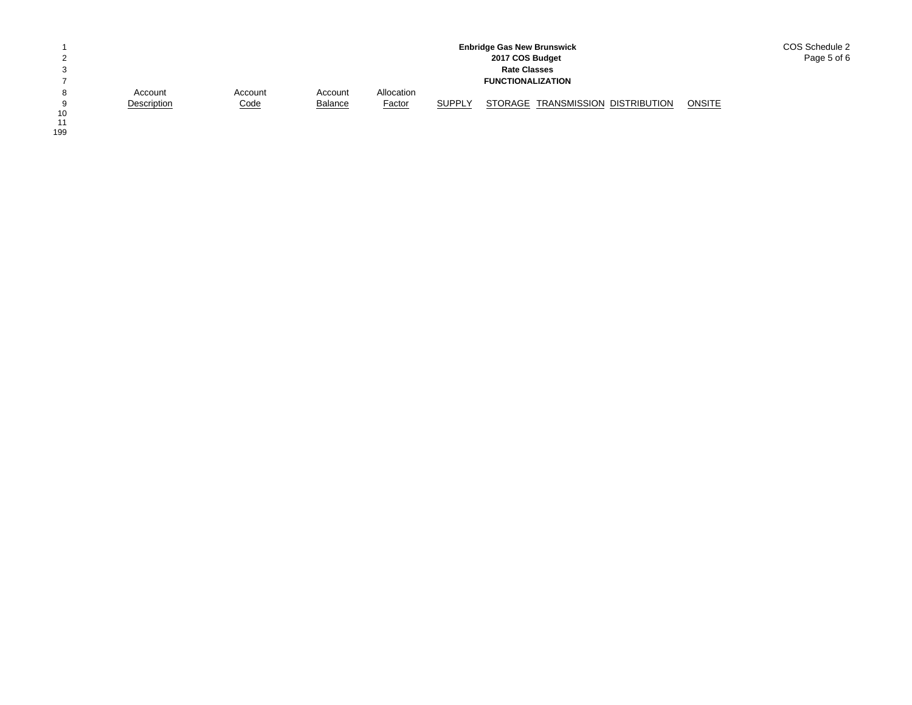|          |             |             |                |               |               | <b>Enbridge Gas New Brunswick</b> | COS Schedule 2 |
|----------|-------------|-------------|----------------|---------------|---------------|-----------------------------------|----------------|
| っ        |             |             |                |               |               | 2017 COS Budget                   | Page 5 of 6    |
| 3        |             |             |                |               |               | <b>Rate Classes</b>               |                |
|          |             |             |                |               |               | <b>FUNCTIONALIZATION</b>          |                |
| 8        | Account     | Account     | Account        | Allocation    |               |                                   |                |
| $\Omega$ | Description | <u>Code</u> | <b>Balance</b> | <b>Factor</b> | <b>SUPPLY</b> | STORAGE TRANSMISSION DISTRIBUTION | <b>ONSITE</b>  |
| 10       |             |             |                |               |               |                                   |                |

10<br>11<br>199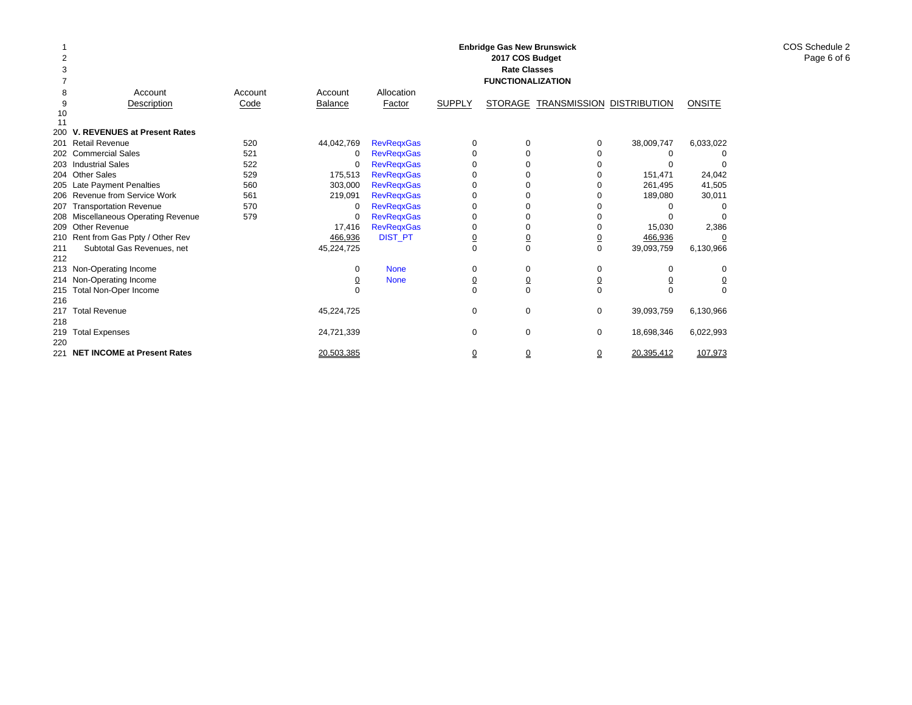|     |                                     |         |                |                   |                | <b>Enbridge Gas New Brunswick</b><br>2017 COS Budget |                           |            |               |
|-----|-------------------------------------|---------|----------------|-------------------|----------------|------------------------------------------------------|---------------------------|------------|---------------|
| 3   |                                     |         |                |                   |                | <b>Rate Classes</b>                                  |                           |            |               |
|     |                                     |         |                |                   |                | <b>FUNCTIONALIZATION</b>                             |                           |            |               |
| 8   | Account                             | Account | Account        | Allocation        |                |                                                      |                           |            |               |
| 9   | Description                         | Code    | <b>Balance</b> | Factor            | <b>SUPPLY</b>  | <b>STORAGE</b>                                       | TRANSMISSION DISTRIBUTION |            | <b>ONSITE</b> |
| 10  |                                     |         |                |                   |                |                                                      |                           |            |               |
| 11  |                                     |         |                |                   |                |                                                      |                           |            |               |
| 200 | V. REVENUES at Present Rates        |         |                |                   |                |                                                      |                           |            |               |
| 201 | <b>Retail Revenue</b>               | 520     | 44,042,769     | <b>RevRegxGas</b> | 0              | 0                                                    | 0                         | 38,009,747 | 6,033,022     |
|     | 202 Commercial Sales                | 521     | 0              | <b>RevRegxGas</b> | 0              | U                                                    | 0                         | 0          |               |
|     | 203 Industrial Sales                | 522     | $\Omega$       | <b>RevRegxGas</b> | 0              | $\Omega$                                             | O                         |            | 0             |
|     | 204 Other Sales                     | 529     | 175,513        | <b>RevRegxGas</b> | 0              |                                                      |                           | 151,471    | 24,042        |
|     | 205 Late Payment Penalties          | 560     | 303,000        | <b>RevRegxGas</b> | 0              |                                                      |                           | 261,495    | 41,505        |
|     | 206 Revenue from Service Work       | 561     | 219,091        | <b>RevRegxGas</b> | 0              |                                                      |                           | 189,080    | 30,011        |
| 207 | <b>Transportation Revenue</b>       | 570     | 0              | <b>RevRegxGas</b> | 0              |                                                      |                           |            |               |
|     | 208 Miscellaneous Operating Revenue | 579     | 0              | <b>RevRegxGas</b> | 0              |                                                      |                           |            |               |
|     | 209 Other Revenue                   |         | 17,416         | <b>RevRegxGas</b> | 0              | 0                                                    |                           | 15,030     | 2,386         |
|     | 210 Rent from Gas Ppty / Other Rev  |         | 466,936        | <b>DIST_PT</b>    | $\overline{0}$ | $\overline{0}$                                       | $\overline{0}$            | 466,936    | 0             |
| 211 | Subtotal Gas Revenues, net          |         | 45,224,725     |                   | $\Omega$       | $\Omega$                                             | $\mathbf 0$               | 39,093,759 | 6,130,966     |
| 212 |                                     |         |                |                   |                |                                                      |                           |            |               |
|     | 213 Non-Operating Income            |         | 0              | <b>None</b>       | 0              | 0                                                    | 0                         | $\Omega$   | 0             |
|     | 214 Non-Operating Income            |         | <u>0</u>       | <b>None</b>       | <u>0</u>       | 0                                                    | <u>0</u>                  |            | <u>0</u>      |
| 215 | Total Non-Oper Income               |         |                |                   | $\Omega$       | $\Omega$                                             | $\Omega$                  | $\Omega$   | $\Omega$      |
| 216 |                                     |         |                |                   |                |                                                      |                           |            |               |
| 217 | <b>Total Revenue</b>                |         | 45,224,725     |                   | 0              | 0                                                    | $\mathbf 0$               | 39,093,759 | 6,130,966     |
| 218 |                                     |         |                |                   |                |                                                      |                           |            |               |
| 219 | <b>Total Expenses</b>               |         | 24,721,339     |                   | 0              | $\Omega$                                             | $\mathbf 0$               | 18,698,346 | 6,022,993     |
| 220 |                                     |         |                |                   |                |                                                      |                           |            |               |
| 221 | <b>NET INCOME at Present Rates</b>  |         | 20.503.385     |                   | ₫              | $\overline{0}$                                       | $\Omega$                  | 20.395.412 | 107.973       |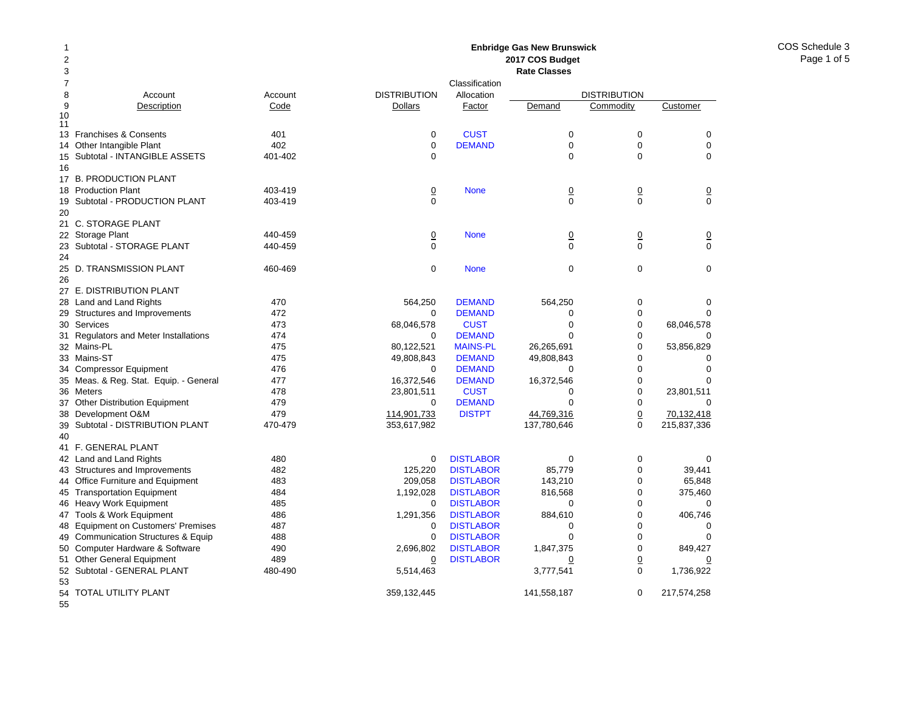COS Schedule 3Page 1 of 5

### Account Account Description Code 13 Franchises & Consents 401 14 Other Intangible Plant 402 Subtotal - INTANGIBLE ASSETS 401-402 17 B. PRODUCTION PLANT 18 Production Plant 403-419 Subtotal - PRODUCTION PLANT 403-419 21 C. STORAGE PLANT 22 Storage Plant 440-459 23 Subtotal - STORAGE PLANT 440-459 25 D. TRANSMISSION PLANT 460-469 27 E. DISTRIBUTION PLANT 28 Land and Land Rights 470 29 Structures and Improvements 472 Services 473 Regulators and Meter Installations 474 Mains-PL 475 33 Mains-ST 475 Compressor Equipment 476 Meas. & Reg. Stat. Equip. - General 477 36 Meters 478 Other Distribution Equipment 479 Development O&M 479 Subtotal - DISTRIBUTION PLANT 470-479 41 F. GENERAL PLANT 42 Land and Land Rights 480 43 Structures and Improvements 482 44 Office Furniture and Equipment 483 45 Transportation Equipment 484 46 Heavy Work Equipment 485 47 Tools & Work Equipment 486 48 Equipment on Customers' Premises 487 49 Communication Structures & Equip 488 Computer Hardware & Software 490 51 Other General Equipment 489 52 Subtotal - GENERAL PLANT 480-490 **2017 COS Budget Rate Classes**ClassificationDISTRIBUTION Allocation DISTRIBUTION**Dollars** Factor Demand Commodity Customer 0**CUST** T 0 0 0 0**DEMAND** D 0 0 0 0 0000**None** e 0 0 0 0 00000 None 0 0 0  $\begin{array}{ccccccc}\n0 & 0 & 0 & 0\n\end{array}$ 0 None 000 564,250 DEMAND 564,250 0 0 0 DEMANDD 0 0 0 68,046,578 CUST 0 0 68,046,578 0 DEMANDD 0 0 0 80,122,521 MAINS-PL 26,265,691 0 53,856,829 49,808,843 DEMAND 49,808,843 0 0  $\Omega$  DEMANDD 0 0 0 16,372,546 DEMAND 16,372,546 0 0 0 23,801,511 CUST 0 0 23,801,511 0 DEMANDD 0 0 0 114,901,733 DISTPT 44,769,316 0 70,132,418 353,617,982 137,780,646 0 215,837,336 0**DISTLABOR** R 0 0 0 125,220 DISTLABOR 85,779 0 39,441 209,058 DISTLABOR 143,210 0 65,848 1,192,028 DISTLABOR 816,568 0 375,460  $\Omega$ **DISTLABOR** R 0 0 0 1,291,356 DISTLABOR 884,610 0 406,746 0**DISTLABOR** R 0 0 0 0**DISTLABOR** R 0 0 0 2,696,802 DISTLABOR 1,847,375 0 849,427 0 DISTLABORR 0 0 0 0 5,514,463 3,777,541 0 1,736,922

**Enbridge Gas New Brunswick** 

359,132,445 141,558,187 0 217,574,258

54 TOTAL UTILITY PLANT

55

50

53

9

1011

15

16

19

20

24

26

30

31

32

34

35

37

38

39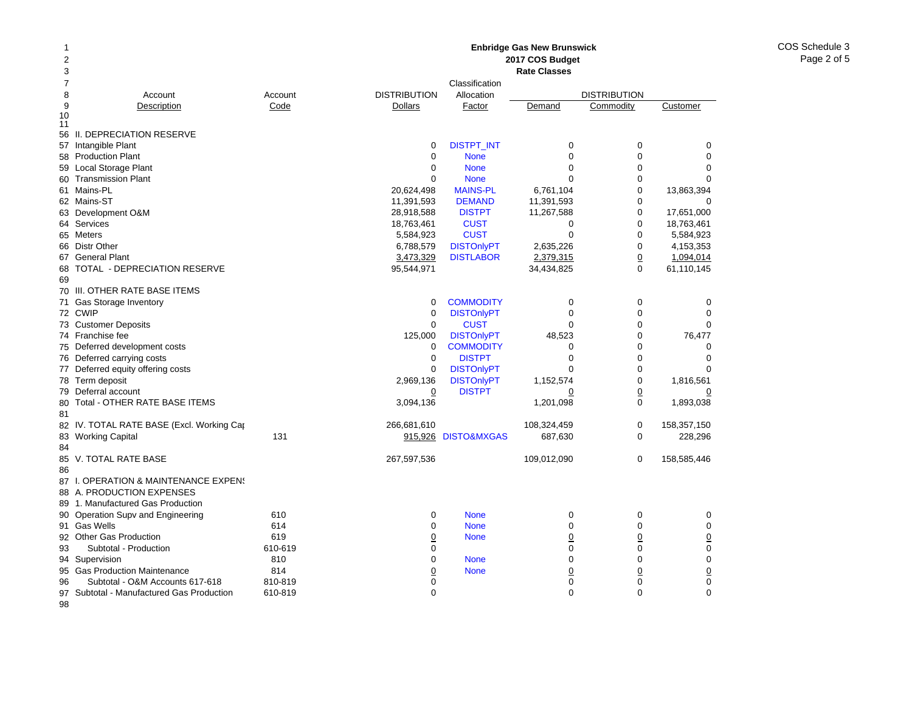### **Enbridge Gas New Brunswick 2017 COS Budget Rate Classes** ClassificationDISTRIBUTION Allocationn DISTRIBUTION **Dollars** Factor Demand Commodity Customer

| 10<br>11 |                                           |         |                |                     |                |                |                |
|----------|-------------------------------------------|---------|----------------|---------------------|----------------|----------------|----------------|
| 56       | II. DEPRECIATION RESERVE                  |         |                |                     |                |                |                |
|          | 57 Intangible Plant                       |         | 0              | <b>DISTPT_INT</b>   | 0              | 0              | 0              |
|          | 58 Production Plant                       |         | $\mathbf 0$    | <b>None</b>         | $\mathbf 0$    | $\mathbf 0$    | 0              |
|          | 59 Local Storage Plant                    |         | 0              | <b>None</b>         | $\mathbf 0$    | 0              | $\overline{0}$ |
|          | 60 Transmission Plant                     |         | $\mathbf 0$    | <b>None</b>         | $\mathbf 0$    | 0              | $\Omega$       |
|          | 61 Mains-PL                               |         | 20,624,498     | <b>MAINS-PL</b>     | 6,761,104      | $\mathbf 0$    | 13,863,394     |
|          | 62 Mains-ST                               |         | 11,391,593     | <b>DEMAND</b>       | 11,391,593     | 0              | $\Omega$       |
|          | 63 Development O&M                        |         | 28,918,588     | <b>DISTPT</b>       | 11,267,588     | 0              | 17,651,000     |
|          | 64 Services                               |         | 18,763,461     | <b>CUST</b>         | 0              | $\mathbf 0$    | 18,763,461     |
|          | 65 Meters                                 |         | 5,584,923      | <b>CUST</b>         | $\mathbf 0$    | $\Omega$       | 5,584,923      |
|          | 66 Distr Other                            |         | 6,788,579      | <b>DISTOnlyPT</b>   | 2,635,226      | 0              | 4,153,353      |
|          | 67 General Plant                          |         | 3,473,329      | <b>DISTLABOR</b>    | 2,379,315      | $\overline{0}$ | 1,094,014      |
| 68       | TOTAL - DEPRECIATION RESERVE              |         | 95,544,971     |                     | 34,434,825     | $\Omega$       | 61,110,145     |
| 69       |                                           |         |                |                     |                |                |                |
|          | 70 III. OTHER RATE BASE ITEMS             |         |                |                     |                |                |                |
|          | 71 Gas Storage Inventory                  |         | 0              | <b>COMMODITY</b>    | $\mathbf 0$    | 0              | 0              |
|          | 72 CWIP                                   |         | $\mathbf 0$    | <b>DISTOnlyPT</b>   | $\mathbf 0$    | $\mathbf 0$    | $\Omega$       |
|          | 73 Customer Deposits                      |         | $\Omega$       | <b>CUST</b>         | $\Omega$       | $\Omega$       | $\Omega$       |
|          | 74 Franchise fee                          |         | 125,000        | <b>DISTOnlyPT</b>   | 48,523         | $\Omega$       | 76,477         |
|          | 75 Deferred development costs             |         | 0              | <b>COMMODITY</b>    | 0              | 0              | $\Omega$       |
|          | 76 Deferred carrying costs                |         | $\mathbf 0$    | <b>DISTPT</b>       | $\mathbf 0$    | 0              | $\Omega$       |
|          | 77 Deferred equity offering costs         |         | 0              | <b>DISTOnlyPT</b>   | $\mathbf 0$    | $\mathbf 0$    | $\Omega$       |
|          | 78 Term deposit                           |         | 2,969,136      | <b>DISTOnlyPT</b>   | 1,152,574      | $\mathbf 0$    | 1,816,561      |
|          | 79 Deferral account                       |         | $\overline{0}$ | <b>DISTPT</b>       | $\overline{0}$ | $\overline{0}$ | <u>0</u>       |
| 80       | Total - OTHER RATE BASE ITEMS             |         | 3,094,136      |                     | 1,201,098      | 0              | 1,893,038      |
| 81       |                                           |         |                |                     |                |                |                |
|          | 82 IV. TOTAL RATE BASE (Excl. Working Car |         | 266,681,610    |                     | 108,324,459    | 0              | 158,357,150    |
|          | 83 Working Capital                        | 131     |                | 915,926 DISTO&MXGAS | 687,630        | $\mathbf 0$    | 228,296        |
| 84       |                                           |         |                |                     |                |                |                |
|          | 85 V. TOTAL RATE BASE                     |         | 267,597,536    |                     | 109,012,090    | 0              | 158,585,446    |
| 86       |                                           |         |                |                     |                |                |                |
|          | 87 I. OPERATION & MAINTENANCE EXPENS      |         |                |                     |                |                |                |
|          | 88 A. PRODUCTION EXPENSES                 |         |                |                     |                |                |                |
|          | 89 1. Manufactured Gas Production         |         |                |                     |                |                |                |
|          | 90 Operation Supv and Engineering         | 610     | $\mathbf 0$    | <b>None</b>         | $\mathbf 0$    | $\mathbf 0$    | 0              |
|          | 91 Gas Wells                              | 614     | $\Omega$       | <b>None</b>         | $\mathbf 0$    | $\Omega$       | $\mathbf 0$    |
|          | 92 Other Gas Production                   | 619     | $\overline{0}$ | <b>None</b>         | $\overline{0}$ | $\overline{0}$ | $\overline{0}$ |
| 93       | Subtotal - Production                     | 610-619 | $\Omega$       |                     | $\mathbf 0$    | $\mathbf 0$    | $\mathbf 0$    |
|          | 94 Supervision                            | 810     | $\Omega$       | <b>None</b>         | $\mathbf 0$    | $\mathbf 0$    | $\mathbf 0$    |
|          | 95 Gas Production Maintenance             | 814     | $\overline{0}$ | <b>None</b>         | $\overline{0}$ | $\overline{0}$ | $\overline{0}$ |
| 96       | Subtotal - O&M Accounts 617-618           | 810-819 | 0              |                     | $\pmb{0}$      | $\mathbf 0$    | $\mathbf 0$    |
|          | 97 Subtotal - Manufactured Gas Production | 610-819 | $\Omega$       |                     | $\mathbf 0$    | $\mathbf 0$    | $\mathbf 0$    |
| 98       |                                           |         |                |                     |                |                |                |

9

Account Account<br>
<u>Description</u> Code

Description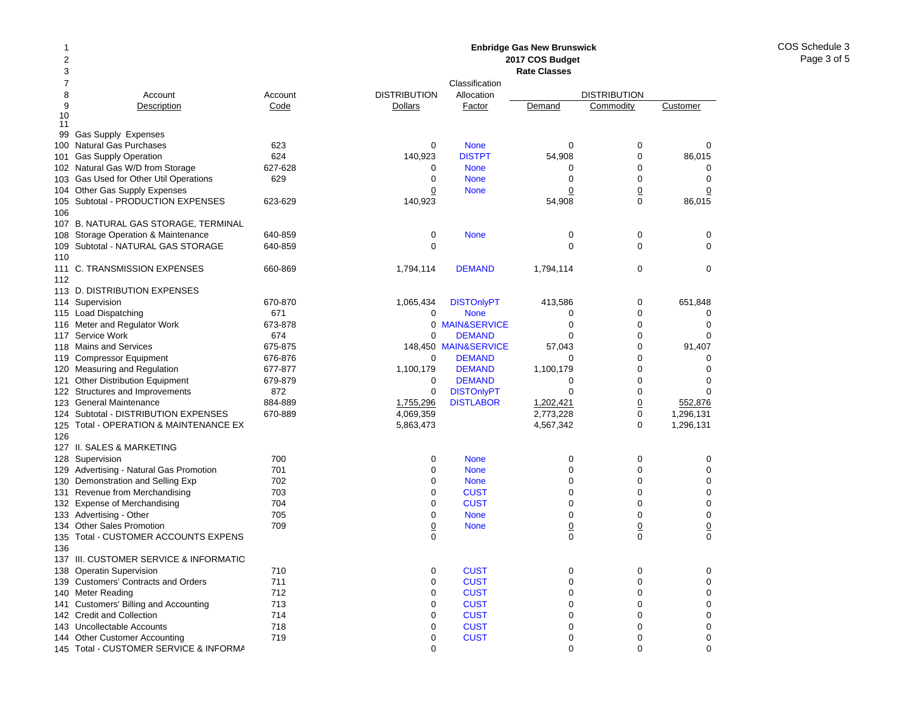#### 12378 Account Account 9Description Code 10 1199 Gas Supply Expenses 100Natural Gas Purchases 623 101Gas Supply Operation 624 102 Natural Gas W/D from Storage 627-628 103Gas Used for Other Util Operations 629 104 Other Gas Supply Expenses 105Subtotal - PRODUCTION EXPENSES 623-629 106107 B. NATURAL GAS STORAGE, TERMINAL 108 Storage Operation & Maintenance 640-859 109Subtotal - NATURAL GAS STORAGE 640-859 110111 C. TRANSMISSION EXPENSES 660-869 112113 D. DISTRIBUTION EXPENSES 114 Supervision 670-870 115 Load Dispatching 671 116Meter and Regulator Work 673-878 117Service Work 674 118Mains and Services 675-875 119Compressor Equipment 676-876 120Measuring and Regulation 677-877 121 Other Distribution Equipment 679-879 122 Structures and Improvements 872 123General Maintenance 884-889 124 Subtotal - DISTRIBUTION EXPENSES 670-889 125 Total - OPERATION & MAINTENANCE EX 126127 II. SALES & MARKETING128Supervision 700 129Advertising - Natural Gas Promotion 701 130Demonstration and Selling Exp 702 131Revenue from Merchandising 703 132 Expense of Merchandising metal of the 704 133Advertising - Other 705 134Other Sales Promotion **709** 135 Total - CUSTOMER ACCOUNTS EXPENS 136137 III. CUSTOMER SERVICE & INFORMATIO138Operatin Supervision 710 139 Customers' Contracts and Orders 711 140Meter Reading **712** 141 Customers' Billing and Accounting 713 142 Credit and Collection 714 143Uncollectable Accounts 718 144Other Customer Accounting T19 **Enbridge Gas New Brunswick 2017 COS Budget Rate Classes**ClassificationDISTRIBUTION Allocation DISTRIBUTION**Dollars** Factor Demand Commodity Customer 0 None 000 140,923 DISTPT 54,908 0 86,015 0 None 000 0 None 000 0**None** e 0 0 0 140,923 54,908 0 86,015 0 None 000  $\begin{array}{ccccccc}\n0 & 0 & 0 & 0\n\end{array}$ 1,794,114 **DEMAND** 1,794,114 0 0 0 1,065,434 DISTOnlyPT 413,586 0 651,848 0 None 000 0 MAIN&SERVICEE 0 0 0  $\Omega$  DEMANDD 0 0 0 148,450 MAIN&SERVICE 57,043 0 91,407 0 DEMANDD 0 0 0 1,100,179 **DEMAND** 1,100,179 0 0 0  $\Omega$  DEMANDD 0 0 0 0DISTONIVPT 0 0 0 0 1,755,296 DISTLABOR 1,202,421 0 552,876 4,069,359 2,773,228 0 1,296,131 5,863,473 4,567,342 0 1,296,131 0 None 000 0 None 000 0 None 000 0**CUST** T 0 0 0 0**CUST** T 0 0 0 0 None 000 0**None** e 0 0 0  $\begin{array}{ccccccc}\n0 & 0 & 0 & 0\n\end{array}$ 0**CUST** T 0 0 0 0**CUST** T 0 0 0 0**CUST** T 0 0 0 0**CUST** T 0 0 0 0**CUST** T 0 0 0 0**CUST** T 0 0 0 0**CUST** T 0 0 0

0 000

145 Total - CUSTOMER SERVICE & INFORMA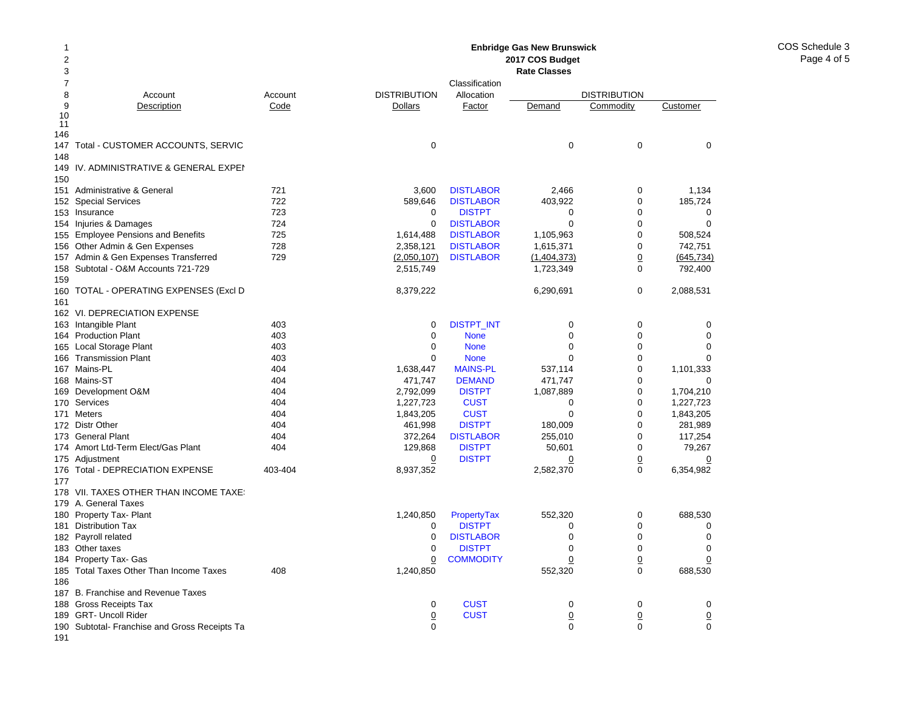COS Schedule 3Page 4 of 5

#### 12 378 Account Account 9Description Code 10 11 146147 Total - CUSTOMER ACCOUNTS, SERVIC 148149IV. ADMINISTRATIVE & GENERAL EXPEI 150151 Administrative & General 721 152Special Services 722 153 Insurance 723 154 Injuries & Damages 724 155 Employee Pensions and Benefits 725 156Other Admin & Gen Expenses 728 157Admin & Gen Expenses Transferred 729 158 Subtotal - O&M Accounts 721-729 159160 TOTAL - OPERATING EXPENSES (Excl D 161162 VI. DEPRECIATION EXPENSE 163 Intangible Plant 163 Ann an 403 164Production Plant 403 165Local Storage Plant 403 166Transmission Plant 403 167Mains-PL 404 168 Mains-ST 404 169Development O&M 404 170Services 404 171 Meters 404 172 Distr Other **404** 173 General Plant 404 174 Amort Ltd-Term Elect/Gas Plant 174 Amort Ltd-Term Elect/Gas 175 Adjustment 176Total - DEPRECIATION EXPENSE 403-404 177178 VII. TAXES OTHER THAN INCOME TAXES 179 A. General Taxes 180 Property Tax- Plant 181 Distribution Tax 182 Payroll related 183 Other taxes 184 Property Tax- Gas 185Total Taxes Other Than Income Taxes 408 186187 B. Franchise and Revenue Taxes 188 Gross Receipts Tax 189 GRT- Uncoll Rider 190 Subtotal- Franchise and Gross Receipts Ta **Enbridge Gas New Brunswick 2017 COS Budget Rate Classes**ClassificationDISTRIBUTION Allocation DISTRIBUTION**Dollars** Factor Demand Commodity Customer 0 0003,600 DISTLABOR 2,466 0 1,134 589,646 DISTLABOR 403,922 0 185,724 0**DISTPT** T 0 0 0 0**DISTLABOR** R 0 0 0 1,614,488 DISTLABOR 1,105,963 0 508,524 2,358,121 DISTLABOR 1,615,371 0 742,751 (2,050,107) DISTLABOR (1,404,373) 0 (645,734) 2,515,749 1,723,349 0 792,400 8,379,222 6,290,691 0 2,088,531 0DISTPT\_INT 0 0 0 0 0 None 000 0 None 000 0 None 000 1,638,447 MAINS-PL 537,114 0 1,101,333 471,747 DEMAND 471,747 0 0 2,792,099 DISTPT 1,087,889 0 1,704,210 1,227,723 CUST 0 0 1,227,723 1,843,205 CUST 0 0 1,843,205 461,998 DISTPT 180,009 0 281,989 372,264 DISTLABOR 255,010 0 117,254 129,868 DISTPT 50,601 0 79,267 0 DISTPT 0 0 0 8,937,352 2,582,370 0 6,354,982 1,240,850 PropertyTax 552,320 0 688,530 0 DISTPTT 0 0 0 0**DISTLABOR** R 0 0 0 0 DISTPTT 0 0 0 0**COMMODITY**  0 0 0 1,240,850 552,320 0 688,530 0**CUST** T 0 0 0 0**CUST**  0 0 0 0 000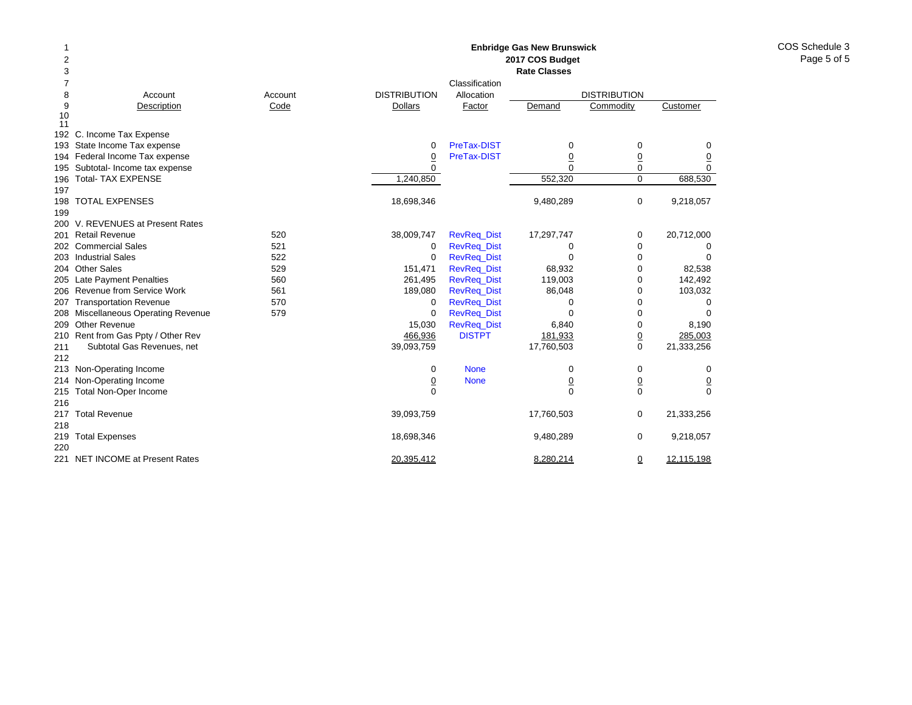COS Schedule 3Page 5 of 5

12 378 Account Account 9Description Code 10 11 192 C. Income Tax Expense 193 State Income Tax expense 194 Federal Income Tax expense 195 Subtotal- Income tax expense 196 Total- TAX EXPENSE 197 198 TOTAL EXPENSES 199 200 V. REVENUES at Present Rates 201 Retail Revenue 520 202 Commercial Sales 521 203 Industrial Sales 522 204 Other Sales 529 205 Late Payment Penalties 660 206 Revenue from Service Work 561 207 Transportation Revenue 670 208 Miscellaneous Operating Revenue 579 209 Other Revenue 210 Rent from Gas Ppty / Other Rev 211 Subtotal Gas Revenues, net 212 213 Non-Operating Income 214 Non-Operating Income 215 Total Non-Oper Income 216217 Total Revenue 218219 Total Expenses 220221 NET INCOME at Present Rates **Enbridge Gas New Brunswick 2017 COS Budget Rate Classes**ClassificationDISTRIBUTION Allocation DISTRIBUTION**Dollars** Factor Demand Commodity Customer 0 PreTax-DISTT 0 0 0 0 PreTax-DISTT 0 0 0 0 000 $\mathbf 0$ 1,240,850 552,320 0 688,530 18,698,346 9,480,289 0 9,218,057 38,009,747 RevReq\_Dist 17,297,747 0 20,712,000 0 RevReq\_Dist 000 0 RevReq\_Dist 000 151,471 RevReq\_Dist 68,932 0 82,538 261,495 RevReq\_Dist 119,003 0 142,492 189,080 RevReq\_Dist 86,048 0 103,032 0 RevReq\_Dist 000 0 RevReq\_Dist 000 15,030 RevReq\_Dist 6,840 0 8,190 466,936 DISTPT 181,933 0 285,003 39,093,759 17,760,503 0 21,333,256 0 None 000 0 None 0 0 0  $\begin{array}{ccccccc}\n0 & 0 & 0 & 0\n\end{array}$ 39,093,759 17,760,503 0 21,333,256 18,698,346 9,480,289 0 9,218,057 20,395,412 8,280,214 0 12,115,198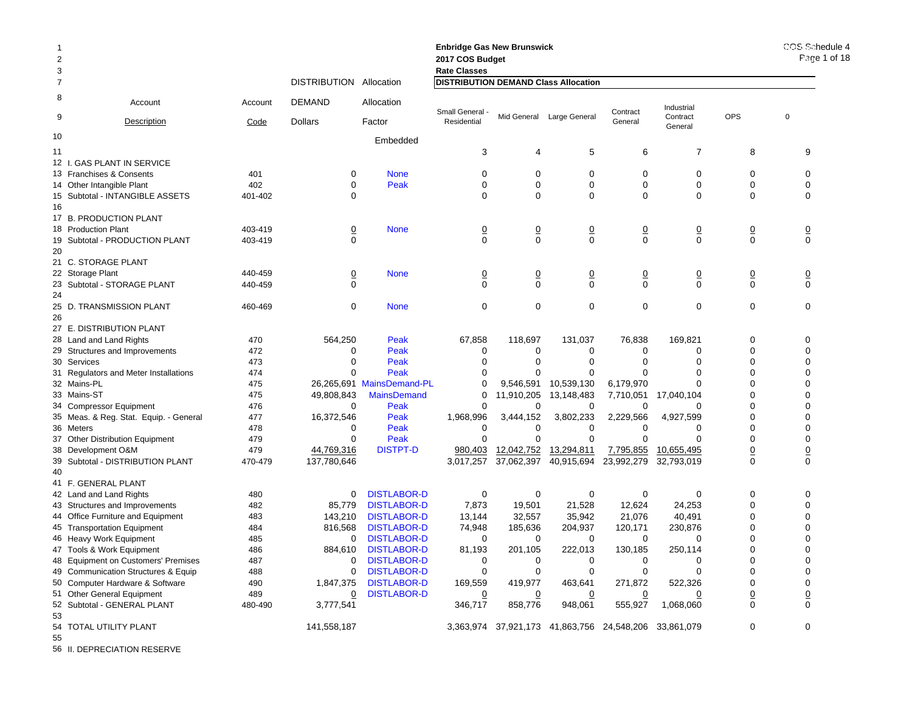| -1<br>$\overline{2}$<br>3 |                                        |         |                     |                           | <b>Enbridge Gas New Brunswick</b><br>2017 COS Budget<br><b>Rate Classes</b> |                |                                            |                |                     |                | COS Schedule 4<br>Page 1 of 18 |
|---------------------------|----------------------------------------|---------|---------------------|---------------------------|-----------------------------------------------------------------------------|----------------|--------------------------------------------|----------------|---------------------|----------------|--------------------------------|
| $\overline{7}$            |                                        |         | <b>DISTRIBUTION</b> | Allocation                | <b>DISTRIBUTION DEMAND Class Allocation</b>                                 |                |                                            |                |                     |                |                                |
| 8                         | Account                                | Account | <b>DEMAND</b>       | Allocation                | Small General                                                               |                |                                            | Contract       | Industrial          |                |                                |
| 9                         | Description                            | Code    | <b>Dollars</b>      | Factor                    | Residential                                                                 |                | Mid General Large General                  | General        | Contract<br>General | <b>OPS</b>     | $\mathbf 0$                    |
| 10                        |                                        |         |                     | Embedded                  |                                                                             |                |                                            |                |                     |                |                                |
| 11                        |                                        |         |                     |                           | 3                                                                           | 4              | 5                                          | 6              | $\overline{7}$      | 8              | 9                              |
|                           | 12 I. GAS PLANT IN SERVICE             |         |                     |                           |                                                                             |                |                                            |                |                     |                |                                |
|                           | 13 Franchises & Consents               | 401     | 0                   | <b>None</b>               | 0                                                                           | 0              | 0                                          | 0              | 0                   | 0              | 0                              |
|                           | 14 Other Intangible Plant              | 402     | $\Omega$            | Peak                      | $\Omega$                                                                    | $\Omega$       | $\Omega$                                   | $\Omega$       | $\Omega$            | $\Omega$       | $\Omega$                       |
|                           | 15 Subtotal - INTANGIBLE ASSETS        | 401-402 | 0                   |                           | $\Omega$                                                                    | $\Omega$       | 0                                          | 0              | $\Omega$            | $\Omega$       | $\Omega$                       |
| 16                        |                                        |         |                     |                           |                                                                             |                |                                            |                |                     |                |                                |
|                           | 17 B. PRODUCTION PLANT                 |         |                     |                           |                                                                             |                |                                            |                |                     |                |                                |
|                           | 18 Production Plant                    | 403-419 | $\overline{0}$      | <b>None</b>               | $\overline{0}$                                                              | $\overline{0}$ | <u>0</u>                                   | $\overline{0}$ | $\overline{0}$      | $\overline{0}$ | $\overline{0}$                 |
|                           | 19 Subtotal - PRODUCTION PLANT         | 403-419 | $\mathbf 0$         |                           | $\Omega$                                                                    | $\mathbf 0$    | 0                                          | $\mathbf 0$    | $\Omega$            | $\mathbf 0$    | $\mathbf 0$                    |
| 20                        |                                        |         |                     |                           |                                                                             |                |                                            |                |                     |                |                                |
|                           | 21 C. STORAGE PLANT                    |         |                     |                           |                                                                             |                |                                            |                |                     |                |                                |
|                           | 22 Storage Plant                       | 440-459 | <u>0</u>            | <b>None</b>               | 0                                                                           | $\overline{0}$ | $\overline{0}$                             | $\overline{0}$ | 0                   | $\overline{0}$ | $\overline{0}$                 |
|                           | 23 Subtotal - STORAGE PLANT            | 440-459 | $\Omega$            |                           | $\Omega$                                                                    | $\Omega$       | $\Omega$                                   | $\Omega$       | $\Omega$            | $\Omega$       | $\mathbf 0$                    |
| 24                        |                                        |         |                     |                           |                                                                             |                |                                            |                |                     |                |                                |
|                           | 25 D. TRANSMISSION PLANT               | 460-469 | $\mathbf 0$         | <b>None</b>               | $\mathbf 0$                                                                 | $\mathbf 0$    | 0                                          | $\mathbf 0$    | $\mathbf 0$         | $\mathbf 0$    | $\mathbf 0$                    |
| 26                        |                                        |         |                     |                           |                                                                             |                |                                            |                |                     |                |                                |
|                           | 27 E. DISTRIBUTION PLANT               |         |                     |                           |                                                                             |                |                                            |                |                     |                |                                |
|                           | 28 Land and Land Rights                | 470     | 564,250             | Peak                      | 67,858                                                                      | 118,697        | 131,037                                    | 76,838         | 169.821             | $\Omega$       | $\Omega$                       |
|                           | 29 Structures and Improvements         | 472     | 0                   | Peak                      | 0                                                                           | 0              | 0                                          | 0              | $\Omega$            | $\Omega$       | $\Omega$                       |
|                           | 30 Services                            | 473     | $\Omega$            | Peak                      | $\Omega$                                                                    | $\Omega$       | $\Omega$                                   | ∩              | $\Omega$            | $\Omega$       | $\Omega$                       |
|                           | 31 Regulators and Meter Installations  | 474     | $\Omega$            | Peak                      | ∩                                                                           | ∩              | 0                                          |                | $\Omega$            | $\Omega$       | $\Omega$                       |
|                           | 32 Mains-PL                            | 475     |                     | 26,265,691 MainsDemand-PL | 0                                                                           | 9,546,591      | 10,539,130                                 | 6,179,970      | ∩                   | ∩              | $\Omega$                       |
|                           | 33 Mains-ST                            | 475     | 49,808,843          | <b>MainsDemand</b>        | $\Omega$                                                                    | 11,910,205     | 13,148,483                                 | 7,710,051      | 17,040,104          | $\Omega$       | $\Omega$                       |
|                           | 34 Compressor Equipment                | 476     | $\Omega$            | Peak                      | ∩                                                                           | 0              | 0                                          |                |                     | $\Omega$       | $\Omega$                       |
|                           | 35 Meas. & Reg. Stat. Equip. - General | 477     | 16,372,546          | Peak                      | 1,968,996                                                                   | 3,444,152      | 3,802,233                                  | 2,229,566      | 4,927,599           | $\Omega$       | $\Omega$                       |
|                           | 36 Meters                              | 478     | 0                   | Peak                      | $\Omega$                                                                    | $\Omega$       | $\Omega$                                   | $\Omega$       | $\Omega$            | $\Omega$       | $\Omega$                       |
|                           | 37 Other Distribution Equipment        | 479     | 0                   | Peak                      | $\Omega$                                                                    | $\Omega$       | $\Omega$                                   | $\Omega$       | $\Omega$            | $\Omega$       | $\Omega$                       |
|                           | 38 Development O&M                     | 479     | 44,769,316          | <b>DISTPT-D</b>           | 980,403                                                                     | 12,042,752     | 13,294,811                                 | 7,795,855      | 10,655,495          | $\overline{0}$ | $\underline{0}$                |
|                           | 39 Subtotal - DISTRIBUTION PLANT       | 470-479 | 137,780,646         |                           | 3,017,257                                                                   | 37,062,397     | 40,915,694                                 | 23,992,279     | 32,793,019          | $\mathbf 0$    | $\mathbf 0$                    |
| 40                        |                                        |         |                     |                           |                                                                             |                |                                            |                |                     |                |                                |
|                           | 41 F. GENERAL PLANT                    |         |                     |                           |                                                                             |                |                                            |                |                     |                |                                |
|                           | 42 Land and Land Rights                | 480     | $\mathbf 0$         | <b>DISTLABOR-D</b>        | $\mathbf 0$                                                                 | 0              | 0                                          | $\mathbf 0$    | ∩                   | $\mathbf 0$    | $\mathbf 0$                    |
|                           | 43 Structures and Improvements         | 482     | 85,779              | <b>DISTLABOR-D</b>        | 7,873                                                                       | 19,501         | 21,528                                     | 12,624         | 24,253              | $\mathbf 0$    | $\Omega$                       |
|                           | 44 Office Furniture and Equipment      | 483     | 143,210             | <b>DISTLABOR-D</b>        | 13,144                                                                      | 32,557         | 35,942                                     | 21,076         | 40,491              | 0              | 0                              |
|                           | 45 Transportation Equipment            | 484     | 816,568             | <b>DISTLABOR-D</b>        | 74,948                                                                      | 185,636        | 204,937                                    | 120,171        | 230,876             | $\Omega$       | $\Omega$                       |
|                           | 46 Heavy Work Equipment                | 485     | 0                   | <b>DISTLABOR-D</b>        | 0                                                                           | 0              | 0                                          | 0              | $\Omega$            | $\Omega$       | $\Omega$                       |
|                           | 47 Tools & Work Equipment              | 486     | 884,610             | <b>DISTLABOR-D</b>        | 81,193                                                                      | 201,105        | 222,013                                    | 130,185        | 250,114             | $\Omega$       | $\Omega$                       |
|                           | 48 Equipment on Customers' Premises    | 487     | 0                   | <b>DISTLABOR-D</b>        | 0                                                                           | $\Omega$       | 0                                          | 0              | $\Omega$            | $\Omega$       | $\Omega$                       |
|                           | 49 Communication Structures & Equip    | 488     | $\mathbf 0$         | <b>DISTLABOR-D</b>        | $\mathbf 0$                                                                 | 0              | 0                                          | 0              | $\Omega$            | $\Omega$       | $\Omega$                       |
|                           | 50 Computer Hardware & Software        | 490     | 1,847,375           | <b>DISTLABOR-D</b>        | 169,559                                                                     | 419,977        | 463,641                                    | 271,872        | 522,326             | $\Omega$       | $\Omega$                       |
|                           | 51 Other General Equipment             | 489     | 0                   | <b>DISTLABOR-D</b>        | 0                                                                           | 0              | 0                                          | $\overline{0}$ | 0                   | $\overline{0}$ | $\overline{0}$                 |
| 53                        | 52 Subtotal - GENERAL PLANT            | 480-490 | 3,777,541           |                           | 346,717                                                                     | 858,776        | 948,061                                    | 555,927        | 1,068,060           | $\Omega$       | $\mathbf 0$                    |
| 55                        | 54 TOTAL UTILITY PLANT                 |         | 141,558,187         |                           |                                                                             |                | 3,363,974 37,921,173 41,863,756 24,548,206 |                | 33,861,079          | $\Omega$       | $\Omega$                       |

56 II. DEPRECIATION RESERVE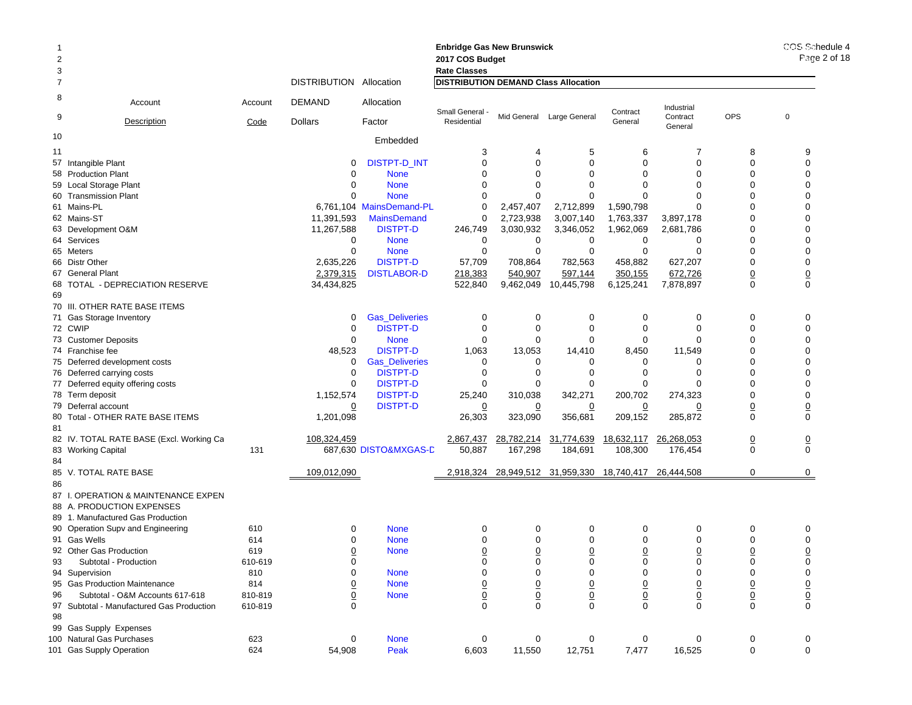|                |                                           |         |                                |                          | <b>Enbridge Gas New Brunswick</b>           |                 |                           |                 |                     |                 | COS Schedule 4 |
|----------------|-------------------------------------------|---------|--------------------------------|--------------------------|---------------------------------------------|-----------------|---------------------------|-----------------|---------------------|-----------------|----------------|
| $\overline{2}$ |                                           |         |                                |                          | 2017 COS Budget                             |                 |                           |                 |                     |                 | Page 2 of 18   |
| 3              |                                           |         |                                |                          | <b>Rate Classes</b>                         |                 |                           |                 |                     |                 |                |
| $\overline{7}$ |                                           |         | <b>DISTRIBUTION Allocation</b> |                          | <b>DISTRIBUTION DEMAND Class Allocation</b> |                 |                           |                 |                     |                 |                |
| 8              | Account                                   | Account | DEMAND                         | Allocation               | Small General                               |                 |                           | Contract        | Industrial          |                 |                |
| 9              | <b>Description</b>                        | Code    | <b>Dollars</b>                 | Factor                   | Residential                                 |                 | Mid General Large General | General         | Contract<br>General | <b>OPS</b>      | 0              |
| 10             |                                           |         |                                | Embedded                 |                                             |                 |                           |                 |                     |                 |                |
| 11             |                                           |         |                                |                          | 3                                           | 4               | 5                         | 6               | 7                   | 8               | 9              |
|                | 57 Intangible Plant                       |         | 0                              | <b>DISTPT-D INT</b>      | $\mathbf 0$                                 | $\Omega$        | $\mathbf 0$               | $\Omega$        | 0                   | $\Omega$        | $\mathbf 0$    |
|                | 58 Production Plant                       |         | 0                              | <b>None</b>              | 0                                           | $\Omega$        | $\Omega$                  | $\Omega$        | $\Omega$            | $\Omega$        | $\Omega$       |
|                | 59 Local Storage Plant                    |         | 0                              | <b>None</b>              | $\Omega$                                    | $\Omega$        | $\Omega$                  | $\Omega$        | $\Omega$            | $\Omega$        | $\Omega$       |
|                | 60 Transmission Plant                     |         | 0                              | <b>None</b>              | 0                                           | $\Omega$        | $\mathbf 0$               | $\Omega$        | 0                   | $\Omega$        | $\Omega$       |
|                | 61 Mains-PL                               |         |                                | 6,761,104 MainsDemand-PL | 0                                           | 2,457,407       | 2,712,899                 | 1,590,798       | $\Omega$            | $\Omega$        | $\Omega$       |
|                | 62 Mains-ST                               |         | 11,391,593                     | <b>MainsDemand</b>       | 0                                           | 2,723,938       | 3,007,140                 | 1,763,337       | 3,897,178           | $\Omega$        | $\mathbf 0$    |
|                | 63 Development O&M                        |         | 11,267,588                     | <b>DISTPT-D</b>          | 246,749                                     | 3,030,932       | 3,346,052                 | 1,962,069       | 2,681,786           | $\Omega$        | $\Omega$       |
|                | 64 Services                               |         | 0                              | <b>None</b>              | 0                                           | 0               | 0                         | 0               | 0                   | $\Omega$        | $\Omega$       |
|                | 65 Meters                                 |         | 0                              | <b>None</b>              | 0                                           | $\mathbf 0$     | $\mathbf 0$               | 0               | 0                   | $\mathbf 0$     | $\mathbf 0$    |
|                | 66 Distr Other                            |         | 2,635,226                      | <b>DISTPT-D</b>          | 57,709                                      | 708,864         | 782,563                   | 458,882         | 627,207             | $\mathbf 0$     | $\mathbf 0$    |
|                | 67 General Plant                          |         | 2,379,315                      | <b>DISTLABOR-D</b>       | 218,383                                     | 540,907         | 597,144                   | 350,155         | 672,726             | $\underline{0}$ | $\overline{0}$ |
|                | 68 TOTAL - DEPRECIATION RESERVE           |         | 34,434,825                     |                          | 522,840                                     | 9,462,049       | 10,445,798                | 6,125,241       | 7,878,897           | $\mathbf 0$     | $\mathbf 0$    |
| 69             |                                           |         |                                |                          |                                             |                 |                           |                 |                     |                 |                |
|                | 70 III. OTHER RATE BASE ITEMS             |         |                                |                          |                                             |                 |                           |                 |                     |                 |                |
|                | 71 Gas Storage Inventory                  |         | 0                              | <b>Gas_Deliveries</b>    | 0                                           | 0               | 0                         | 0               | 0                   | 0               | 0              |
|                | 72 CWIP                                   |         | 0                              | <b>DISTPT-D</b>          | 0                                           | $\mathbf 0$     | 0                         | $\Omega$        | $\mathbf 0$         | $\mathbf 0$     | $\mathbf 0$    |
|                | 73 Customer Deposits                      |         | 0                              | <b>None</b>              | 0                                           | 0               | $\Omega$                  | $\Omega$        | $\Omega$            | 0               | $\Omega$       |
|                | 74 Franchise fee                          |         | 48,523                         | <b>DISTPT-D</b>          | 1,063                                       | 13,053          | 14,410                    | 8,450           | 11,549              | $\Omega$        | $\Omega$       |
|                | 75 Deferred development costs             |         | 0                              | <b>Gas_Deliveries</b>    | 0                                           | 0               | 0                         | 0               | 0                   | $\Omega$        | $\Omega$       |
|                |                                           |         | $\mathbf 0$                    | <b>DISTPT-D</b>          | 0                                           | $\Omega$        | 0                         | $\Omega$        | 0                   | $\Omega$        | $\mathbf 0$    |
|                | 76 Deferred carrying costs                |         |                                |                          |                                             | $\Omega$        | $\Omega$                  | $\Omega$        | $\Omega$            | $\Omega$        | $\mathbf 0$    |
|                | 77 Deferred equity offering costs         |         | 0                              | <b>DISTPT-D</b>          | $\Omega$                                    |                 |                           |                 |                     | $\Omega$        | $\mathbf 0$    |
|                | 78 Term deposit                           |         | 1,152,574                      | <b>DISTPT-D</b>          | 25,240                                      | 310,038         | 342,271                   | 200,702         | 274,323             |                 |                |
|                | 79 Deferral account                       |         | 0                              | <b>DISTPT-D</b>          | $\overline{0}$                              | 0               | 0                         | 0               | 0                   | $\underline{0}$ | $\overline{0}$ |
| 81             | 80 Total - OTHER RATE BASE ITEMS          |         | 1,201,098                      |                          | 26,303                                      | 323,090         | 356,681                   | 209,152         | 285,872             | $\mathbf 0$     | $\mathbf 0$    |
|                | 82 IV. TOTAL RATE BASE (Excl. Working Ca  |         | 108,324,459                    |                          | 2,867,437                                   | 28,782,214      | 31,774,639                | 18,632,117      | 26,268,053          | $\overline{0}$  | $\overline{0}$ |
|                | 83 Working Capital                        | 131     |                                | 687,630 DISTO&MXGAS-D    | 50,887                                      | 167,298         | 184,691                   | 108,300         | 176,454             | $\mathbf 0$     | $\mathbf 0$    |
| 84             |                                           |         |                                |                          |                                             |                 |                           |                 |                     |                 |                |
|                | 85 V. TOTAL RATE BASE                     |         | 109,012,090                    |                          | 2,918,324                                   |                 | 28,949,512 31,959,330     | 18,740,417      | 26,444,508          | $\mathbf 0$     | 0              |
| 86             |                                           |         |                                |                          |                                             |                 |                           |                 |                     |                 |                |
|                | 87 I. OPERATION & MAINTENANCE EXPEN       |         |                                |                          |                                             |                 |                           |                 |                     |                 |                |
|                | 88 A. PRODUCTION EXPENSES                 |         |                                |                          |                                             |                 |                           |                 |                     |                 |                |
|                | 89 1. Manufactured Gas Production         |         |                                |                          |                                             |                 |                           |                 |                     |                 |                |
|                | 90 Operation Supv and Engineering         | 610     | 0                              | <b>None</b>              | 0                                           | 0               | 0                         | 0               | 0                   | 0               | 0              |
|                | 91 Gas Wells                              | 614     | 0                              | <b>None</b>              | $\Omega$                                    | $\Omega$        | $\Omega$                  | $\Omega$        | $\Omega$            | $\Omega$        | $\Omega$       |
|                | 92 Other Gas Production                   | 619     | <u>0</u>                       | <b>None</b>              | $\overline{0}$                              | $\overline{0}$  | $\overline{0}$            | 0               | 0                   | $\overline{0}$  | $\overline{0}$ |
| 93             | Subtotal - Production                     | 610-619 | 0                              |                          | 0                                           | 0               | 0                         | 0               | 0                   | 0               | $\mathbf 0$    |
|                | 94 Supervision                            | 810     | 0                              | <b>None</b>              | $\mathbf 0$                                 | 0               | 0                         | 0               | 0                   | 0               | $\mathbf 0$    |
|                | 95 Gas Production Maintenance             | 814     | <u>0</u>                       | <b>None</b>              |                                             | $\overline{0}$  | $\overline{0}$            | $\underline{0}$ | $\underline{0}$     | $\underline{0}$ |                |
| 96             | Subtotal - O&M Accounts 617-618           | 810-819 | $\overline{0}$                 | <b>None</b>              |                                             | $\underline{0}$ | $\underline{0}$           | $\overline{0}$  | $\underline{0}$     | $\underline{0}$ |                |
|                | 97 Subtotal - Manufactured Gas Production | 610-819 | $\mathbf 0$                    |                          | $\frac{0}{0}$                               | $\Omega$        | $\mathbf 0$               | $\Omega$        | $\mathbf 0$         | $\mathbf 0$     | $\frac{0}{0}$  |
| 98             |                                           |         |                                |                          |                                             |                 |                           |                 |                     |                 |                |
|                | 99 Gas Supply Expenses                    |         |                                |                          |                                             |                 |                           |                 |                     |                 |                |
|                | 100 Natural Gas Purchases                 | 623     | 0                              | <b>None</b>              | 0                                           | 0               | 0                         | 0               | 0                   | 0               | 0              |
|                | 101 Gas Supply Operation                  | 624     | 54,908                         | Peak                     | 6,603                                       | 11,550          | 12,751                    | 7,477           | 16,525              | 0               | $\mathbf 0$    |
|                |                                           |         |                                |                          |                                             |                 |                           |                 |                     |                 |                |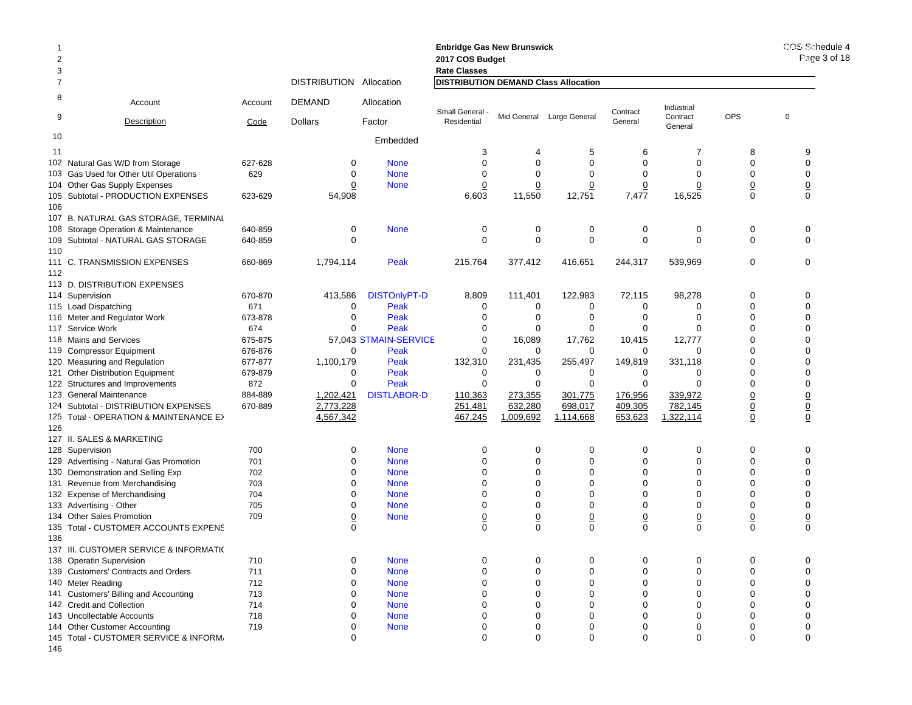| $\overline{2}$<br>3 |                                                            |            |                         |                            | <b>Enbridge Gas New Brunswick</b><br>2017 COS Budget<br><b>Rate Classes</b> |                  |                           |                |                        |                | COS Sche<br>Page 3 |
|---------------------|------------------------------------------------------------|------------|-------------------------|----------------------------|-----------------------------------------------------------------------------|------------------|---------------------------|----------------|------------------------|----------------|--------------------|
| 7                   |                                                            |            | DISTRIBUTION Allocation |                            | <b>DISTRIBUTION DEMAND Class Allocation</b>                                 |                  |                           |                |                        |                |                    |
| 8                   | Account                                                    | Account    | <b>DEMAND</b>           | Allocation                 | Small General -                                                             |                  |                           | Contract       | Industrial<br>Contract | <b>OPS</b>     | 0                  |
| 9                   | <b>Description</b>                                         | Code       | <b>Dollars</b>          | Factor                     | Residential                                                                 |                  | Mid General Large General | General        | General                |                |                    |
| 10                  |                                                            |            |                         | Embedded                   |                                                                             |                  |                           |                |                        |                |                    |
| 11                  |                                                            |            |                         |                            | 3                                                                           | 4                | 5                         | 6              | 7                      | 8              | 9                  |
|                     | 102 Natural Gas W/D from Storage                           | 627-628    | $\mathbf 0$             | <b>None</b>                | $\Omega$                                                                    | $\mathbf 0$      | $\Omega$                  | $\Omega$       | $\mathbf 0$            | $\Omega$       | $\mathbf 0$        |
|                     | 103 Gas Used for Other Util Operations                     | 629        | $\mathbf 0$             | <b>None</b>                | 0                                                                           | $\mathbf 0$      | $\mathbf 0$               | 0              | $\mathbf 0$            | $\Omega$       | $\mathbf 0$        |
|                     | 104 Other Gas Supply Expenses                              |            | $\mathbf 0$             | <b>None</b>                | 0                                                                           | 0                | 0                         | 0              | 0                      | $\overline{0}$ | $\overline{0}$     |
| 106                 | 105 Subtotal - PRODUCTION EXPENSES                         | 623-629    | 54,908                  |                            | 6,603                                                                       | 11,550           | 12,751                    | 7,477          | 16,525                 | $\mathbf 0$    | $\Omega$           |
|                     | 107 B. NATURAL GAS STORAGE, TERMINAL                       |            |                         |                            |                                                                             |                  |                           |                |                        |                |                    |
|                     | 108 Storage Operation & Maintenance                        | 640-859    | 0                       | <b>None</b>                | 0                                                                           | 0                | $\mathbf 0$               | 0              | 0                      | $\mathbf 0$    | 0                  |
|                     | 109 Subtotal - NATURAL GAS STORAGE                         | 640-859    | $\mathbf 0$             |                            | 0                                                                           | $\mathbf 0$      | $\mathbf 0$               | $\mathbf 0$    | $\mathbf 0$            | $\mathbf 0$    | 0                  |
| 110<br>112          | 111 C. TRANSMISSION EXPENSES                               | 660-869    | 1,794,114               | Peak                       | 215,764                                                                     | 377,412          | 416,651                   | 244,317        | 539,969                | $\mathbf 0$    | 0                  |
|                     | 113 D. DISTRIBUTION EXPENSES                               |            |                         |                            |                                                                             |                  |                           |                |                        |                |                    |
|                     | 114 Supervision                                            | 670-870    | 413,586                 | <b>DISTOnlyPT-D</b>        | 8,809                                                                       | 111,401          | 122,983                   | 72,115         | 98,278                 | $\mathbf 0$    | 0                  |
|                     | 115 Load Dispatching                                       | 671        | 0                       | Peak                       | $\mathbf 0$                                                                 | 0                | 0                         | 0              | 0                      | $\Omega$       | $\mathbf 0$        |
|                     | 116 Meter and Regulator Work                               | 673-878    | $\mathbf 0$             | Peak                       | $\Omega$                                                                    | 0                | $\mathbf 0$               | $\Omega$       | 0                      | $\Omega$       | $\mathbf 0$        |
|                     | 117 Service Work                                           | 674        | $\Omega$                | Peak                       | $\Omega$                                                                    | 0                | $\Omega$                  | 0              | 0                      | $\Omega$       | 0                  |
|                     | 118 Mains and Services                                     | 675-875    |                         | 57,043 STMAIN-SERVICE      | $\Omega$                                                                    | 16,089           | 17,762                    | 10,415         | 12,777                 | $\Omega$       | $\Omega$           |
|                     | 119 Compressor Equipment                                   | 676-876    | 0                       | Peak                       | 0                                                                           | 0                | 0                         | 0              | 0                      | $\mathbf 0$    | 0                  |
|                     | 120 Measuring and Regulation                               | 677-877    | 1,100,179               | Peak                       | 132,310                                                                     | 231,435          | 255,497                   | 149,819        | 331,118                | $\Omega$       | $\Omega$           |
|                     | 121 Other Distribution Equipment                           | 679-879    | 0                       | Peak                       | 0                                                                           | $\mathbf 0$      | 0                         | 0              | 0                      | $\mathbf 0$    | 0                  |
|                     | 122 Structures and Improvements                            | 872        | $\Omega$                | Peak                       | 0                                                                           | 0                | $\Omega$                  | 0              | $\Omega$               | $\Omega$       | 0                  |
|                     | 123 General Maintenance                                    | 884-889    | 1,202,421               | <b>DISTLABOR-D</b>         | 110,363                                                                     | 273,355          | 301,775                   | 176,956        | 339,972                | $\overline{0}$ | $\overline{0}$     |
|                     | 124 Subtotal - DISTRIBUTION EXPENSES                       | 670-889    | 2,773,228               |                            | 251,481                                                                     | 632,280          | 698,017                   | 409,305        | 782,145                | $\overline{0}$ | $\underline{0}$    |
|                     | 125 Total - OPERATION & MAINTENANCE E>                     |            | 4,567,342               |                            | 467,245                                                                     | 1,009,692        | 1,114,668                 | 653,623        | 1,322,114              | $\overline{0}$ | $\overline{0}$     |
| 126                 |                                                            |            |                         |                            |                                                                             |                  |                           |                |                        |                |                    |
|                     | 127 II. SALES & MARKETING                                  |            |                         |                            |                                                                             |                  |                           |                |                        |                |                    |
|                     | 128 Supervision                                            | 700        | 0                       | <b>None</b>                | $\Omega$                                                                    | 0                | $\mathbf 0$               | $\Omega$       | 0                      | $\Omega$       | $\Omega$           |
|                     | 129 Advertising - Natural Gas Promotion                    | 701        | $\mathbf 0$             | <b>None</b>                | $\Omega$                                                                    | $\mathbf 0$      | $\mathbf 0$               | $\mathbf 0$    | $\mathbf 0$            | $\Omega$       | $\mathbf 0$        |
|                     | 130 Demonstration and Selling Exp                          | 702        | 0                       | <b>None</b>                | $\Omega$                                                                    | 0                | 0                         | 0              | 0                      | $\mathbf 0$    | 0                  |
|                     | 131 Revenue from Merchandising                             | 703        | $\Omega$                | <b>None</b>                | $\Omega$                                                                    | 0                | $\mathbf 0$               | $\Omega$       | 0                      | $\Omega$       | 0                  |
|                     | 132 Expense of Merchandising                               | 704        | $\Omega$                | <b>None</b>                | $\Omega$                                                                    | $\mathbf 0$      | $\Omega$                  | $\Omega$       | $\Omega$               | $\Omega$       | $\mathbf 0$        |
|                     | 133 Advertising - Other                                    | 705        | $\mathbf 0$             | <b>None</b>                | $\Omega$                                                                    | $\mathbf 0$      | $\mathbf 0$               | $\Omega$       | 0                      | $\Omega$       | $\mathbf 0$        |
|                     | 134 Other Sales Promotion                                  | 709        | $\overline{0}$          | <b>None</b>                | $\overline{0}$                                                              | $\underline{0}$  | $\overline{0}$            | $\overline{0}$ | $\overline{0}$         | $\overline{0}$ | $\overline{0}$     |
|                     | 135 Total - CUSTOMER ACCOUNTS EXPENS                       |            | 0                       |                            | $\Omega$                                                                    | $\mathbf 0$      | $\mathbf 0$               | $\mathbf 0$    | $\mathbf 0$            | 0              | 0                  |
| 136                 |                                                            |            |                         |                            |                                                                             |                  |                           |                |                        |                |                    |
|                     | 137 III. CUSTOMER SERVICE & INFORMATI(                     |            |                         |                            | $\mathbf 0$                                                                 | $\mathbf 0$      | $\mathbf 0$               | $\mathbf 0$    | $\mathbf 0$            | $\mathbf 0$    |                    |
|                     | 138 Operatin Supervision                                   | 710        | 0                       | <b>None</b>                | $\Omega$                                                                    |                  | $\Omega$                  | $\Omega$       |                        | $\Omega$       | 0                  |
|                     | 139 Customers' Contracts and Orders                        | 711<br>712 | $\mathbf 0$<br>0        | <b>None</b><br><b>None</b> | 0                                                                           | 0<br>$\mathbf 0$ | $\mathbf 0$               | 0              | 0<br>$\mathbf 0$       | $\Omega$       | 0<br>$\mathbf 0$   |
|                     | 140 Meter Reading<br>141 Customers' Billing and Accounting | 713        | 0                       | <b>None</b>                | $\Omega$                                                                    | 0                | 0                         | $\Omega$       | 0                      | $\Omega$       | 0                  |
|                     | 142 Credit and Collection                                  | 714        | $\Omega$                | <b>None</b>                | $\Omega$                                                                    | $\Omega$         | $\Omega$                  | $\Omega$       | $\Omega$               | $\Omega$       | $\Omega$           |
|                     | 143 Uncollectable Accounts                                 | 718        | 0                       | <b>None</b>                | 0                                                                           | 0                | 0                         | $\Omega$       | 0                      | $\Omega$       | 0                  |
|                     | 144 Other Customer Accounting                              | 719        | $\mathbf 0$             | <b>None</b>                | 0                                                                           | $\mathbf 0$      | $\mathbf 0$               | 0              | 0                      | $\mathbf 0$    | $\mathbf 0$        |
|                     | 145 Total - CUSTOMER SERVICE & INFORM,                     |            | $\Omega$                |                            | $\Omega$                                                                    | $\Omega$         | $\Omega$                  | $\Omega$       | $\Omega$               | $\Omega$       | $\Omega$           |

146

COS Schedule 4 8 of 18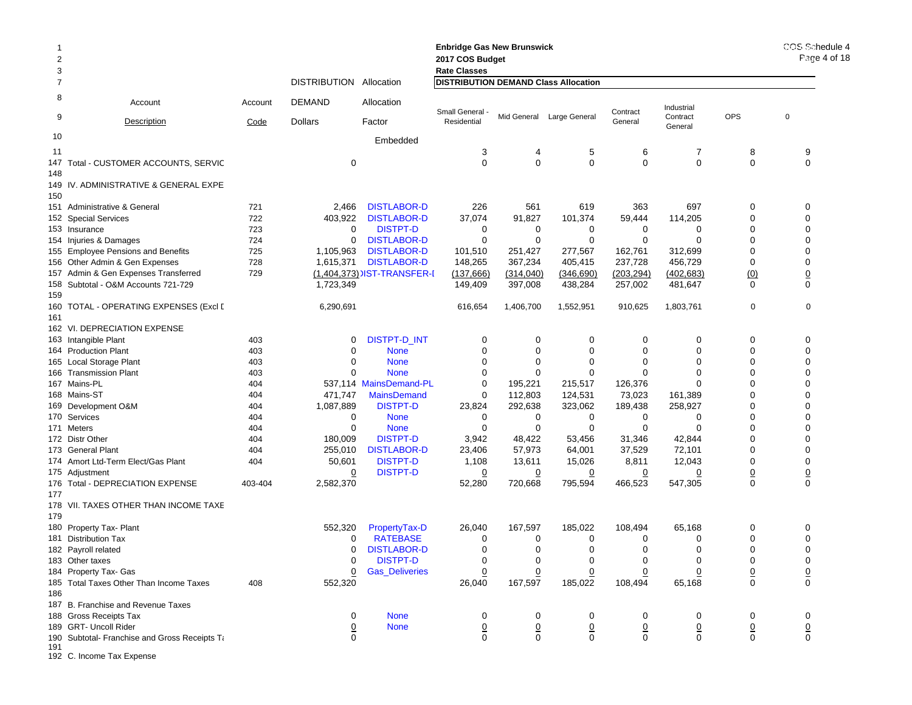| $\overline{2}$<br>3 |                                                      |         |                         |                                    | <b>Enbridge Gas New Brunswick</b><br>2017 COS Budget<br><b>Rate Classes</b> |                           | COS Schedule 4<br>Page 4 of $18$ |                |                     |                 |                               |
|---------------------|------------------------------------------------------|---------|-------------------------|------------------------------------|-----------------------------------------------------------------------------|---------------------------|----------------------------------|----------------|---------------------|-----------------|-------------------------------|
| 7                   |                                                      |         | DISTRIBUTION Allocation |                                    | <b>DISTRIBUTION DEMAND Class Allocation</b>                                 |                           |                                  |                |                     |                 |                               |
| 8                   | Account                                              | Account | <b>DEMAND</b>           | Allocation                         | Small General -                                                             |                           |                                  | Contract       | Industrial          |                 |                               |
| 9                   | Description                                          | Code    | <b>Dollars</b>          | Factor                             | Residential                                                                 |                           | Mid General Large General        | General        | Contract<br>General | <b>OPS</b>      | 0                             |
| 10                  |                                                      |         |                         | Embedded                           |                                                                             |                           |                                  |                |                     |                 |                               |
| 11                  |                                                      |         |                         |                                    | 3                                                                           | 4                         | 5                                | 6              | 7                   | 8               | 9                             |
| 148                 | 147 Total - CUSTOMER ACCOUNTS, SERVIC                |         | 0                       |                                    | $\mathbf 0$                                                                 | $\mathbf 0$               | $\mathbf 0$                      | $\mathbf 0$    | $\mathbf 0$         | 0               | 0                             |
| 150                 | 149 IV. ADMINISTRATIVE & GENERAL EXPE                |         |                         |                                    |                                                                             |                           |                                  |                |                     |                 |                               |
|                     | 151 Administrative & General                         | 721     | 2,466                   | <b>DISTLABOR-D</b>                 | 226                                                                         | 561                       | 619                              | 363            | 697                 | 0               | 0                             |
|                     | 152 Special Services                                 | 722     | 403,922                 | <b>DISTLABOR-D</b>                 | 37,074                                                                      | 91,827                    | 101,374                          | 59,444         | 114,205             | 0               | $\mathbf 0$                   |
|                     | 153 Insurance                                        | 723     | 0                       | <b>DISTPT-D</b>                    | 0                                                                           | 0                         | 0                                | 0              | 0                   | 0               | $\mathbf 0$                   |
|                     | 154 Injuries & Damages                               | 724     | 0                       | <b>DISTLABOR-D</b>                 | $\mathbf 0$                                                                 | $\mathbf 0$               | $\mathbf 0$                      | 0              | $\Omega$            | 0               | 0                             |
|                     | 155 Employee Pensions and Benefits                   | 725     | 1,105,963               | <b>DISTLABOR-D</b>                 | 101,510                                                                     | 251,427                   | 277,567                          | 162,761        | 312,699             | 0               | $\mathbf 0$                   |
|                     | 156 Other Admin & Gen Expenses                       | 728     | 1,615,371               | <b>DISTLABOR-D</b>                 | 148,265                                                                     | 367,234                   | 405,415                          | 237,728        | 456,729             | 0               | 0                             |
|                     | 157 Admin & Gen Expenses Transferred                 | 729     |                         | (1,404,373) IST-TRANSFER-I         | (137, 666)                                                                  | (314, 040)                | (346, 690)                       | (203, 294)     | (402, 683)          | (0)             | $\overline{0}$                |
| 159                 | 158 Subtotal - O&M Accounts 721-729                  |         | 1,723,349               |                                    | 149,409                                                                     | 397,008                   | 438,284                          | 257,002        | 481,647             | $\mathbf 0$     | 0                             |
|                     | 160 TOTAL - OPERATING EXPENSES (Excl [               |         | 6,290,691               |                                    | 616,654                                                                     | 1,406,700                 | 1,552,951                        | 910,625        | 1,803,761           | 0               | 0                             |
| 161                 |                                                      |         |                         |                                    |                                                                             |                           |                                  |                |                     |                 |                               |
|                     | 162 VI. DEPRECIATION EXPENSE                         |         |                         |                                    |                                                                             |                           |                                  |                |                     |                 |                               |
|                     | 163 Intangible Plant                                 | 403     | 0                       | DISTPT-D_INT                       | 0                                                                           | 0                         | 0                                | 0              | 0                   | 0               | 0                             |
|                     | 164 Production Plant                                 | 403     | $\Omega$                | <b>None</b>                        | 0                                                                           | 0                         | 0                                | 0              | 0                   | 0               | $\mathbf 0$                   |
|                     | 165 Local Storage Plant                              | 403     | 0                       | <b>None</b>                        | 0                                                                           | 0                         | 0                                | 0              | 0                   | 0               | $\mathbf 0$                   |
|                     | 166 Transmission Plant                               | 403     | $\Omega$                | <b>None</b>                        | 0                                                                           | $\Omega$                  | $\Omega$                         | 0              | 0                   | 0               | $\mathbf 0$                   |
|                     | 167 Mains-PL                                         | 404     |                         | 537,114 MainsDemand-PL             | 0                                                                           | 195,221                   | 215,517                          | 126,376        | 0                   | 0               | $\mathbf 0$                   |
|                     | 168 Mains-ST                                         | 404     | 471,747                 | <b>MainsDemand</b>                 | 0                                                                           | 112,803                   | 124,531                          | 73,023         | 161,389             | 0               | $\mathbf 0$                   |
|                     | 169 Development O&M                                  | 404     | 1,087,889               | <b>DISTPT-D</b>                    | 23,824                                                                      | 292,638                   | 323,062                          | 189,438        | 258,927             | 0               | 0                             |
|                     | 170 Services                                         | 404     | 0                       | <b>None</b>                        | 0                                                                           | 0                         | 0                                | 0              | 0                   | 0               | $\mathbf 0$                   |
|                     | 171 Meters                                           | 404     | 0                       | <b>None</b>                        | 0                                                                           | 0                         | 0                                | 0              | 0                   | 0               | 0                             |
|                     | 172 Distr Other                                      | 404     | 180,009                 | <b>DISTPT-D</b>                    | 3,942                                                                       | 48,422                    | 53,456                           | 31,346         | 42,844              | 0               | $\mathbf 0$                   |
|                     | 173 General Plant                                    | 404     | 255,010                 | <b>DISTLABOR-D</b>                 | 23,406                                                                      | 57,973                    | 64,001                           | 37,529         | 72,101              | 0<br>0          | $\mathbf 0$                   |
|                     | 174 Amort Ltd-Term Elect/Gas Plant<br>175 Adjustment | 404     | 50,601<br>0             | <b>DISTPT-D</b><br><b>DISTPT-D</b> | 1,108                                                                       | 13,611                    | 15,026<br>0                      | 8,811<br>0     | 12,043<br>0         |                 | $\mathbf 0$                   |
|                     | 176 Total - DEPRECIATION EXPENSE                     | 403-404 | 2,582,370               |                                    | $\overline{0}$<br>52,280                                                    | $\overline{0}$<br>720,668 | 795,594                          | 466,523        | 547,305             | <u>0</u><br>0   | $\overline{0}$<br>$\mathbf 0$ |
| 177                 |                                                      |         |                         |                                    |                                                                             |                           |                                  |                |                     |                 |                               |
| 179                 | 178 VII. TAXES OTHER THAN INCOME TAXE                |         |                         |                                    |                                                                             |                           |                                  |                |                     |                 |                               |
|                     | 180 Property Tax- Plant                              |         | 552,320                 | PropertyTax-D                      | 26,040                                                                      | 167,597                   | 185,022                          | 108,494        | 65,168              | 0               | 0                             |
|                     | 181 Distribution Tax                                 |         | 0                       | <b>RATEBASE</b>                    | 0                                                                           | 0                         | 0                                | 0              | 0                   | 0               | 0                             |
|                     | 182 Payroll related                                  |         | 0                       | <b>DISTLABOR-D</b>                 | 0                                                                           | 0                         | 0                                | $\mathbf 0$    | 0                   | 0               | $\mathbf 0$                   |
|                     | 183 Other taxes                                      |         | 0                       | <b>DISTPT-D</b>                    | 0                                                                           | 0                         | 0                                | 0              | 0                   | 0               | 0                             |
|                     | 184 Property Tax- Gas                                |         | 0                       | <b>Gas_Deliveries</b>              | 0                                                                           | $\overline{0}$            | 0                                | 0              | 0                   | $\overline{0}$  | $\overline{0}$                |
| 186                 | 185 Total Taxes Other Than Income Taxes              | 408     | 552,320                 |                                    | 26,040                                                                      | 167,597                   | 185,022                          | 108,494        | 65,168              | $\mathbf 0$     | $\mathbf 0$                   |
|                     | 187 B. Franchise and Revenue Taxes                   |         |                         |                                    |                                                                             |                           |                                  |                |                     |                 |                               |
|                     | 188 Gross Receipts Tax                               |         | 0                       | <b>None</b>                        | 0                                                                           | 0                         | 0                                | 0              | 0                   | 0               | 0                             |
|                     | 189 GRT- Uncoll Rider                                |         | $\overline{0}$          | <b>None</b>                        | 0                                                                           | $\underline{0}$           | $\underline{0}$                  | $\overline{0}$ | $\underline{0}$     | $\underline{0}$ | $\overline{0}$                |
| 191                 | 190 Subtotal- Franchise and Gross Receipts Ta        |         | 0                       |                                    | $\mathbf 0$                                                                 | $\mathbf 0$               | $\mathbf 0$                      | $\mathbf 0$    | $\mathbf 0$         | $\mathbf 0$     | $\mathbf 0$                   |

192 C. Income Tax Expense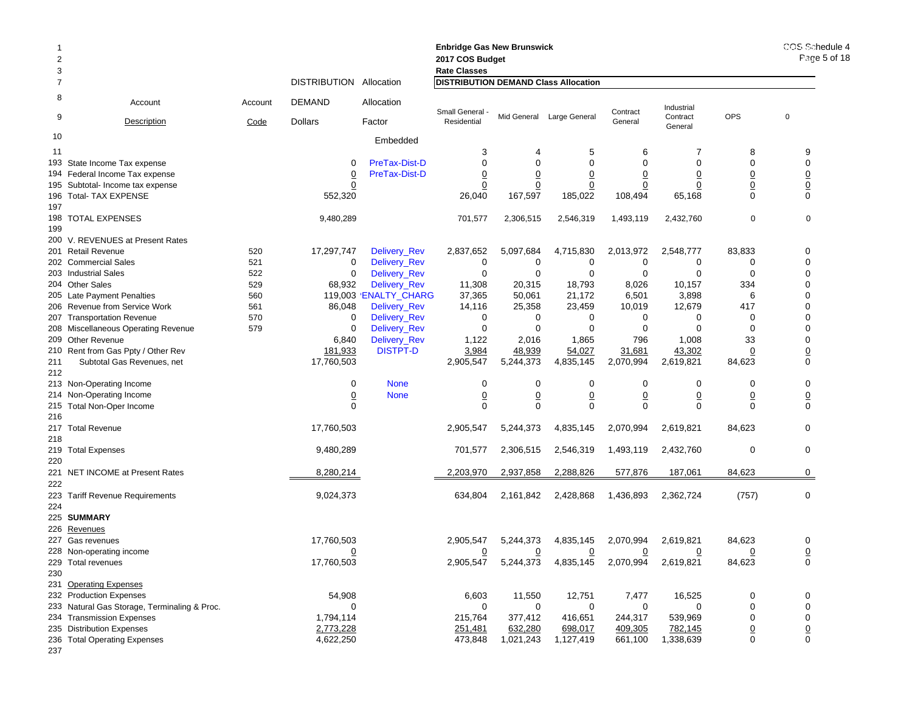| $\overline{2}$<br>3 |                                                             |            | <b>Enbridge Gas New Brunswick</b><br>2017 COS Budget<br><b>Rate Classes</b> |                              | COS Schedule 4<br>Page 5 of 18              |                       |                           |                    |                      |                                |                         |
|---------------------|-------------------------------------------------------------|------------|-----------------------------------------------------------------------------|------------------------------|---------------------------------------------|-----------------------|---------------------------|--------------------|----------------------|--------------------------------|-------------------------|
|                     |                                                             |            | DISTRIBUTION Allocation                                                     |                              | <b>DISTRIBUTION DEMAND Class Allocation</b> |                       |                           |                    |                      |                                |                         |
| 8                   | Account                                                     | Account    | <b>DEMAND</b>                                                               | Allocation                   | Small General -                             |                       |                           | Contract           | Industrial           |                                |                         |
| 9                   | <b>Description</b>                                          | Code       | <b>Dollars</b>                                                              | Factor                       | Residential                                 |                       | Mid General Large General | General            | Contract<br>General  | <b>OPS</b>                     | $\mathbf 0$             |
| 10                  |                                                             |            |                                                                             | Embedded                     |                                             |                       |                           |                    |                      |                                |                         |
| 11                  |                                                             |            |                                                                             |                              | 3                                           |                       | 5                         | 6                  | 7                    | 8                              | 9                       |
| 193                 | State Income Tax expense                                    |            | $\Omega$                                                                    | PreTax-Dist-D                | $\mathbf 0$                                 | $\Omega$              | $\mathbf 0$               | $\Omega$           | $\mathbf 0$          | $\mathbf 0$                    | $\mathbf 0$             |
|                     | 194 Federal Income Tax expense                              |            | $\overline{0}$                                                              | <b>PreTax-Dist-D</b>         | $\overline{0}$                              | 0                     | $\overline{0}$            | 0                  | $\overline{0}$       | $\overline{0}$                 | $\underline{0}$         |
| 195                 | Subtotal- Income tax expense                                |            | 0                                                                           |                              | $\overline{0}$                              | $\overline{0}$        | $\overline{0}$            | $\overline{0}$     | $\overline{0}$       | $\underline{0}$<br>$\Omega$    | $\underline{0}$         |
| 197                 | 196 Total- TAX EXPENSE                                      |            | 552,320                                                                     |                              | 26,040                                      | 167,597               | 185,022                   | 108,494            | 65,168               |                                | $\mathbf 0$             |
|                     | 198 TOTAL EXPENSES                                          |            | 9,480,289                                                                   |                              | 701,577                                     | 2,306,515             | 2,546,319                 | 1,493,119          | 2,432,760            | $\mathbf 0$                    | $\mathbf 0$             |
| 199                 |                                                             |            |                                                                             |                              |                                             |                       |                           |                    |                      |                                |                         |
|                     | 200 V. REVENUES at Present Rates                            |            |                                                                             |                              |                                             |                       |                           |                    |                      |                                |                         |
|                     | 201 Retail Revenue                                          | 520        | 17,297,747                                                                  | Delivery_Rev                 | 2,837,652                                   | 5,097,684             | 4,715,830                 | 2,013,972          | 2,548,777            | 83,833                         | 0                       |
|                     | 202 Commercial Sales                                        | 521        | 0                                                                           | Delivery_Rev                 | 0                                           | 0                     | 0                         | 0                  | 0                    | 0                              | $\mathbf 0$             |
|                     | 203 Industrial Sales                                        | 522        | $\mathbf 0$                                                                 | <b>Delivery Rev</b>          | $\mathbf 0$                                 | $\mathbf 0$           | $\mathbf 0$               | $\mathbf 0$        | $\mathbf 0$          | $\mathbf 0$                    | $\mathbf 0$             |
|                     | 204 Other Sales                                             | 529        | 68,932                                                                      | Delivery_Rev                 | 11,308                                      | 20,315                | 18,793                    | 8,026              | 10,157               | 334                            | $\mathbf 0$             |
|                     | 205 Late Payment Penalties                                  | 560        |                                                                             | 119,003 ENALTY CHARG         | 37,365                                      | 50,061                | 21,172                    | 6,501              | 3,898                | 6                              | $\mathbf 0$<br>$\Omega$ |
|                     | 206 Revenue from Service Work<br>207 Transportation Revenue | 561<br>570 | 86,048<br>0                                                                 | Delivery_Rev<br>Delivery_Rev | 14,116<br>0                                 | 25,358<br>$\mathbf 0$ | 23,459<br>0               | 10,019<br>0        | 12,679<br>0          | 417<br>$\mathbf 0$             | $\mathbf 0$             |
|                     | 208 Miscellaneous Operating Revenue                         | 579        | $\Omega$                                                                    | Delivery_Rev                 | $\mathbf 0$                                 | $\Omega$              | $\Omega$                  | $\mathbf 0$        | $\Omega$             | $\mathbf 0$                    | $\mathbf 0$             |
|                     | 209 Other Revenue                                           |            | 6,840                                                                       | Delivery_Rev                 | 1,122                                       | 2,016                 | 1,865                     | 796                | 1,008                | 33                             | $\mathbf 0$             |
|                     | 210 Rent from Gas Ppty / Other Rev                          |            | 181,933                                                                     | <b>DISTPT-D</b>              | 3,984                                       | 48,939                | 54,027                    | 31,681             | 43,302               | $\overline{0}$                 | $\overline{0}$          |
| 211                 | Subtotal Gas Revenues, net                                  |            | 17,760,503                                                                  |                              | 2,905,547                                   | 5,244,373             | 4,835,145                 | 2,070,994          | 2,619,821            | 84,623                         | $\mathbf 0$             |
| 212                 |                                                             |            |                                                                             |                              |                                             |                       |                           |                    |                      |                                |                         |
|                     | 213 Non-Operating Income                                    |            | $\mathbf 0$                                                                 | <b>None</b>                  | 0                                           | $\mathbf 0$           | $\mathbf 0$               | $\mathbf 0$        | 0                    | $\mathbf 0$                    | $\mathbf 0$             |
|                     | 214 Non-Operating Income                                    |            | $\overline{0}$                                                              | <b>None</b>                  | $\underline{0}$                             | $\underline{0}$       | $\overline{0}$            | $\underline{0}$    | $\overline{0}$       | $\underline{0}$                | $\overline{0}$          |
|                     | 215 Total Non-Oper Income                                   |            | $\Omega$                                                                    |                              | $\Omega$                                    | $\Omega$              | $\mathbf 0$               | $\mathbf 0$        | $\mathbf 0$          | $\Omega$                       | $\mathbf 0$             |
| 216                 |                                                             |            |                                                                             |                              |                                             |                       |                           |                    |                      |                                |                         |
| 217                 | <b>Total Revenue</b>                                        |            | 17,760,503                                                                  |                              | 2,905,547                                   | 5,244,373             | 4,835,145                 | 2,070,994          | 2,619,821            | 84,623                         | 0                       |
| 218                 |                                                             |            |                                                                             |                              |                                             |                       |                           |                    |                      |                                |                         |
| 220                 | 219 Total Expenses                                          |            | 9,480,289                                                                   |                              | 701,577                                     | 2,306,515             | 2,546,319                 | 1,493,119          | 2,432,760            | $\mathbf 0$                    | $\mathbf 0$             |
|                     | 221 NET INCOME at Present Rates                             |            | 8,280,214                                                                   |                              | 2,203,970                                   | 2,937,858             | 2,288,826                 | 577,876            | 187,061              | 84,623                         | 0                       |
| 222                 |                                                             |            |                                                                             |                              |                                             |                       |                           |                    |                      |                                |                         |
| 223                 | <b>Tariff Revenue Requirements</b>                          |            | 9,024,373                                                                   |                              | 634,804                                     | 2,161,842             | 2,428,868                 | 1,436,893          | 2,362,724            | (757)                          | 0                       |
| 224                 |                                                             |            |                                                                             |                              |                                             |                       |                           |                    |                      |                                |                         |
|                     | 225 SUMMARY                                                 |            |                                                                             |                              |                                             |                       |                           |                    |                      |                                |                         |
| 226                 | Revenues                                                    |            |                                                                             |                              |                                             |                       |                           |                    |                      |                                |                         |
|                     | 227 Gas revenues                                            |            | 17,760,503                                                                  |                              | 2,905,547                                   | 5,244,373             | 4,835,145                 | 2,070,994          | 2,619,821            | 84,623                         | 0                       |
|                     | 228 Non-operating income                                    |            | 0                                                                           |                              | $\overline{0}$                              | 0                     | 0                         | 0                  | 0                    | 0                              | $\overline{0}$          |
|                     | 229 Total revenues                                          |            | 17,760,503                                                                  |                              | 2,905,547                                   | 5,244,373             | 4,835,145                 | 2,070,994          | 2,619,821            | 84,623                         | 0                       |
| 230                 |                                                             |            |                                                                             |                              |                                             |                       |                           |                    |                      |                                |                         |
|                     | 231 Operating Expenses                                      |            |                                                                             |                              |                                             |                       |                           |                    |                      |                                |                         |
|                     | 232 Production Expenses                                     |            | 54,908                                                                      |                              | 6,603                                       | 11,550                | 12,751                    | 7,477              | 16,525               | 0                              | 0                       |
|                     | 233 Natural Gas Storage, Terminaling & Proc.                |            | 0                                                                           |                              | 0                                           | $\mathbf 0$           | $\mathbf 0$               | $\mathbf 0$        | $\mathbf 0$          | $\mathbf 0$                    | 0                       |
|                     | 234 Transmission Expenses                                   |            | 1,794,114                                                                   |                              | 215,764                                     | 377,412               | 416,651                   | 244,317            | 539,969              | $\mathbf 0$                    | $\pmb{0}$               |
|                     | 235 Distribution Expenses<br>236 Total Operating Expenses   |            | 2,773,228<br>4,622,250                                                      |                              | 251,481<br>473,848                          | 632,280<br>1,021,243  | 698,017<br>1,127,419      | 409,305<br>661,100 | 782,145<br>1,338,639 | $\underline{0}$<br>$\mathbf 0$ | $\underline{0}$<br>0    |
| 237                 |                                                             |            |                                                                             |                              |                                             |                       |                           |                    |                      |                                |                         |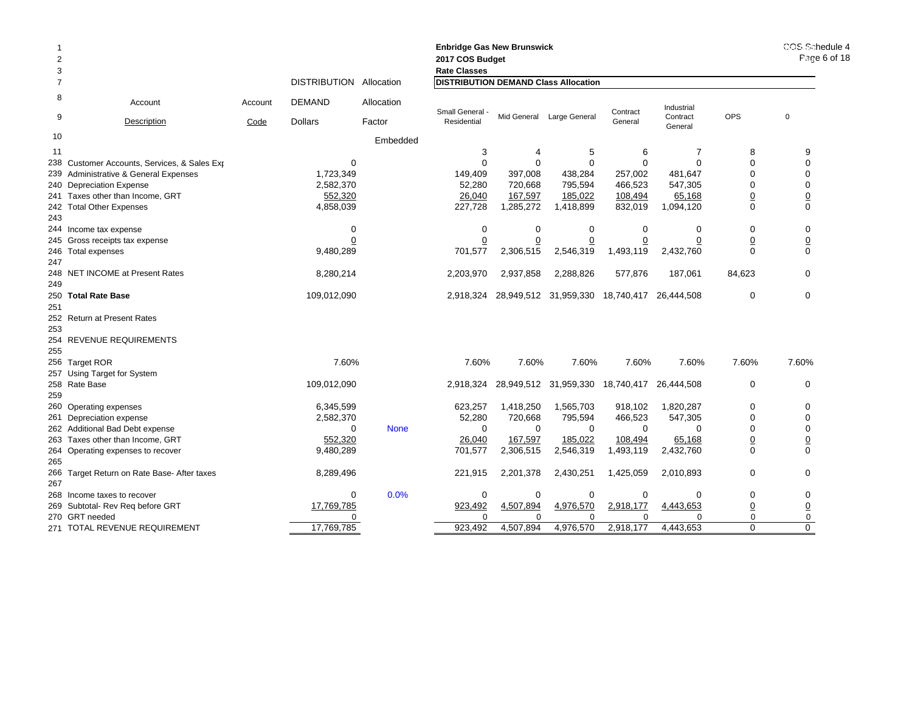| $\overline{2}$<br>3 |                                                |         |                     |             | <b>Enbridge Gas New Brunswick</b><br>2017 COS Budget<br><b>Rate Classes</b> |                     |                           |                     |                     |                               | COS Schedule 4<br>Page 6 of 18 |
|---------------------|------------------------------------------------|---------|---------------------|-------------|-----------------------------------------------------------------------------|---------------------|---------------------------|---------------------|---------------------|-------------------------------|--------------------------------|
| $\overline{7}$      |                                                |         | <b>DISTRIBUTION</b> | Allocation  | <b>DISTRIBUTION DEMAND Class Allocation</b>                                 |                     |                           |                     |                     |                               |                                |
| 8                   | Account                                        | Account | <b>DEMAND</b>       | Allocation  |                                                                             |                     |                           |                     | Industrial          |                               |                                |
| 9                   | Description                                    | Code    | <b>Dollars</b>      | Factor      | Small General -<br>Residential                                              |                     | Mid General Large General | Contract<br>General | Contract<br>General | <b>OPS</b>                    | $\mathbf 0$                    |
| 10                  |                                                |         |                     | Embedded    |                                                                             |                     |                           |                     |                     |                               |                                |
| 11                  |                                                |         |                     |             | 3                                                                           | 4                   | 5                         | 6                   | $\overline{7}$      | 8                             | 9                              |
| 238                 | Customer Accounts, Services, & Sales Exp       |         | $\Omega$            |             | $\Omega$                                                                    | $\Omega$            | $\Omega$                  | $\Omega$            | $\Omega$            | $\Omega$                      | $\Omega$                       |
| 239                 | Administrative & General Expenses              |         | 1,723,349           |             | 149,409                                                                     | 397,008             | 438,284                   | 257,002             | 481,647             | $\Omega$                      | $\mathbf 0$                    |
| 240                 | <b>Depreciation Expense</b>                    |         | 2,582,370           |             | 52,280                                                                      | 720,668             | 795,594                   | 466,523             | 547,305             | $\Omega$                      | $\mathbf 0$                    |
|                     | 241 Taxes other than Income, GRT               |         | 552,320             |             | 26,040                                                                      | 167,597             | 185,022                   | 108,494             | 65,168              | $\overline{0}$                | $\underline{0}$                |
|                     | 242 Total Other Expenses                       |         | 4,858,039           |             | 227,728                                                                     | 1,285,272           | 1,418,899                 | 832,019             | 1,094,120           | $\mathbf 0$                   | $\mathbf 0$                    |
| 243                 |                                                |         |                     |             |                                                                             |                     |                           |                     |                     |                               |                                |
|                     | 244 Income tax expense                         |         | 0                   |             | $\Omega$                                                                    | $\Omega$            | 0                         | $\mathbf 0$         | $\mathbf 0$         | $\Omega$                      | $\mathbf 0$                    |
| 245                 | Gross receipts tax expense                     |         |                     |             |                                                                             |                     |                           | 0                   |                     | $\overline{0}$                | $\overline{0}$                 |
|                     | 246 Total expenses                             |         | 9,480,289           |             | 701,577                                                                     | 2,306,515           | 2,546,319                 | 1,493,119           | 2,432,760           | $\Omega$                      | $\mathbf 0$                    |
| 247                 |                                                |         |                     |             |                                                                             |                     |                           |                     |                     |                               |                                |
| 248                 | <b>NET INCOME at Present Rates</b>             |         | 8,280,214           |             | 2,203,970                                                                   | 2,937,858           | 2,288,826                 | 577,876             | 187,061             | 84,623                        | $\Omega$                       |
| 249                 |                                                |         |                     |             |                                                                             |                     |                           |                     |                     |                               |                                |
| 250                 | <b>Total Rate Base</b>                         |         | 109,012,090         |             | 2,918,324                                                                   |                     | 28,949,512 31,959,330     | 18,740,417          | 26,444,508          | $\mathbf 0$                   | $\mathbf{0}$                   |
| 251                 |                                                |         |                     |             |                                                                             |                     |                           |                     |                     |                               |                                |
| 252                 | <b>Return at Present Rates</b>                 |         |                     |             |                                                                             |                     |                           |                     |                     |                               |                                |
| 253                 |                                                |         |                     |             |                                                                             |                     |                           |                     |                     |                               |                                |
| 254                 | REVENUE REQUIREMENTS                           |         |                     |             |                                                                             |                     |                           |                     |                     |                               |                                |
| 255                 |                                                |         |                     |             |                                                                             |                     |                           |                     |                     |                               |                                |
|                     | 256 Target ROR                                 |         | 7.60%               |             | 7.60%                                                                       | 7.60%               | 7.60%                     | 7.60%               | 7.60%               | 7.60%                         | 7.60%                          |
| 257                 | Using Target for System                        |         |                     |             |                                                                             |                     |                           |                     |                     |                               |                                |
|                     | 258 Rate Base                                  |         | 109,012,090         |             | 2,918,324                                                                   |                     | 28,949,512 31,959,330     | 18,740,417          | 26,444,508          | $\Omega$                      | $\mathbf 0$                    |
| 259                 |                                                |         |                     |             |                                                                             |                     |                           |                     |                     |                               |                                |
|                     | 260 Operating expenses                         |         | 6,345,599           |             | 623,257                                                                     | 1,418,250           | 1,565,703                 | 918,102             | 1,820,287           | $\mathbf 0$<br>$\Omega$       | $\mathbf 0$                    |
| 261                 | Depreciation expense                           |         | 2,582,370           |             | 52,280<br>$\Omega$                                                          | 720,668<br>$\Omega$ | 795,594<br>$\Omega$       | 466,523             | 547,305<br>$\Omega$ | $\Omega$                      | $\mathbf 0$                    |
|                     | 262 Additional Bad Debt expense                |         | $\Omega$            | <b>None</b> |                                                                             |                     |                           | $\Omega$            |                     |                               | $\mathbf 0$                    |
| 263                 | Taxes other than Income, GRT                   |         | 552,320             |             | 26,040                                                                      | 167,597             | 185,022                   | 108,494             | 65,168              | $\overline{0}$                | $\overline{0}$                 |
| 264<br>265          | Operating expenses to recover                  |         | 9,480,289           |             | 701,577                                                                     | 2,306,515           | 2,546,319                 | 1,493,119           | 2,432,760           | $\Omega$                      | $\Omega$                       |
| 266                 |                                                |         |                     |             | 221,915                                                                     | 2,201,378           | 2,430,251                 | 1,425,059           | 2,010,893           | $\mathbf 0$                   | $\mathbf 0$                    |
|                     | Target Return on Rate Base- After taxes        |         | 8,289,496           |             |                                                                             |                     |                           |                     |                     |                               |                                |
| 267<br>268          |                                                |         |                     | 0.0%<br>0   | 0                                                                           | 0                   | 0                         | 0                   | $\mathbf 0$         | 0                             | 0                              |
| 269                 | Income taxes to recover                        |         | 17,769,785          |             | 923,492                                                                     | 4,507,894           | 4,976,570                 | 2,918,177           | 4,443,653           |                               |                                |
|                     | Subtotal- Rev Req before GRT<br>270 GRT needed |         |                     | $\Omega$    | $\Omega$                                                                    |                     | <sup>0</sup>              | $\Omega$            | ∩                   | $\overline{0}$<br>$\mathbf 0$ | $\underline{0}$<br>$\mathbf 0$ |
|                     | 271 TOTAL REVENUE REQUIREMENT                  |         | 17,769,785          |             | 923.492                                                                     | 4.507.894           | 4,976,570                 | 2.918.177           | 4,443,653           | $\Omega$                      | $\Omega$                       |
|                     |                                                |         |                     |             |                                                                             |                     |                           |                     |                     |                               |                                |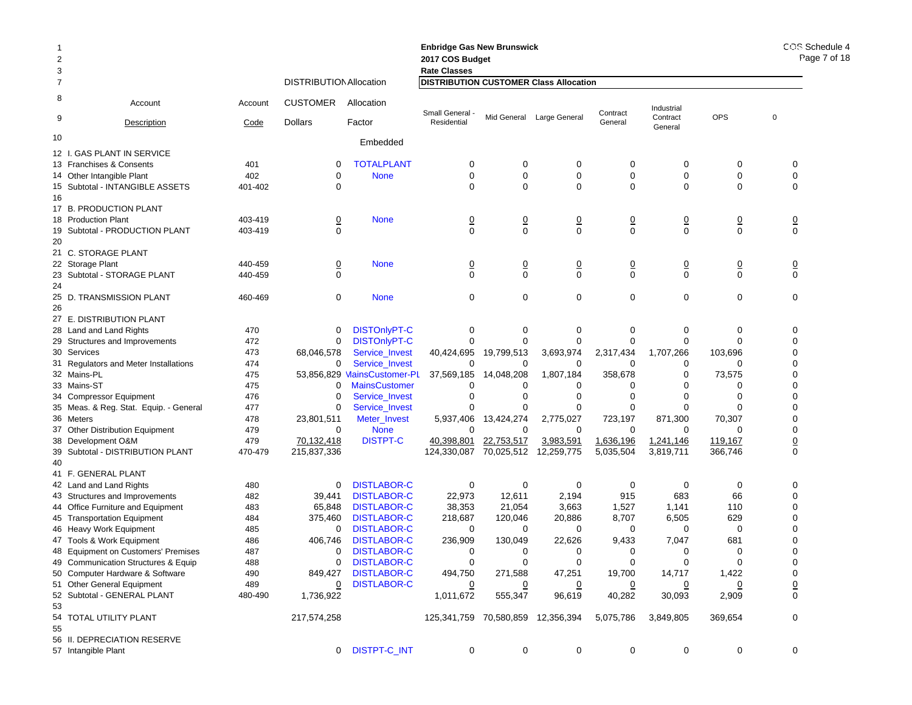| 2<br>3 |                                        |         |                                |                             | <b>Enbridge Gas New Brunswick</b><br>2017 COS Budget<br><b>Rate Classes</b> |                |                            |                |                     |                               | COS I<br>Pa     |
|--------|----------------------------------------|---------|--------------------------------|-----------------------------|-----------------------------------------------------------------------------|----------------|----------------------------|----------------|---------------------|-------------------------------|-----------------|
| 7      |                                        |         | <b>DISTRIBUTION Allocation</b> |                             | <b>DISTRIBUTION CUSTOMER Class Allocation</b>                               |                |                            |                |                     |                               |                 |
| 8      | Account                                | Account | <b>CUSTOMER</b>                | Allocation                  | Small General                                                               |                |                            | Contract       | Industrial          |                               |                 |
| 9      | Description                            | Code    | Dollars                        | Factor                      | Residential                                                                 |                | Mid General Large General  | General        | Contract<br>General | <b>OPS</b>                    | $\mathbf 0$     |
| 10     |                                        |         |                                | Embedded                    |                                                                             |                |                            |                |                     |                               |                 |
|        | 12 I. GAS PLANT IN SERVICE             |         |                                |                             |                                                                             |                |                            |                |                     |                               |                 |
|        | 13 Franchises & Consents               | 401     | 0                              | <b>TOTALPLANT</b>           | 0                                                                           | 0              | 0                          | 0              | 0                   | 0                             | 0               |
|        | 14 Other Intangible Plant              | 402     | $\mathbf 0$                    | <b>None</b>                 | 0                                                                           | $\mathbf 0$    | $\mathbf 0$                | 0              | 0                   | 0                             | 0               |
|        | 15 Subtotal - INTANGIBLE ASSETS        | 401-402 | $\Omega$                       |                             | $\Omega$                                                                    | $\Omega$       | $\mathbf 0$                | $\Omega$       | 0                   | 0                             | $\mathbf 0$     |
| 16     | 17 B. PRODUCTION PLANT                 |         |                                |                             |                                                                             |                |                            |                |                     |                               |                 |
|        | 18 Production Plant                    | 403-419 |                                | <b>None</b>                 |                                                                             |                |                            |                |                     |                               |                 |
| 19     | Subtotal - PRODUCTION PLANT            | 403-419 | $\overline{0}$<br>$\Omega$     |                             | $\overline{0}$<br>$\Omega$                                                  | $\frac{0}{0}$  | $\overline{0}$<br>$\Omega$ | $\frac{0}{0}$  | $\frac{0}{0}$       | $\overline{0}$<br>$\mathbf 0$ | $\frac{0}{0}$   |
| 20     |                                        |         |                                |                             |                                                                             |                |                            |                |                     |                               |                 |
|        | 21 C. STORAGE PLANT                    |         |                                |                             |                                                                             |                |                            |                |                     |                               |                 |
|        | 22 Storage Plant                       | 440-459 | $\overline{0}$                 | <b>None</b>                 | $\overline{0}$                                                              | $\overline{0}$ | $\overline{0}$             | $\overline{0}$ | $\overline{0}$      | $\overline{0}$                | $\overline{0}$  |
|        | 23 Subtotal - STORAGE PLANT            | 440-459 | $\Omega$                       |                             | $\Omega$                                                                    | $\Omega$       | $\Omega$                   | $\Omega$       | $\Omega$            | $\mathbf 0$                   | $\Omega$        |
| 24     |                                        |         |                                |                             |                                                                             |                |                            |                |                     |                               |                 |
|        | 25 D. TRANSMISSION PLANT               | 460-469 | 0                              | <b>None</b>                 | $\mathbf 0$                                                                 | $\mathbf 0$    | $\mathbf 0$                | $\mathbf 0$    | 0                   | 0                             | $\mathbf 0$     |
| 26     |                                        |         |                                |                             |                                                                             |                |                            |                |                     |                               |                 |
|        | 27 E. DISTRIBUTION PLANT               |         |                                |                             |                                                                             |                |                            |                |                     |                               |                 |
|        | 28 Land and Land Rights                | 470     | 0                              | <b>DISTOnlyPT-C</b>         | 0                                                                           | 0              | 0                          | 0              | 0                   | 0                             | 0               |
|        | 29 Structures and Improvements         | 472     | 0                              | <b>DISTOnlyPT-C</b>         | $\Omega$                                                                    | 0              | $\mathbf 0$                | $\mathbf 0$    | 0                   | 0                             | 0               |
|        | 30 Services                            | 473     | 68,046,578                     | Service_Invest              | 40,424,695                                                                  | 19,799,513     | 3,693,974                  | 2,317,434      | 1,707,266           | 103,696                       | $\mathbf 0$     |
|        | 31 Regulators and Meter Installations  | 474     | 0                              | Service_Invest              | 0                                                                           | 0              | 0                          | $\Omega$       | 0                   | 0                             | 0               |
|        | 32 Mains-PL                            | 475     |                                | 53,856,829 MainsCustomer-PL | 37,569,185                                                                  | 14,048,208     | 1,807,184                  | 358,678        | 0                   | 73,575                        | 0               |
|        | 33 Mains-ST                            | 475     | 0                              | <b>MainsCustomer</b>        | 0                                                                           | 0              | 0                          | 0              | 0                   | 0                             | $\mathbf 0$     |
|        | 34 Compressor Equipment                | 476     | 0                              | Service_Invest              | 0                                                                           | $\Omega$       | $\mathbf 0$                | 0              | $\Omega$            | $\Omega$                      | 0               |
|        | 35 Meas. & Reg. Stat. Equip. - General | 477     | 0                              | Service_Invest              | O                                                                           |                | 0                          | 0              | 0                   | $\Omega$                      | $\pmb{0}$       |
|        | 36 Meters                              | 478     | 23,801,511                     | Meter_Invest                | 5,937,406                                                                   | 13,424,274     | 2,775,027                  | 723,197        | 871,300             | 70,307                        | 0               |
|        | 37 Other Distribution Equipment        | 479     | 0                              | <b>None</b>                 | $\Omega$                                                                    | $\mathbf 0$    | 0                          | 0              | 0                   | $\Omega$                      | $\mathbf 0$     |
|        | 38 Development O&M                     | 479     | 70,132,418                     | <b>DISTPT-C</b>             | 40,398,801                                                                  | 22,753,517     | 3,983,591                  | 1,636,196      | 1,241,146           | 119,167                       | $\underline{0}$ |
|        | 39 Subtotal - DISTRIBUTION PLANT       | 470-479 | 215,837,336                    |                             | 124,330,087                                                                 | 70,025,512     | 12,259,775                 | 5,035,504      | 3,819,711           | 366,746                       | $\mathbf 0$     |
| 40     | 41 F. GENERAL PLANT                    |         |                                |                             |                                                                             |                |                            |                |                     |                               |                 |
|        | 42 Land and Land Rights                | 480     | 0                              | <b>DISTLABOR-C</b>          | 0                                                                           | 0              | 0                          | 0              | 0                   | 0                             | 0               |
|        | 43 Structures and Improvements         | 482     | 39,441                         | <b>DISTLABOR-C</b>          | 22,973                                                                      | 12,611         | 2,194                      | 915            | 683                 | 66                            | $\mathbf 0$     |
|        | 44 Office Furniture and Equipment      | 483     | 65,848                         | <b>DISTLABOR-C</b>          | 38,353                                                                      | 21,054         | 3,663                      | 1,527          | 1,141               | 110                           | 0               |
|        | 45 Transportation Equipment            | 484     | 375,460                        | <b>DISTLABOR-C</b>          | 218,687                                                                     | 120,046        | 20,886                     | 8,707          | 6,505               | 629                           | 0               |
|        | 46 Heavy Work Equipment                | 485     | 0                              | <b>DISTLABOR-C</b>          | 0                                                                           | 0              | 0                          | 0              | 0                   | 0                             | 0               |
|        | 47 Tools & Work Equipment              | 486     | 406,746                        | <b>DISTLABOR-C</b>          | 236,909                                                                     | 130,049        | 22,626                     | 9,433          | 7,047               | 681                           | 0               |
|        | 48 Equipment on Customers' Premises    | 487     | 0                              | <b>DISTLABOR-C</b>          | 0                                                                           | 0              | 0                          | 0              | 0                   | 0                             | $\mathbf 0$     |
|        | 49 Communication Structures & Equip    | 488     | 0                              | <b>DISTLABOR-C</b>          | $\mathbf 0$                                                                 | 0              |                            | $\mathbf 0$    | 0                   | 0                             | 0               |
|        | 50 Computer Hardware & Software        | 490     | 849,427                        | <b>DISTLABOR-C</b>          | 494,750                                                                     | 271,588        | 47,251                     | 19,700         | 14,717              | 1,422                         | 0               |
|        | 51 Other General Equipment             | 489     | $\overline{0}$                 | <b>DISTLABOR-C</b>          |                                                                             |                | $\overline{0}$             |                |                     | 0                             | $\underline{0}$ |
|        | 52 Subtotal - GENERAL PLANT            | 480-490 | 1,736,922                      |                             | 1,011,672                                                                   | 555,347        | 96,619                     | 40,282         | 30,093              | 2,909                         | $\mathbf 0$     |
| 53     |                                        |         |                                |                             |                                                                             |                |                            |                |                     |                               |                 |
| 55     | 54 TOTAL UTILITY PLANT                 |         | 217,574,258                    |                             | 125,341,759 70,580,859 12,356,394                                           |                |                            | 5,075,786      | 3,849,805           | 369,654                       | 0               |
|        | 56 II. DEPRECIATION RESERVE            |         |                                |                             |                                                                             |                |                            |                |                     |                               |                 |
|        | 57 Intangible Plant                    |         |                                | 0 DISTPT-C_INT              | 0                                                                           | 0              | $\mathbf 0$                | $\mathbf 0$    | 0                   | 0                             | 0               |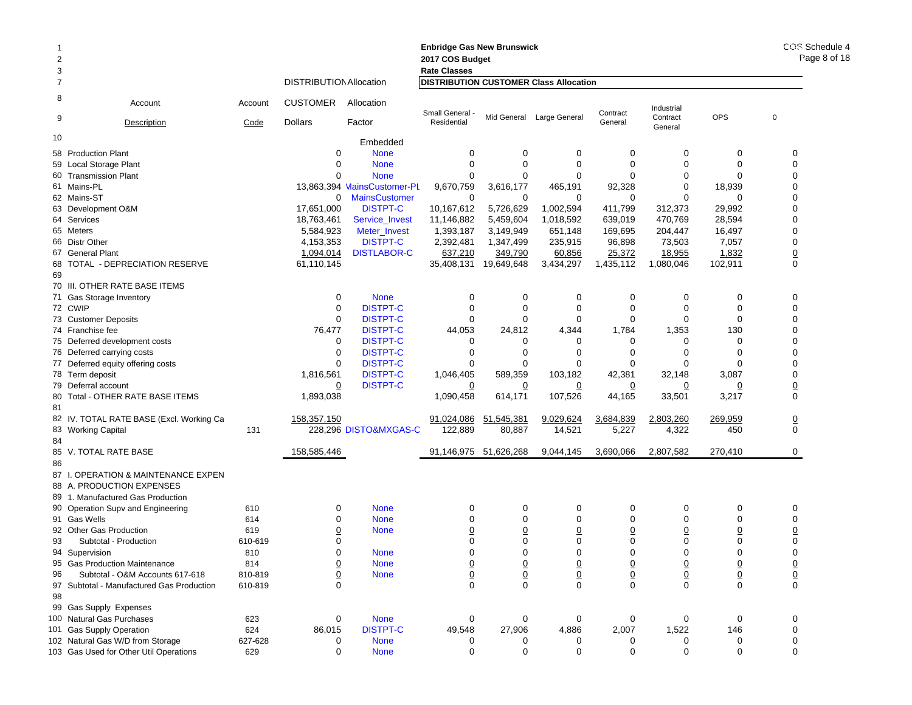|                |                                           |         |                                   |                             | <b>Enbridge Gas New Brunswick</b> |                       |                                               |                     |                        |                | COS Schedule 4  |
|----------------|-------------------------------------------|---------|-----------------------------------|-----------------------------|-----------------------------------|-----------------------|-----------------------------------------------|---------------------|------------------------|----------------|-----------------|
| $\overline{2}$ |                                           |         |                                   |                             | 2017 COS Budget                   |                       |                                               |                     |                        |                | Page 8 of 18    |
| 3              |                                           |         |                                   |                             | <b>Rate Classes</b>               |                       |                                               |                     |                        |                |                 |
| 7              |                                           |         | <b>DISTRIBUTION Allocation</b>    |                             |                                   |                       | <b>DISTRIBUTION CUSTOMER Class Allocation</b> |                     |                        |                |                 |
| 8<br>9         | Account                                   | Account | <b>CUSTOMER</b><br><b>Dollars</b> | Allocation<br>Factor        | Small General -<br>Residential    |                       | Mid General Large General                     | Contract<br>General | Industrial<br>Contract | <b>OPS</b>     | $\mathbf 0$     |
|                | Description                               | Code    |                                   |                             |                                   |                       |                                               |                     | General                |                |                 |
| 10             |                                           |         |                                   | Embedded                    |                                   |                       |                                               |                     |                        |                |                 |
|                | 58 Production Plant                       |         | 0                                 | <b>None</b>                 | 0                                 | 0                     | 0                                             | $\mathbf 0$         | 0                      | 0              | 0               |
|                | 59 Local Storage Plant                    |         | $\Omega$                          | <b>None</b>                 | $\mathbf 0$                       | 0                     | $\mathbf 0$                                   | $\mathbf 0$         | $\mathbf 0$            | $\mathbf 0$    | 0               |
|                | 60 Transmission Plant                     |         | 0                                 | <b>None</b>                 | 0                                 | 0                     | 0                                             | $\mathbf 0$         | 0                      | $\Omega$       | 0               |
|                | 61 Mains-PL                               |         |                                   | 13,863,394 MainsCustomer-PL | 9,670,759                         | 3,616,177             | 465,191                                       | 92,328              | $\Omega$               | 18,939         | 0               |
|                | 62 Mains-ST                               |         | 0                                 | <b>MainsCustomer</b>        | 0                                 | 0                     | 0                                             | 0                   | 0                      | 0              | 0               |
|                | 63 Development O&M                        |         | 17,651,000                        | <b>DISTPT-C</b>             | 10,167,612                        | 5,726,629             | 1,002,594                                     | 411.799             | 312,373                | 29,992         | 0               |
|                | 64 Services                               |         | 18,763,461                        | Service_Invest              | 11,146,882                        | 5,459,604             | 1,018,592                                     | 639,019             | 470,769                | 28,594         | 0               |
|                | 65 Meters                                 |         | 5,584,923                         | Meter_Invest                | 1,393,187                         | 3,149,949             | 651,148                                       | 169,695             | 204,447                | 16,497         | 0               |
|                | 66 Distr Other                            |         | 4,153,353                         | <b>DISTPT-C</b>             | 2,392,481                         | 1,347,499             | 235,915                                       | 96,898              | 73,503                 | 7,057          | 0               |
|                | 67 General Plant                          |         | 1,094,014                         | <b>DISTLABOR-C</b>          | 637,210                           | 349,790               | 60,856                                        | 25,372              | 18,955                 | 1,832          | $\underline{0}$ |
|                | 68 TOTAL - DEPRECIATION RESERVE           |         | 61,110,145                        |                             | 35,408,131                        | 19,649,648            | 3,434,297                                     | 1,435,112           | 1,080,046              | 102,911        | 0               |
| 69             |                                           |         |                                   |                             |                                   |                       |                                               |                     |                        |                |                 |
|                | 70 III. OTHER RATE BASE ITEMS             |         |                                   |                             |                                   |                       |                                               |                     |                        |                |                 |
|                | 71 Gas Storage Inventory                  |         | 0                                 | <b>None</b>                 | 0                                 | 0                     | 0                                             | 0                   | 0                      | 0              | 0               |
|                | 72 CWIP                                   |         | $\mathbf 0$                       | <b>DISTPT-C</b>             | 0                                 | 0                     | 0                                             | $\mathbf 0$         | 0                      | 0              | 0               |
|                | 73 Customer Deposits                      |         | $\mathbf 0$                       | <b>DISTPT-C</b>             | $\mathbf 0$                       | $\mathbf 0$           | $\mathbf 0$                                   | $\mathbf 0$         | $\mathbf 0$            | $\Omega$       | 0               |
|                | 74 Franchise fee                          |         | 76,477                            | <b>DISTPT-C</b>             | 44,053                            | 24,812                | 4,344                                         | 1,784               | 1,353                  | 130            | 0               |
|                | 75 Deferred development costs             |         | 0                                 | <b>DISTPT-C</b>             | 0                                 | 0                     | 0                                             | 0                   | 0                      | 0              | 0               |
|                | 76 Deferred carrying costs                |         | 0                                 | <b>DISTPT-C</b>             | 0                                 | 0                     | $\mathbf 0$                                   | 0                   | 0                      | $\Omega$       | 0               |
|                | 77 Deferred equity offering costs         |         | $\mathbf 0$                       | <b>DISTPT-C</b>             | 0                                 | 0                     | 0                                             | 0                   | 0                      | $\Omega$       | 0               |
|                | 78 Term deposit                           |         | 1,816,561                         | <b>DISTPT-C</b>             | 1,046,405                         | 589,359               | 103,182                                       | 42,381              | 32,148                 | 3,087          | 0               |
|                | 79 Deferral account                       |         | 0                                 | <b>DISTPT-C</b>             | 0                                 | 0                     | 0                                             | 0                   | 0                      | 0              | $\overline{0}$  |
|                | 80 Total - OTHER RATE BASE ITEMS          |         | 1,893,038                         |                             | 1,090,458                         | 614,171               | 107,526                                       | 44,165              | 33,501                 | 3,217          | 0               |
| 81             |                                           |         |                                   |                             |                                   |                       |                                               |                     |                        |                |                 |
|                | 82 IV. TOTAL RATE BASE (Excl. Working Ca  |         | 158,357,150                       |                             | 91,024,086                        | 51,545,381            | 9,029,624                                     | 3,684,839           | 2,803,260              | 269,959        | $\underline{0}$ |
|                | 83 Working Capital                        | 131     |                                   | 228,296 DISTO&MXGAS-C       | 122,889                           | 80,887                | 14,521                                        | 5,227               | 4,322                  | 450            | 0               |
| 84             |                                           |         |                                   |                             |                                   |                       |                                               |                     |                        |                |                 |
|                | 85 V. TOTAL RATE BASE                     |         | 158,585,446                       |                             |                                   | 91,146,975 51,626,268 | 9,044,145                                     | 3,690,066           | 2,807,582              | 270,410        | 0               |
| 86             |                                           |         |                                   |                             |                                   |                       |                                               |                     |                        |                |                 |
|                | 87 I. OPERATION & MAINTENANCE EXPEN       |         |                                   |                             |                                   |                       |                                               |                     |                        |                |                 |
|                | 88 A. PRODUCTION EXPENSES                 |         |                                   |                             |                                   |                       |                                               |                     |                        |                |                 |
|                | 89 1. Manufactured Gas Production         |         |                                   |                             |                                   |                       |                                               |                     |                        |                |                 |
|                | 90 Operation Supv and Engineering         | 610     | 0                                 | <b>None</b>                 | 0                                 | 0                     | 0                                             | 0                   | 0                      | 0              | 0               |
|                | 91 Gas Wells                              | 614     | $\Omega$                          | <b>None</b>                 | 0                                 | 0                     | $\mathbf 0$                                   | 0                   | 0                      | 0              | 0               |
|                | 92 Other Gas Production                   | 619     | $\overline{0}$                    | <b>None</b>                 | $\overline{0}$                    | $\underline{0}$       | $\overline{0}$                                | $\overline{0}$      | $\overline{0}$         | $\overline{0}$ | $\overline{0}$  |
| 93             | Subtotal - Production                     | 610-619 | 0                                 |                             | 0                                 | 0                     | 0                                             | 0                   | $\mathbf 0$            | 0              | 0               |
|                | 94 Supervision                            | 810     | $\mathbf 0$                       | <b>None</b>                 | 0                                 | $\mathbf 0$           | 0                                             | $\mathbf 0$         | $\Omega$               | $\mathbf 0$    | 0               |
|                | 95 Gas Production Maintenance             | 814     | $\frac{0}{0}$                     | None                        | $\frac{0}{0}$                     | $\frac{0}{0}$         | $\overline{0}$                                | $\overline{0}$      | $\overline{0}$         | $\overline{0}$ | $\frac{0}{0}$   |
| 96             | Subtotal - O&M Accounts 617-618           | 810-819 |                                   | <b>None</b>                 |                                   |                       | $\pmb{0}$                                     | $\underline{0}$     | $\overline{0}$         | $\overline{0}$ |                 |
|                | 97 Subtotal - Manufactured Gas Production | 610-819 | $\Omega$                          |                             | $\mathbf 0$                       | $\Omega$              | $\Omega$                                      | $\Omega$            | $\Omega$               | $\Omega$       | 0               |
| 98             |                                           |         |                                   |                             |                                   |                       |                                               |                     |                        |                |                 |
|                | 99 Gas Supply Expenses                    |         |                                   |                             |                                   |                       |                                               |                     |                        |                |                 |
|                | 100 Natural Gas Purchases                 | 623     | 0                                 | <b>None</b>                 | 0                                 | 0                     | 0                                             | 0                   | 0                      | 0              | 0               |
|                | 101 Gas Supply Operation                  | 624     | 86,015                            | <b>DISTPT-C</b>             | 49,548                            | 27,906                | 4,886                                         | 2,007               | 1,522                  | 146            | 0               |
|                | 102 Natural Gas W/D from Storage          | 627-628 | 0                                 | <b>None</b>                 | 0                                 | 0                     | 0                                             | 0                   | 0                      | 0              | 0               |
|                | 103 Gas Used for Other Util Operations    | 629     | $\mathbf 0$                       | <b>None</b>                 | $\mathbf 0$                       | $\mathbf 0$           | $\mathbf 0$                                   | $\mathbf 0$         | $\mathbf 0$            | $\mathbf 0$    | 0               |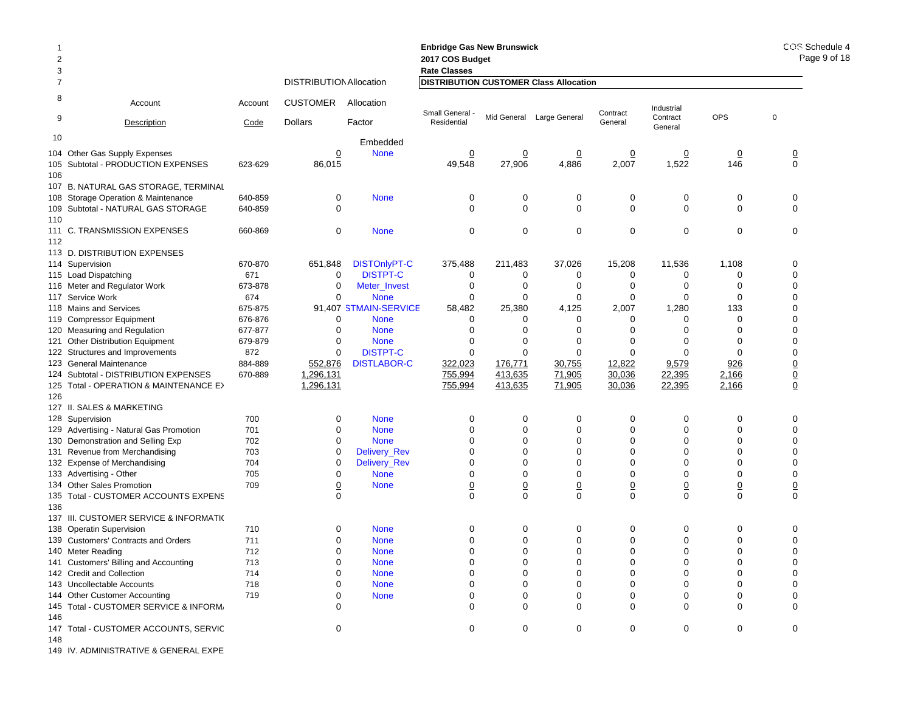|                |                                                                   |         |                                |                       | <b>Enbridge Gas New Brunswick</b>             |                                |                                |                                |                            |                               | COS Schedule 4                       |
|----------------|-------------------------------------------------------------------|---------|--------------------------------|-----------------------|-----------------------------------------------|--------------------------------|--------------------------------|--------------------------------|----------------------------|-------------------------------|--------------------------------------|
| $\overline{2}$ |                                                                   |         |                                |                       | 2017 COS Budget                               |                                |                                |                                |                            |                               | Page 9 of 18                         |
| 3              |                                                                   |         |                                |                       | <b>Rate Classes</b>                           |                                |                                |                                |                            |                               |                                      |
| 7              |                                                                   |         | <b>DISTRIBUTION Allocation</b> |                       | <b>DISTRIBUTION CUSTOMER Class Allocation</b> |                                |                                |                                |                            |                               |                                      |
| 8              | Account                                                           | Account | <b>CUSTOMER</b>                | Allocation            | Small General -                               |                                | Mid General Large General      | Contract                       | Industrial                 | OPS                           | $\mathbf 0$                          |
| 9              | Description                                                       | Code    | <b>Dollars</b>                 | Factor                | Residential                                   |                                |                                | General                        | Contract<br>General        |                               |                                      |
| 10             |                                                                   |         |                                | Embedded              |                                               |                                |                                |                                |                            |                               |                                      |
|                | 104 Other Gas Supply Expenses                                     |         | <u>0</u>                       | <b>None</b>           | $\overline{0}$                                | $\overline{0}$                 | $\overline{0}$                 | $\overline{0}$                 | $\overline{0}$             | $\overline{0}$                | $\frac{0}{0}$                        |
|                | 105 Subtotal - PRODUCTION EXPENSES                                | 623-629 | 86,015                         |                       | 49,548                                        | 27,906                         | 4,886                          | 2,007                          | 1,522                      | 146                           |                                      |
| 106            |                                                                   |         |                                |                       |                                               |                                |                                |                                |                            |                               |                                      |
|                | 107 B. NATURAL GAS STORAGE, TERMINAL                              |         |                                |                       |                                               |                                |                                |                                |                            |                               |                                      |
|                | 108 Storage Operation & Maintenance                               | 640-859 | 0                              | <b>None</b>           | 0                                             | 0                              | 0                              | 0                              | 0                          | 0                             | 0                                    |
|                | 109 Subtotal - NATURAL GAS STORAGE                                | 640-859 | $\mathbf 0$                    |                       | $\mathbf 0$                                   | 0                              | 0                              | 0                              | $\mathbf 0$                | 0                             | 0                                    |
| 110            |                                                                   |         | $\mathbf 0$                    |                       | 0                                             | 0                              | $\mathbf 0$                    | $\mathbf 0$                    | $\mathbf 0$                | 0                             | 0                                    |
| 112            | 111 C. TRANSMISSION EXPENSES                                      | 660-869 |                                | <b>None</b>           |                                               |                                |                                |                                |                            |                               |                                      |
|                | 113 D. DISTRIBUTION EXPENSES                                      |         |                                |                       |                                               |                                |                                |                                |                            |                               |                                      |
|                | 114 Supervision                                                   | 670-870 | 651,848                        | <b>DISTOnlyPT-C</b>   | 375,488                                       | 211,483                        | 37,026                         | 15,208                         | 11,536                     | 1,108                         | 0                                    |
|                | 115 Load Dispatching                                              | 671     | 0                              | <b>DISTPT-C</b>       | 0                                             | 0                              | 0                              | 0                              | 0                          | 0                             | 0                                    |
|                | 116 Meter and Regulator Work                                      | 673-878 | 0                              | Meter_Invest          | 0                                             | 0                              | 0                              | 0                              | 0                          | 0                             | 0                                    |
|                | 117 Service Work                                                  | 674     | $\mathbf 0$                    | <b>None</b>           | $\mathbf 0$                                   | 0                              | $\mathbf 0$                    | 0                              | 0                          | $\Omega$                      | 0                                    |
|                | 118 Mains and Services                                            | 675-875 |                                | 91,407 STMAIN-SERVICE | 58,482                                        | 25,380                         | 4,125                          | 2,007                          | 1,280                      | 133                           | 0                                    |
|                | 119 Compressor Equipment                                          | 676-876 | 0                              | <b>None</b>           | 0                                             | $\Omega$                       | 0                              | 0                              | $\Omega$                   | 0                             | 0                                    |
|                | 120 Measuring and Regulation                                      | 677-877 | $\mathbf 0$                    | <b>None</b>           | $\Omega$                                      | $\mathbf 0$                    | $\Omega$                       | $\Omega$                       | $\Omega$                   | $\Omega$                      | 0                                    |
|                | 121 Other Distribution Equipment                                  | 679-879 | 0                              | <b>None</b>           | 0                                             | 0                              | 0                              | 0                              | 0                          | 0                             | 0                                    |
|                | 122 Structures and Improvements                                   | 872     | 0                              | <b>DISTPT-C</b>       | $\mathbf 0$                                   | $\mathbf 0$                    | $\mathbf 0$                    | $\mathbf 0$                    | $\Omega$                   | $\Omega$                      | 0                                    |
|                | 123 General Maintenance                                           | 884-889 | 552,876                        | <b>DISTLABOR-C</b>    | 322,023                                       | 176,771                        | 30,755                         | 12,822                         | 9,579                      | 926                           | $\underline{0}$                      |
|                | 124 Subtotal - DISTRIBUTION EXPENSES                              | 670-889 | 1,296,131                      |                       | 755,994                                       | 413,635                        | 71,905                         | 30,036                         | 22,395                     | 2,166                         | $\frac{0}{0}$                        |
| 126            | 125 Total - OPERATION & MAINTENANCE E>                            |         | 1,296,131                      |                       | 755,994                                       | 413,635                        | 71,905                         | 30,036                         | 22,395                     | 2,166                         |                                      |
|                | 127 II. SALES & MARKETING                                         |         |                                |                       |                                               |                                |                                |                                |                            |                               |                                      |
|                | 128 Supervision                                                   | 700     | 0                              | <b>None</b>           | 0                                             | 0                              | 0                              | 0                              | 0                          | 0                             | 0                                    |
|                | 129 Advertising - Natural Gas Promotion                           | 701     | $\mathbf 0$                    | <b>None</b>           | $\Omega$                                      | $\mathbf 0$                    | $\mathbf 0$                    | $\mathbf 0$                    | $\Omega$                   | $\Omega$                      | 0                                    |
|                | 130 Demonstration and Selling Exp                                 | 702     | $\mathbf 0$                    | <b>None</b>           | $\Omega$                                      | 0                              | $\mathbf 0$                    | $\mathbf 0$                    | $\Omega$                   | $\Omega$                      | 0                                    |
|                | 131 Revenue from Merchandising                                    | 703     | 0                              | Delivery_Rev          | 0                                             | 0                              | $\mathbf 0$                    | 0                              | 0                          | 0                             | 0                                    |
|                | 132 Expense of Merchandising                                      | 704     | 0                              | Delivery_Rev          | $\Omega$                                      | 0                              | $\Omega$                       | $\mathbf 0$                    | $\Omega$                   | $\Omega$                      | 0                                    |
|                | 133 Advertising - Other                                           | 705     | 0                              | <b>None</b>           | 0                                             | 0                              | $\mathbf 0$                    | 0                              | $\Omega$                   | 0                             | 0                                    |
|                | 134 Other Sales Promotion<br>135 Total - CUSTOMER ACCOUNTS EXPENS | 709     | $\overline{0}$<br>$\Omega$     | <b>None</b>           | $\overline{0}$<br>$\mathbf 0$                 | $\underline{0}$<br>$\mathbf 0$ | $\underline{0}$<br>$\mathbf 0$ | $\underline{0}$<br>$\mathbf 0$ | $\overline{0}$<br>$\Omega$ | $\overline{0}$<br>$\mathbf 0$ | $\overline{\mathbf{0}}$<br>$\pmb{0}$ |
| 136            |                                                                   |         |                                |                       |                                               |                                |                                |                                |                            |                               |                                      |
|                | 137 III. CUSTOMER SERVICE & INFORMATI(                            |         |                                |                       |                                               |                                |                                |                                |                            |                               |                                      |
|                | 138 Operatin Supervision                                          | 710     | 0                              | <b>None</b>           | 0                                             | 0                              | 0                              | 0                              | 0                          | 0                             | 0                                    |
|                | 139 Customers' Contracts and Orders                               | 711     | $\mathbf 0$                    | <b>None</b>           | 0                                             | $\mathbf 0$                    | $\Omega$                       | $\Omega$                       | 0                          |                               | 0                                    |
|                | 140 Meter Reading                                                 | 712     | $\mathbf 0$                    | <b>None</b>           | $\mathbf 0$                                   | 0                              | $\mathbf 0$                    | $\mathbf 0$                    | $\mathbf 0$                | $\mathbf 0$                   | 0                                    |
|                | 141 Customers' Billing and Accounting                             | 713     | 0                              | <b>None</b>           |                                               |                                |                                |                                |                            |                               |                                      |
|                | 142 Credit and Collection                                         | 714     | 0                              | <b>None</b>           | 0                                             | 0                              | 0                              |                                |                            |                               | 0                                    |
|                | 143 Uncollectable Accounts                                        | 718     | 0                              | <b>None</b>           | 0                                             | 0                              | 0                              |                                | O                          |                               | 0                                    |
|                | 144 Other Customer Accounting                                     | 719     |                                | <b>None</b>           | 0                                             | 0                              | 0                              | 0                              | 0                          |                               | 0                                    |
| 146            | 145 Total - CUSTOMER SERVICE & INFORM,                            |         | ∩                              |                       | $\Omega$                                      | 0                              | $\Omega$                       | 0                              | 0                          | 0                             | $\Omega$                             |
| 148            | 147 Total - CUSTOMER ACCOUNTS, SERVIC                             |         | 0                              |                       | 0                                             | 0                              | 0                              | 0                              | 0                          | 0                             | 0                                    |
|                |                                                                   |         |                                |                       |                                               |                                |                                |                                |                            |                               |                                      |

149 IV. ADMINISTRATIVE & GENERAL EXPE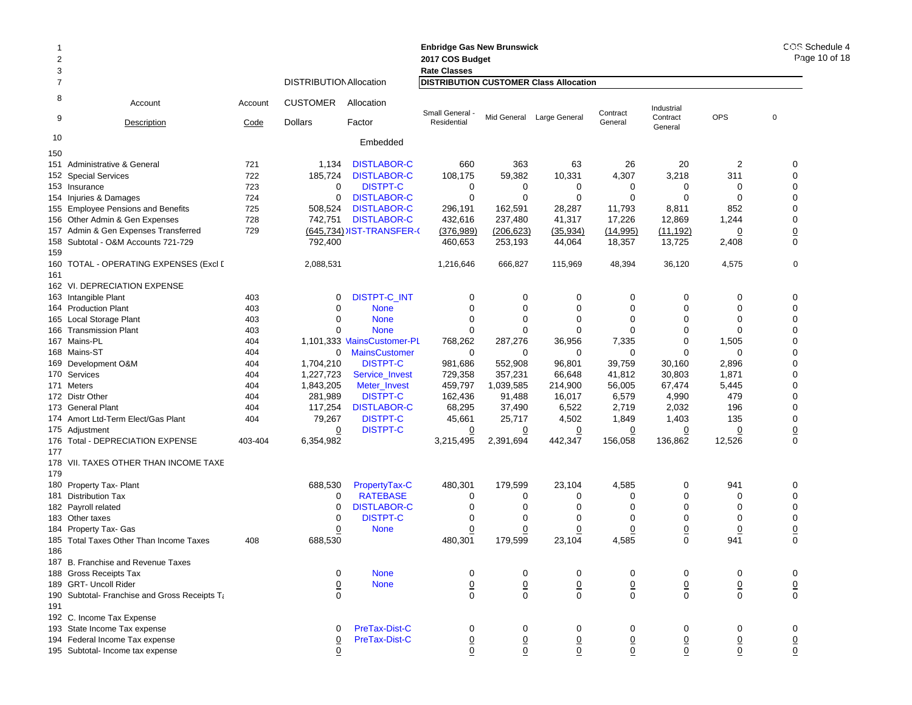### 1 **Enbridge Gas New Brunswick Enbridge Gas**  2 **2017 COS Budget 2017 COS Bud** 3 **Rate Classes Rate Classes** 7 DISTRIBUTIONAllocation **DISTRIBUTION CUSTOMER Class Allocation** 8 Account Account CUSTOMER Allocation9Description Code Dollars Factor 10 Embedded Industrial **Contract General** Small General - Mid General Large General Contract in additional Contract COPS of the Contract COPS of the Contract COPS of the Residential Contract COPS of the General Contract COPS of the General Contract COPS of the Gen 150151 Administrative & General 721 1,134 DISTLABOR-C 660 363 63 26 20 2 0 **152 Special Services** 2 Special Services 722 185,724 DISTLABOR-C 108,175 59,382 10,331 4,307 3,218 311 0 153 Insurance 723 00 DISTPT-C  $\begin{array}{ccccccccccccccccccccc} C & & & 0 & & 0 & & 0 & & 0 & & 0 & & 0 \end{array}$ 154 Injuries&Damages 724 0 DISTLABOR-C 0 0 0 0 0 155 Employee Pensions and Benefits 725 508,524 DISTLABOR-C 296,191 162,591 28,287 11,793 8,811 852 0 156 Other Admin & Gen Expenses 728 742,751 DISTLABOR-C 432,616 237,480 41,317 17,226 12,869 1,244 0 157 Admin & Gen Expenses Transferred 729 <u>(645,734)</u> JIST-TRANSFER-( <u>(376,989)</u> <u>(206,623) (35,934)</u> (<u>14,995) (11,192)</u> <u>0</u> <u>0</u> 158 Subtotal - O&M Accounts 721-729 792,400 460,653 253,193 44,064 18,357 13,725 2,408 0 159160 TOTAL - OPERATING EXPENSES (Excl I 2,088,531 1,216,646 666,827 115,969 48,394 36,120 4,575 0 161162 VI. DEPRECIATION EXPENSE163 Intangible Plant Intangible Plant 403 0 DISTPT-C\_INT 000000 0 164 Production Plant 403 0 None 000000 0 165 Local Storage Plant 5 Local Storage Plant 403 0 None 0 0 0 0 0 0 166 Transmission Plant 166 Transmission Plant 0 None 000000 0 167 Mains-PL 404 1,101,333 MainsCustomer-PL 768,262 287,276 36,956 7,335 0 1,505 0 168 Mains-ST 404 0 MainsCustomer 000000 0 169 Development O&M 9 Development O&M 404 1,704,210 DISTPT-C 981,686 552,908 96,801 39,759 30,160 2,896 0 170 Services 404 1,227,723 Service\_Invest 729,358 357,231 66,648 41,812 30,803 1,871 0 171 Meters 404 1,843,205 Meter\_Invest 459,797 1,039,585 214,900 56,005 67,474 5,445 0 172 Distr Other 404 281,989 DISTPT-C 162,436 91,488 16,017 6,579 4,990 479 0 173 General Plant 404 117,254 DISTLABOR-C 68,295 37,490 6,522 2,719 2,032 196 0 174 Amort Ltd-Term Elect/Gas Plant 174 Amort Ltd-Term 79,267 DISTPT-C 45,661 25,717 4,502 1,849 1,403 135 0 175 Adiustment 5 Adjustment <u>0</u> DISTPT-C <u>0</u> <u>0</u> <u>0</u> <u>0</u> 0 0 176 Total - DEPRECIATION EXPENSE 403-404 6,354,982 3,215,495 2,391,694 442,347 156,058 136,862 12,526 0 177178 VII. TAXES OTHER THAN INCOME TAXE179180 Property Tax- Plant 0 Property Tax- Plant 688,530 PropertyTax-C 480,301 179,599 23,104 4,585 0 941 0 181 Distribution Tax $\mathsf{x}$  0 0 RATEBASE E 0 0 0 0 0 0 0 182 Payroll related 2 Payroll related 0 DISTLABOR-C 0 0 0 0 0 0 183 Other taxes $\sim$  0  $\sim$ 0 DISTPT-C  $\begin{array}{ccccccccccccccccccccc} C & & & 0 & & 0 & & 0 & & 0 & & 0 & & 0 \end{array}$ 184 Property Tax- Gas 4 Property Tax- Gas <u>0</u> None <u>0</u> <u>0</u> <u>0</u> <u>0</u> <u>0</u> <u>0</u> 185 Total Taxes Other Than Income Taxes  $\hspace{1.6cm}$  408 688,530 480,301 179,599 23,104 4,585 0 941 0 186187 B. Franchise and Revenue Taxes 188 Gross Receipts Tax 0 None 000000 0 189 GRT- Uncoll Riderr 0 None 0 0 0 0 0 0 0 190 Subtotal- Franchise and Gross Receipts Ta 0 000000 0 191192 C. Income Tax Expense 193 State Income Tax expense 0 PreTax-Dist-C 000000 0 194 Federal Income Tax expense 0 PreTax-Dist-C 0 0 0 0 0 0 0

195 Subtotal- Income tax expense 0 0 0 0 0 0 0 0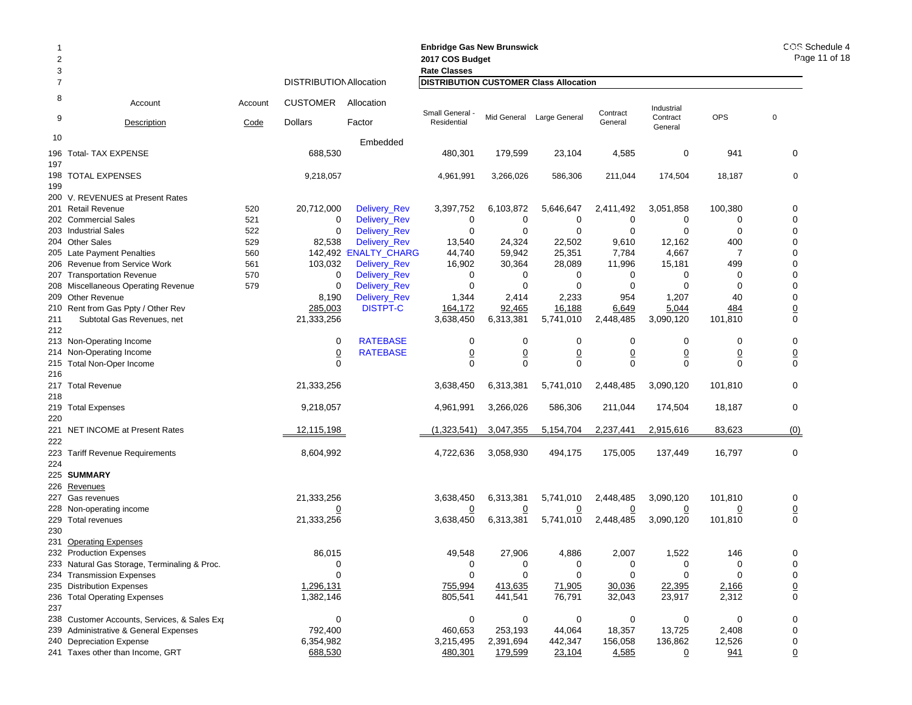| 2<br>3         |                                                              |         |                                |                       | <b>Enbridge Gas New Brunswick</b><br>2017 COS Budget<br><b>Rate Classes</b> | COS Schedule 4<br>Page 11 of 18 |                           |                  |                     |                |                 |
|----------------|--------------------------------------------------------------|---------|--------------------------------|-----------------------|-----------------------------------------------------------------------------|---------------------------------|---------------------------|------------------|---------------------|----------------|-----------------|
| $\overline{7}$ |                                                              |         | <b>DISTRIBUTION Allocation</b> |                       | <b>DISTRIBUTION CUSTOMER Class Allocation</b>                               |                                 |                           |                  |                     |                |                 |
| 8              | Account                                                      | Account | <b>CUSTOMER</b>                | Allocation            | Small General -                                                             |                                 |                           | Contract         | Industrial          | <b>OPS</b>     | $\pmb{0}$       |
| 9              | Description                                                  | Code    | <b>Dollars</b>                 | Factor                | Residential                                                                 |                                 | Mid General Large General | General          | Contract<br>General |                |                 |
| 10             |                                                              |         |                                | Embedded              |                                                                             |                                 |                           |                  |                     |                |                 |
|                | 196 Total- TAX EXPENSE                                       |         | 688,530                        |                       | 480,301                                                                     | 179,599                         | 23,104                    | 4,585            | 0                   | 941            | 0               |
| 197            | 198 TOTAL EXPENSES                                           |         | 9,218,057                      |                       | 4,961,991                                                                   | 3,266,026                       | 586,306                   | 211,044          | 174,504             | 18,187         | $\mathbf 0$     |
| 199            |                                                              |         |                                |                       |                                                                             |                                 |                           |                  |                     |                |                 |
|                | 200 V. REVENUES at Present Rates                             |         |                                |                       |                                                                             |                                 |                           |                  |                     |                |                 |
|                | 201 Retail Revenue                                           | 520     | 20,712,000                     | Delivery_Rev          | 3,397,752                                                                   | 6,103,872                       | 5,646,647                 | 2,411,492        | 3,051,858           | 100,380        | 0               |
|                | 202 Commercial Sales                                         | 521     | 0                              | Delivery_Rev          | 0                                                                           | 0                               | 0                         | 0                | 0                   | 0              | 0               |
|                | 203 Industrial Sales                                         | 522     | 0                              | Delivery_Rev          | 0                                                                           | 0                               | 0                         | $\mathbf 0$      | $\mathbf 0$         | 0              | 0               |
|                | 204 Other Sales                                              | 529     | 82,538                         | <b>Delivery_Rev</b>   | 13,540                                                                      | 24,324                          | 22,502                    | 9,610            | 12,162              | 400            | 0               |
|                | 205 Late Payment Penalties                                   | 560     |                                | 142,492 'ENALTY_CHARG | 44,740                                                                      | 59,942                          | 25,351                    | 7,784            | 4,667               | 7              | 0               |
|                | 206 Revenue from Service Work                                | 561     | 103,032                        | <b>Delivery_Rev</b>   | 16,902                                                                      | 30,364                          | 28,089                    | 11,996           | 15,181              | 499            | 0               |
| 207            | <b>Transportation Revenue</b>                                | 570     | 0                              | Delivery_Rev          | 0                                                                           | 0                               | 0                         | 0                | 0                   | 0              | 0               |
|                | 208 Miscellaneous Operating Revenue                          | 579     | 0                              | Delivery_Rev          | $\mathbf 0$                                                                 | 0                               | 0                         | 0                | 0                   | 0              | 0               |
|                | 209 Other Revenue                                            |         | 8,190                          | Delivery_Rev          | 1,344                                                                       | 2,414                           | 2,233                     | 954              | 1,207               | 40             | 0               |
|                | 210 Rent from Gas Ppty / Other Rev                           |         | 285,003                        | <b>DISTPT-C</b>       | 164,172                                                                     | 92,465                          | 16,188                    | 6,649            | 5,044               | 484            | $\underline{0}$ |
| 211            | Subtotal Gas Revenues, net                                   |         | 21,333,256                     |                       | 3,638,450                                                                   | 6,313,381                       | 5,741,010                 | 2,448,485        | 3,090,120           | 101,810        | 0               |
| 212            |                                                              |         |                                |                       |                                                                             |                                 |                           |                  |                     |                |                 |
|                | 213 Non-Operating Income                                     |         | 0                              | <b>RATEBASE</b>       | 0                                                                           | 0                               | 0                         | 0                | 0                   | 0              | 0               |
|                | 214 Non-Operating Income                                     |         | $\underline{0}$                | <b>RATEBASE</b>       | $\underline{0}$                                                             | $\underline{0}$                 | $\underline{0}$           | $\underline{0}$  | $\underline{0}$     | $\overline{0}$ | $\underline{0}$ |
| 216            | 215 Total Non-Oper Income                                    |         | $\mathbf 0$                    |                       | $\mathbf 0$                                                                 | $\mathbf 0$                     | $\mathbf 0$               | $\mathbf 0$      | $\mathbf 0$         | $\mathbf 0$    | 0               |
|                | 217 Total Revenue                                            |         | 21,333,256                     |                       | 3,638,450                                                                   | 6,313,381                       | 5,741,010                 | 2,448,485        | 3,090,120           | 101,810        | 0               |
| 218            |                                                              |         |                                |                       |                                                                             |                                 |                           |                  |                     |                |                 |
|                | 219 Total Expenses                                           |         | 9,218,057                      |                       | 4,961,991                                                                   | 3,266,026                       | 586,306                   | 211,044          | 174,504             | 18,187         | 0               |
| 220            |                                                              |         |                                |                       |                                                                             |                                 |                           |                  |                     |                |                 |
|                | 221 NET INCOME at Present Rates                              |         | 12,115,198                     |                       | (1,323,541)                                                                 | 3,047,355                       | 5,154,704                 | 2,237,441        | 2,915,616           | 83,623         | (0)             |
| 222            |                                                              |         |                                |                       |                                                                             |                                 |                           |                  |                     |                |                 |
|                | 223 Tariff Revenue Requirements                              |         | 8,604,992                      |                       | 4,722,636                                                                   | 3,058,930                       | 494,175                   | 175,005          | 137,449             | 16,797         | 0               |
| 224            |                                                              |         |                                |                       |                                                                             |                                 |                           |                  |                     |                |                 |
|                | 225 SUMMARY                                                  |         |                                |                       |                                                                             |                                 |                           |                  |                     |                |                 |
|                | 226 Revenues                                                 |         |                                |                       |                                                                             |                                 |                           |                  |                     |                |                 |
|                | 227 Gas revenues                                             |         | 21,333,256                     |                       | 3,638,450                                                                   | 6,313,381                       | 5,741,010                 | 2,448,485        | 3,090,120           | 101,810        | 0               |
|                | 228 Non-operating income                                     |         | $\overline{0}$                 |                       | $\overline{0}$                                                              | $\overline{0}$                  | $\overline{0}$            | $\overline{0}$   | $\overline{0}$      | $\overline{0}$ | $\overline{0}$  |
|                | 229 Total revenues                                           |         | 21,333,256                     |                       | 3,638,450                                                                   | 6,313,381                       | 5,741,010                 | 2,448,485        | 3,090,120           | 101,810        | $\pmb{0}$       |
| 230            |                                                              |         |                                |                       |                                                                             |                                 |                           |                  |                     |                |                 |
|                | 231 Operating Expenses                                       |         |                                |                       |                                                                             |                                 |                           |                  |                     |                |                 |
|                | 232 Production Expenses                                      |         | 86,015                         |                       | 49,548                                                                      | 27,906                          | 4,886                     | 2,007            | 1,522               | 146            | 0               |
|                | 233 Natural Gas Storage, Terminaling & Proc.                 |         | 0                              |                       | 0                                                                           | 0                               | 0                         | 0                | 0                   | 0              | 0               |
|                | 234 Transmission Expenses                                    |         | $\mathbf 0$                    |                       | 0                                                                           | 0                               | $\mathbf 0$               | $\mathbf 0$      | $\Omega$            | $\Omega$       | 0               |
|                | 235 Distribution Expenses                                    |         | 1,296,131                      |                       | 755,994                                                                     | 413,635                         | 71,905                    | 30,036           | 22,395              | 2,166          | $\overline{0}$  |
|                | 236 Total Operating Expenses                                 |         | 1,382,146                      |                       | 805,541                                                                     | 441,541                         | 76,791                    | 32,043           | 23,917              | 2,312          | 0               |
| 237            |                                                              |         |                                |                       |                                                                             |                                 |                           |                  |                     |                |                 |
|                | 238 Customer Accounts, Services, & Sales Exp                 |         | 0                              |                       | 0                                                                           | 0                               | 0                         | 0                | 0                   | 0              | 0               |
|                | 239 Administrative & General Expenses                        |         | 792,400                        |                       | 460,653<br>3,215,495                                                        | 253,193                         | 44,064                    | 18,357           | 13,725              | 2,408          | 0<br>0          |
|                | 240 Depreciation Expense<br>241 Taxes other than Income, GRT |         | 6,354,982<br>688,530           |                       | 480,301                                                                     | 2,391,694<br>179,599            | 442,347<br>23,104         | 156,058<br>4,585 | 136,862<br>0        | 12,526<br>941  | $\Omega$        |
|                |                                                              |         |                                |                       |                                                                             |                                 |                           |                  |                     |                |                 |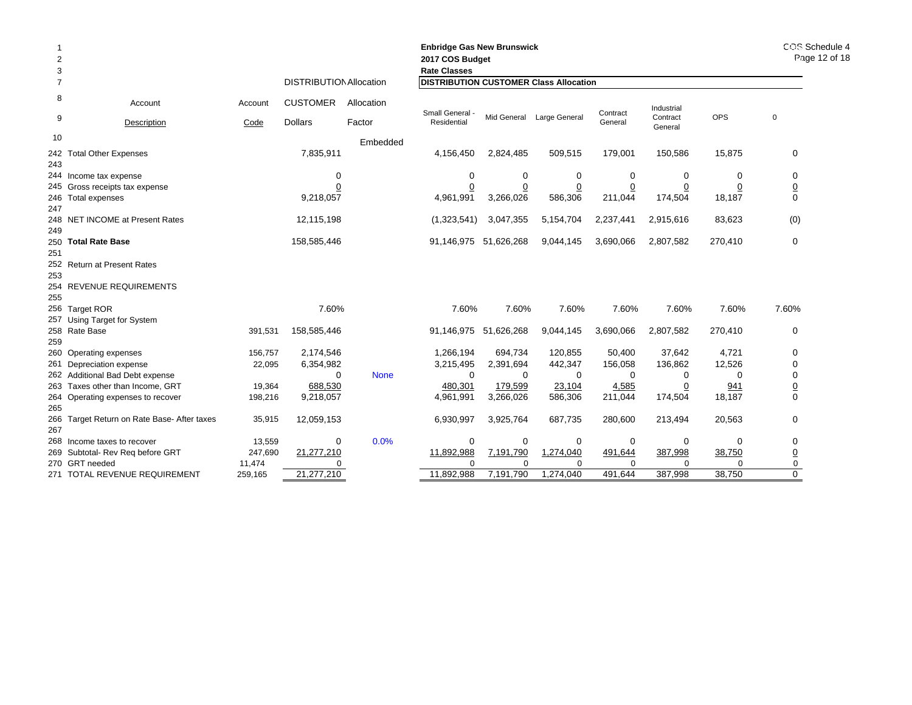| 2<br>3         |                                             |         |                                |             | <b>Enbridge Gas New Brunswick</b><br>2017 COS Budget<br><b>Rate Classes</b> |                       | COS Schedule 4<br>Page 12 of 18 |                 |                     |                |                 |
|----------------|---------------------------------------------|---------|--------------------------------|-------------|-----------------------------------------------------------------------------|-----------------------|---------------------------------|-----------------|---------------------|----------------|-----------------|
| $\overline{7}$ |                                             |         | <b>DISTRIBUTION Allocation</b> |             | <b>DISTRIBUTION CUSTOMER Class Allocation</b>                               |                       |                                 |                 |                     |                |                 |
| 8              | Account                                     | Account | <b>CUSTOMER</b>                | Allocation  | Small General -                                                             |                       |                                 | Contract        | Industrial          |                |                 |
| 9              | Description                                 | Code    | <b>Dollars</b>                 | Factor      | Residential                                                                 |                       | Mid General Large General       | General         | Contract<br>General | <b>OPS</b>     | $\mathbf 0$     |
| 10             |                                             |         |                                | Embedded    |                                                                             |                       |                                 |                 |                     |                |                 |
| 243            | 242 Total Other Expenses                    |         | 7,835,911                      |             | 4,156,450                                                                   | 2,824,485             | 509,515                         | 179,001         | 150,586             | 15,875         | 0               |
|                | 244 Income tax expense                      |         | 0                              |             | 0                                                                           | 0                     | 0                               | 0               | 0                   | 0              | 0               |
|                | 245 Gross receipts tax expense              |         | $\overline{0}$                 |             | $\overline{0}$                                                              | $\overline{0}$        | $\overline{0}$                  | $\underline{0}$ | $\overline{0}$      | $\overline{0}$ | $\underline{0}$ |
| 247            | 246 Total expenses                          |         | 9,218,057                      |             | 4,961,991                                                                   | 3,266,026             | 586,306                         | 211,044         | 174,504             | 18,187         | 0               |
| 249            | 248 NET INCOME at Present Rates             |         | 12,115,198                     |             | (1,323,541)                                                                 | 3,047,355             | 5,154,704                       | 2,237,441       | 2,915,616           | 83,623         | (0)             |
| 251            | 250 Total Rate Base                         |         | 158,585,446                    |             | 91,146,975                                                                  | 51,626,268            | 9,044,145                       | 3,690,066       | 2,807,582           | 270,410        | $\mathbf 0$     |
| 253            | 252 Return at Present Rates                 |         |                                |             |                                                                             |                       |                                 |                 |                     |                |                 |
| 255            | 254 REVENUE REQUIREMENTS                    |         |                                |             |                                                                             |                       |                                 |                 |                     |                |                 |
|                | 256 Target ROR                              |         | 7.60%                          |             | 7.60%                                                                       | 7.60%                 | 7.60%                           | 7.60%           | 7.60%               | 7.60%          | 7.60%           |
|                | 257 Using Target for System                 |         |                                |             |                                                                             |                       |                                 |                 |                     |                |                 |
|                | 258 Rate Base                               | 391,531 | 158,585,446                    |             |                                                                             | 91,146,975 51,626,268 | 9,044,145                       | 3,690,066       | 2,807,582           | 270,410        | 0               |
| 259            |                                             |         |                                |             |                                                                             |                       |                                 |                 |                     |                |                 |
|                | 260 Operating expenses                      | 156,757 | 2,174,546                      |             | 1,266,194                                                                   | 694,734               | 120,855                         | 50,400          | 37,642              | 4,721          | 0               |
|                | 261 Depreciation expense                    | 22,095  | 6,354,982                      |             | 3,215,495                                                                   | 2,391,694             | 442,347                         | 156,058         | 136,862             | 12,526         | 0               |
|                | 262 Additional Bad Debt expense             |         | $\Omega$                       | <b>None</b> | $\Omega$                                                                    | $\Omega$              | 0                               | $\Omega$        | 0                   | $\Omega$       | 0               |
|                | 263 Taxes other than Income, GRT            | 19,364  | 688,530                        |             | 480,301                                                                     | 179,599               | 23,104                          | 4,585           | 0                   | 941            | $\underline{0}$ |
| 265            | 264 Operating expenses to recover           | 198,216 | 9,218,057                      |             | 4,961,991                                                                   | 3,266,026             | 586,306                         | 211,044         | 174,504             | 18,187         | 0               |
| 267            | 266 Target Return on Rate Base- After taxes | 35,915  | 12,059,153                     |             | 6,930,997                                                                   | 3,925,764             | 687,735                         | 280,600         | 213,494             | 20,563         | 0               |
|                | 268 Income taxes to recover                 | 13,559  | 0                              | 0.0%        | 0                                                                           | 0                     | 0                               | 0               | 0                   | 0              | 0               |
|                | 269 Subtotal- Rev Req before GRT            | 247,690 | 21,277,210                     |             | 11,892,988                                                                  | 7,191,790             | 1,274,040                       | 491,644         | 387,998             | 38,750         | $\overline{0}$  |
|                | 270 GRT needed                              | 11,474  | $\Omega$                       |             | $\Omega$                                                                    | 0                     | $\Omega$                        | $\Omega$        | $\Omega$            | $\Omega$       | 0               |
|                | 271 TOTAL REVENUE REQUIREMENT               | 259.165 | 21,277,210                     |             | 11.892.988                                                                  | 7,191,790             | 1.274.040                       | 491.644         | 387.998             | 38.750         | 0               |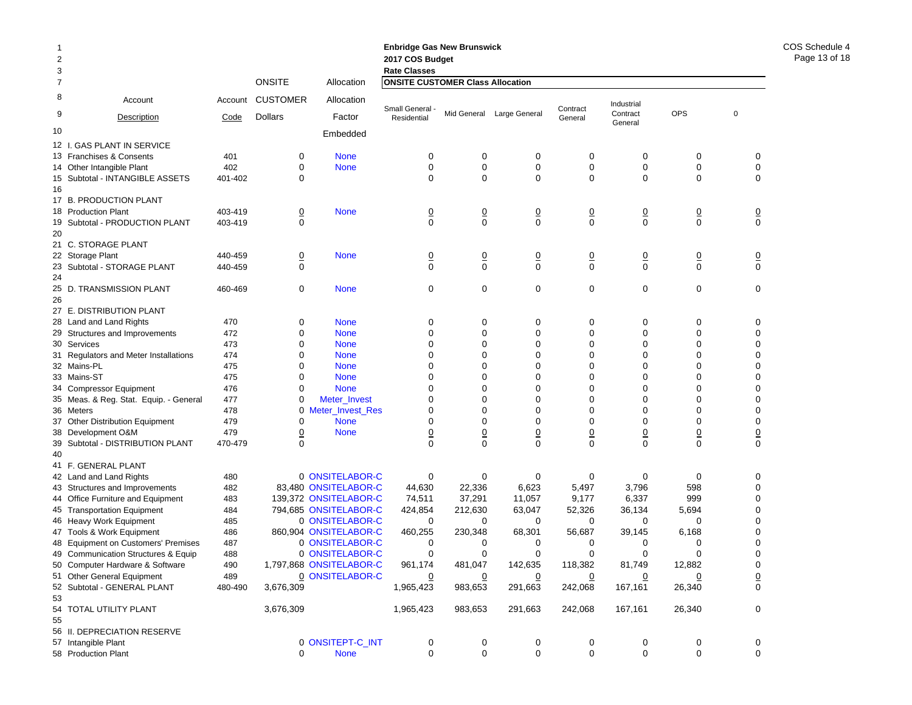| $\mathbf{1}$<br>2<br>3 |                                        |         |                 |                         | <b>Enbridge Gas New Brunswick</b><br>2017 COS Budget<br><b>Rate Classes</b> |                |                           |                     |                            |                |             |                     |
|------------------------|----------------------------------------|---------|-----------------|-------------------------|-----------------------------------------------------------------------------|----------------|---------------------------|---------------------|----------------------------|----------------|-------------|---------------------|
| $\overline{7}$         |                                        |         | <b>ONSITE</b>   | Allocation              | <b>ONSITE CUSTOMER Class Allocation</b>                                     |                |                           |                     |                            |                |             |                     |
| 8                      | Account                                | Account | <b>CUSTOMER</b> | Allocation              |                                                                             |                |                           |                     | Industrial                 |                |             |                     |
| 9                      | Description                            | Code    | <b>Dollars</b>  | Factor                  | Small General -<br>Residential                                              |                | Mid General Large General | Contract<br>General | Contract<br>General        | <b>OPS</b>     | $\mathbf 0$ |                     |
| 10                     |                                        |         |                 | Embedded                |                                                                             |                |                           |                     |                            |                |             |                     |
|                        | 12 I. GAS PLANT IN SERVICE             |         |                 |                         |                                                                             |                |                           |                     |                            |                |             |                     |
|                        | 13 Franchises & Consents               | 401     | 0               | <b>None</b>             | 0                                                                           | 0              | 0                         | 0                   | 0                          | 0              |             | 0                   |
|                        | 14 Other Intangible Plant              | 402     | 0               | <b>None</b>             | 0                                                                           | 0              | $\mathbf 0$               | $\mathbf 0$         | 0                          | 0              |             | 0                   |
|                        | 15 Subtotal - INTANGIBLE ASSETS        | 401-402 | 0               |                         | 0                                                                           | 0              | 0                         | 0                   | $\mathbf 0$                | $\mathbf 0$    |             | $\mathbf 0$         |
| 16                     |                                        |         |                 |                         |                                                                             |                |                           |                     |                            |                |             |                     |
|                        | 17 B. PRODUCTION PLANT                 |         |                 |                         |                                                                             |                |                           |                     |                            |                |             |                     |
|                        | 18 Production Plant                    | 403-419 | $\overline{0}$  | <b>None</b>             | $\overline{0}$                                                              | $\overline{0}$ | $\overline{0}$            | $\overline{0}$      | $\overline{0}$             | $\overline{0}$ |             | $\overline{0}$      |
|                        | 19 Subtotal - PRODUCTION PLANT         | 403-419 | $\Omega$        |                         | $\Omega$                                                                    | $\Omega$       | $\mathbf 0$               | $\Omega$            | $\mathbf 0$                | $\mathbf 0$    |             | $\mathbf 0$         |
| 20                     |                                        |         |                 |                         |                                                                             |                |                           |                     |                            |                |             |                     |
|                        | 21 C. STORAGE PLANT                    |         |                 |                         |                                                                             |                |                           |                     |                            |                |             |                     |
|                        | 22 Storage Plant                       | 440-459 | $\overline{0}$  | <b>None</b>             | <u>0</u>                                                                    | $\overline{0}$ | $\overline{0}$            | <u>0</u>            | $\overline{0}$             | $\overline{0}$ |             | $\overline{0}$      |
|                        | 23 Subtotal - STORAGE PLANT            | 440-459 | 0               |                         | 0                                                                           | 0              | $\mathbf 0$               | 0                   | 0                          | 0              |             | $\mathbf 0$         |
|                        |                                        |         |                 |                         |                                                                             |                |                           |                     |                            |                |             |                     |
|                        | 25 D. TRANSMISSION PLANT               | 460-469 | 0               | <b>None</b>             | 0                                                                           | 0              | 0                         | 0                   | 0                          | 0              |             | $\mathbf 0$         |
| 26                     |                                        |         |                 |                         |                                                                             |                |                           |                     |                            |                |             |                     |
|                        | 27 E. DISTRIBUTION PLANT               |         |                 |                         |                                                                             |                |                           |                     |                            |                |             |                     |
|                        | 28 Land and Land Rights                | 470     | 0               | <b>None</b>             | 0                                                                           | 0              | 0                         | 0                   | 0                          | 0              |             | 0                   |
|                        | 29 Structures and Improvements         | 472     | $\Omega$        | <b>None</b>             | 0                                                                           | 0              | 0                         | $\Omega$            | $\Omega$                   | $\Omega$       |             | 0                   |
|                        | 30 Services                            | 473     | 0               | <b>None</b>             | 0                                                                           | 0              | 0                         | 0                   | 0                          | 0              |             | 0                   |
|                        | 31 Regulators and Meter Installations  | 474     | 0               | <b>None</b>             | 0                                                                           | 0              | 0                         | 0                   | 0                          | $\Omega$       |             | 0                   |
|                        | 32 Mains-PL                            | 475     | 0               | <b>None</b>             | 0                                                                           | 0              | 0                         | 0                   | 0                          | 0              |             | 0                   |
|                        | 33 Mains-ST                            | 475     | 0               | <b>None</b>             | 0                                                                           | 0              | 0                         | 0                   | 0                          | $\Omega$       |             | 0                   |
|                        | 34 Compressor Equipment                | 476     | $\Omega$        | <b>None</b>             | 0                                                                           | 0              | $\Omega$                  | $\Omega$            | $\Omega$                   | $\Omega$       |             | 0                   |
|                        | 35 Meas. & Reg. Stat. Equip. - General | 477     | 0               | Meter_Invest            | 0                                                                           | 0              | 0                         | 0                   | 0                          | 0              |             | 0                   |
|                        | 36 Meters                              | 478     |                 | 0 Meter_Invest_Res      | 0                                                                           | 0              | 0                         | $\Omega$            | $\mathbf 0$                | $\Omega$       |             | 0                   |
|                        | 37 Other Distribution Equipment        | 479     | 0               | <b>None</b>             | 0                                                                           | 0              | 0                         | 0                   | 0                          | 0              |             | 0                   |
|                        | 38 Development O&M                     | 479     | <u>0</u>        | <b>None</b>             | <u>0</u>                                                                    | <u>0</u>       | $\overline{0}$            | $\overline{0}$      |                            | $\overline{0}$ |             | $\overline{0}$      |
|                        | 39 Subtotal - DISTRIBUTION PLANT       | 470-479 | $\Omega$        |                         | $\Omega$                                                                    | $\Omega$       | $\Omega$                  | $\Omega$            | $\overline{0}$<br>$\Omega$ | $\Omega$       |             | $\Omega$            |
| 40                     |                                        |         |                 |                         |                                                                             |                |                           |                     |                            |                |             |                     |
|                        | 41 F. GENERAL PLANT                    |         |                 |                         |                                                                             |                |                           |                     |                            |                |             |                     |
|                        | 42 Land and Land Rights                | 480     |                 | 0 ONSITELABOR-C         | 0                                                                           | 0              | 0                         | 0                   | 0                          | 0              |             | 0                   |
|                        | 43 Structures and Improvements         | 482     |                 | 83,480 ONSITELABOR-C    | 44,630                                                                      | 22,336         | 6,623                     | 5,497               | 3,796                      | 598            |             | 0                   |
|                        | 44 Office Furniture and Equipment      | 483     |                 | 139.372 ONSITELABOR-C   | 74,511                                                                      | 37,291         | 11,057                    | 9,177               | 6,337                      | 999            |             | 0                   |
|                        | 45 Transportation Equipment            | 484     |                 | 794,685 ONSITELABOR-C   | 424,854                                                                     | 212,630        | 63,047                    | 52,326              | 36,134                     | 5,694          |             | 0                   |
|                        | 46 Heavy Work Equipment                | 485     |                 | 0 ONSITELABOR-C         | 0                                                                           | 0              | 0                         | 0                   | 0                          | 0              |             | 0                   |
|                        | 47 Tools & Work Equipment              | 486     |                 | 860,904 ONSITELABOR-C   | 460,255                                                                     | 230,348        | 68,301                    | 56,687              | 39,145                     | 6,168          |             | 0                   |
|                        | 48 Equipment on Customers' Premises    | 487     |                 | 0 ONSITELABOR-C         | 0                                                                           | 0              | 0                         | 0                   | 0                          | 0              |             | 0                   |
|                        | 49 Communication Structures & Equip    | 488     |                 | 0 ONSITELABOR-C         | 0                                                                           | $\Omega$       | $\Omega$                  | $\Omega$            | $\Omega$                   | U              |             | U                   |
|                        | 50 Computer Hardware & Software        | 490     |                 | 1,797,868 ONSITELABOR-C | 961,174                                                                     | 481,047        | 142,635                   | 118,382             | 81,749                     | 12,882         |             | 0                   |
|                        | 51 Other General Equipment             | 489     |                 | 0 ONSITELABOR-C         | $\overline{0}$                                                              | $\overline{0}$ | $\Omega$                  | $\overline{0}$      | $\overline{0}$             | $\overline{0}$ |             |                     |
|                        | 52 Subtotal - GENERAL PLANT            | 480-490 | 3,676,309       |                         |                                                                             | 983,653        | 291,663                   | 242,068             | 167,161                    | 26,340         |             | $\overline{0}$<br>0 |
| 53                     |                                        |         |                 |                         | 1,965,423                                                                   |                |                           |                     |                            |                |             |                     |
|                        | 54 TOTAL UTILITY PLANT                 |         | 3,676,309       |                         | 1,965,423                                                                   | 983,653        | 291,663                   | 242,068             | 167,161                    | 26,340         |             | 0                   |
| 55                     |                                        |         |                 |                         |                                                                             |                |                           |                     |                            |                |             |                     |
|                        | 56 II. DEPRECIATION RESERVE            |         |                 |                         |                                                                             |                |                           |                     |                            |                |             |                     |
|                        | 57 Intangible Plant                    |         |                 | 0 ONSITEPT-C_INT        | 0                                                                           | 0              | 0                         | 0                   | 0                          | 0              |             | 0                   |
|                        | 58 Production Plant                    |         | 0               | <b>None</b>             | 0                                                                           | 0              | 0                         | 0                   | 0                          | 0              |             | 0                   |
|                        |                                        |         |                 |                         |                                                                             |                |                           |                     |                            |                |             |                     |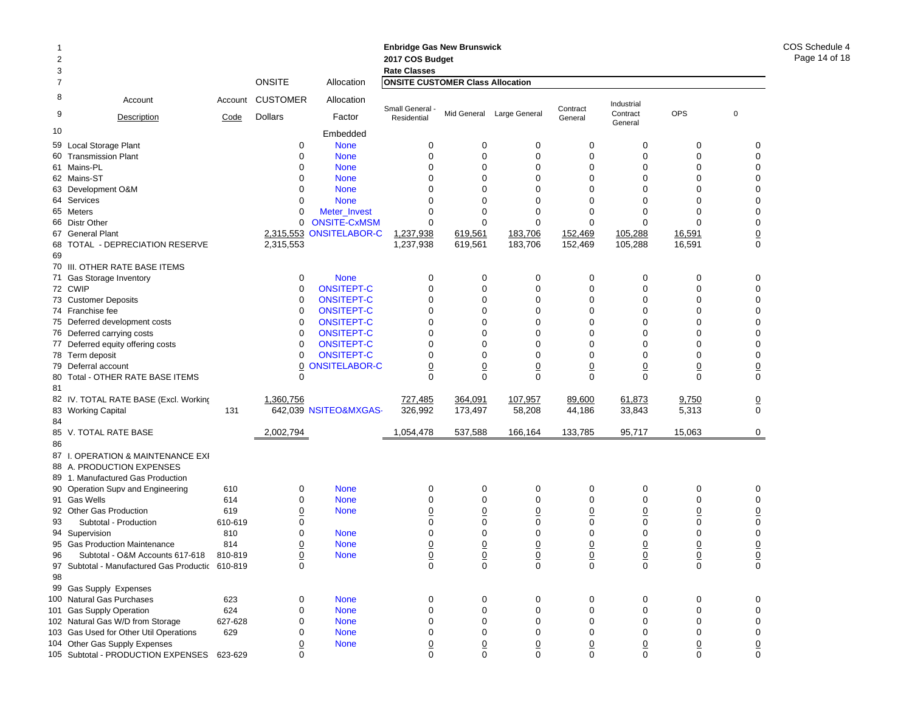# **Enbridge Gas New Brunswick Enbridge Gas N 2017 COS Budget 2017 COS Budg**

1

| 3              |                                                                     |         |                 |                       | <b>Rate Classes</b>                     |                            |                            |                     |                     |                            |                     |
|----------------|---------------------------------------------------------------------|---------|-----------------|-----------------------|-----------------------------------------|----------------------------|----------------------------|---------------------|---------------------|----------------------------|---------------------|
| $\overline{7}$ |                                                                     |         | <b>ONSITE</b>   | Allocation            | <b>ONSITE CUSTOMER Class Allocation</b> |                            |                            |                     |                     |                            |                     |
| 8              | Account                                                             | Account | <b>CUSTOMER</b> | Allocation            |                                         |                            |                            |                     | Industrial          |                            |                     |
| 9              | Description                                                         | Code    | <b>Dollars</b>  | Factor                | Small General -<br>Residential          |                            | Mid General Large General  | Contract<br>General | Contract<br>General | <b>OPS</b>                 | $\mathbf 0$         |
| 10             |                                                                     |         |                 | Embedded              |                                         |                            |                            |                     |                     |                            |                     |
|                | 59 Local Storage Plant                                              |         | $\mathbf 0$     | <b>None</b>           | $\mathbf 0$                             | 0                          | 0                          | 0                   | $\mathbf 0$         | $\mathbf 0$                | 0                   |
|                | 60 Transmission Plant                                               |         | $\Omega$        | <b>None</b>           | $\mathbf 0$                             | $\mathbf 0$                | $\mathbf 0$                | 0                   | $\mathbf 0$         | $\mathbf 0$                | $\mathbf 0$         |
|                | 61 Mains-PL                                                         |         | $\Omega$        | <b>None</b>           | $\Omega$                                | $\Omega$                   | $\mathbf{0}$               | $\Omega$            | $\Omega$            | $\Omega$                   | 0                   |
|                | 62 Mains-ST                                                         |         | $\Omega$        | <b>None</b>           | $\Omega$                                | 0                          | 0                          | $\Omega$            | $\Omega$            | $\Omega$                   | 0                   |
|                | 63 Development O&M                                                  |         | $\Omega$        | <b>None</b>           | $\Omega$                                | $\Omega$                   | $\Omega$                   | $\Omega$            | O                   | $\Omega$                   | 0                   |
|                | 64 Services                                                         |         | $\Omega$        | <b>None</b>           | $\Omega$                                | $\Omega$                   | $\Omega$                   | 0                   | $\Omega$            | $\Omega$                   | 0                   |
|                | 65 Meters                                                           |         | 0               | Meter_Invest          | $\mathbf 0$                             | $\mathbf 0$                | 0                          | 0                   | $\Omega$            | $\Omega$                   | 0                   |
|                | 66 Distr Other                                                      |         | $\Omega$        | <b>ONSITE-CxMSM</b>   | $\Omega$                                | $\Omega$                   | $\Omega$                   | $\Omega$            | $\Omega$            | $\Omega$                   | 0                   |
|                | 67 General Plant                                                    |         | 2,315,553       | <b>ONSITELABOR-C</b>  | 1,237,938                               | 619,561                    | 183,706                    | 152,469             | 105,288             | 16,591                     | $\frac{0}{0}$       |
| 68<br>69       | TOTAL - DEPRECIATION RESERVE                                        |         | 2,315,553       |                       | 1,237,938                               | 619,561                    | 183,706                    | 152,469             | 105,288             | 16,591                     |                     |
|                | 70 III. OTHER RATE BASE ITEMS                                       |         |                 |                       |                                         |                            |                            |                     |                     |                            |                     |
|                | 71 Gas Storage Inventory                                            |         | $\mathbf 0$     | <b>None</b>           | 0                                       | $\mathbf 0$                | $\mathbf 0$                | 0                   | $\mathbf 0$         | $\mathbf 0$                | $\mathbf 0$         |
|                | 72 CWIP                                                             |         | $\mathbf 0$     | <b>ONSITEPT-C</b>     | $\mathbf 0$                             | $\mathbf 0$                | 0                          | 0                   | $\mathbf 0$         | $\mathbf 0$                | $\mathbf 0$         |
|                | 73 Customer Deposits                                                |         | $\Omega$        | <b>ONSITEPT-C</b>     | $\Omega$                                | $\Omega$                   | $\Omega$                   | $\Omega$            | $\Omega$            | $\Omega$                   | 0                   |
|                | 74 Franchise fee                                                    |         | $\mathbf 0$     | <b>ONSITEPT-C</b>     | $\mathbf 0$                             | $\mathbf 0$                | 0                          | 0                   | $\mathbf 0$         | $\mathbf 0$                | 0                   |
|                | 75 Deferred development costs                                       |         | 0               | ONSITEPT-C            | $\mathbf 0$                             | 0                          | 0                          | 0                   | 0                   | $\Omega$                   | 0                   |
|                | 76 Deferred carrying costs                                          |         | $\Omega$        | <b>ONSITEPT-C</b>     | $\Omega$                                | $\Omega$                   | $\Omega$                   | $\Omega$            | $\Omega$            | $\Omega$                   | 0                   |
|                | 77 Deferred equity offering costs                                   |         | $\mathbf 0$     | <b>ONSITEPT-C</b>     | $\mathbf 0$                             | $\Omega$                   | 0                          | 0                   | $\Omega$            | $\Omega$                   | 0                   |
|                | 78 Term deposit                                                     |         | $\Omega$        | <b>ONSITEPT-C</b>     | $\Omega$                                | $\Omega$                   | $\Omega$                   | $\Omega$            | $\Omega$            | $\Omega$                   | 0                   |
|                | 79 Deferral account                                                 |         | 0               | <b>ONSITELABOR-C</b>  | $\overline{0}$                          | $\overline{0}$             | $\overline{0}$             | $\overline{0}$      | $\overline{0}$      | $\overline{0}$             | $\overline{0}$      |
| 81             | 80 Total - OTHER RATE BASE ITEMS                                    |         | 0               |                       | $\Omega$                                | $\Omega$                   | $\Omega$                   | $\Omega$            | $\Omega$            | $\Omega$                   | $\mathbf 0$         |
|                | 82 IV. TOTAL RATE BASE (Excl. Working                               |         | 1,360,756       |                       | 727,485                                 | 364,091                    | 107,957                    | 89,600              | 61,873              | 9,750                      | $\underline{0}$     |
|                | 83 Working Capital                                                  | 131     |                 | 642,039 NSITEO&MXGAS- | 326,992                                 | 173,497                    | 58,208                     | 44,186              | 33,843              | 5,313                      | $\Omega$            |
| 84             |                                                                     |         |                 |                       |                                         |                            |                            |                     |                     |                            |                     |
|                | 85 V. TOTAL RATE BASE                                               |         | 2,002,794       |                       | 1,054,478                               | 537,588                    | 166,164                    | 133,785             | 95,717              | 15,063                     | 0                   |
| 86             |                                                                     |         |                 |                       |                                         |                            |                            |                     |                     |                            |                     |
|                | 87 I. OPERATION & MAINTENANCE EXI                                   |         |                 |                       |                                         |                            |                            |                     |                     |                            |                     |
|                | 88 A. PRODUCTION EXPENSES                                           |         |                 |                       |                                         |                            |                            |                     |                     |                            |                     |
|                | 89 1. Manufactured Gas Production                                   |         |                 |                       |                                         |                            |                            |                     |                     |                            |                     |
|                | 90 Operation Supv and Engineering                                   | 610     | 0               | <b>None</b>           | 0                                       | 0                          | 0                          | 0                   | $\mathbf 0$         | $\mathbf 0$                | 0                   |
|                | 91 Gas Wells                                                        | 614     | $\mathbf 0$     | <b>None</b>           | 0                                       | $\mathbf 0$                | 0                          | 0                   | $\mathbf 0$         | $\mathbf 0$                | $\mathbf 0$         |
|                | 92 Other Gas Production                                             | 619     | 0               | <b>None</b>           | $\mathbf 0$                             | $\mathbf 0$                | 0                          | 0                   | 0                   | 0                          | $\underline{0}$     |
| 93             | Subtotal - Production                                               | 610-619 | $\Omega$        |                       | $\Omega$                                | $\Omega$                   | $\Omega$                   | $\Omega$            | $\Omega$            | $\Omega$                   | $\pmb{0}$           |
|                | 94 Supervision                                                      | 810     | $\Omega$        | <b>None</b>           | $\mathbf 0$                             | $\Omega$                   | 0                          | 0                   | $\Omega$            | $\Omega$                   | $\pmb{0}$           |
|                | 95 Gas Production Maintenance                                       | 814     | 0               | <b>None</b>           | $\overline{0}$                          | $\overline{0}$             | $\overline{0}$             | $\overline{0}$      | $\overline{0}$      | $\overline{0}$             | $\overline{0}$      |
| 96             | Subtotal - O&M Accounts 617-618                                     | 810-819 | 0               | <b>None</b>           | $\underline{0}$                         | $\Omega$                   | $\underline{0}$            | <u>0</u>            | $\overline{0}$      | $\overline{0}$             | $\overline{0}$      |
| 97             | Subtotal - Manufactured Gas Productic 610-819                       |         | $\Omega$        |                       | $\Omega$                                | $\Omega$                   | $\Omega$                   | $\Omega$            | $\Omega$            | $\Omega$                   | 0                   |
| 98             |                                                                     |         |                 |                       |                                         |                            |                            |                     |                     |                            |                     |
|                | 99 Gas Supply Expenses                                              |         |                 |                       |                                         |                            |                            |                     |                     |                            |                     |
|                | 100 Natural Gas Purchases                                           | 623     | $\Omega$        | <b>None</b>           | 0                                       | 0                          | 0                          | $\Omega$            | $\Omega$            | $\Omega$                   | 0                   |
| 101            | <b>Gas Supply Operation</b>                                         | 624     | $\mathbf 0$     | <b>None</b>           | $\mathbf 0$                             | $\mathbf 0$                | 0                          | 0                   | $\mathbf 0$         | $\mathbf 0$                | $\mathbf 0$         |
|                | 102 Natural Gas W/D from Storage                                    | 627-628 | $\Omega$        | <b>None</b>           | $\mathbf 0$                             | $\mathbf 0$                | 0                          | 0                   | $\mathbf 0$         | $\Omega$                   | 0                   |
|                | 103 Gas Used for Other Util Operations                              | 629     | 0               | <b>None</b>           | $\mathbf 0$                             | $\Omega$                   | $\Omega$                   | 0                   | $\Omega$            | $\Omega$                   | 0                   |
|                | 104 Other Gas Supply Expenses<br>105 Subtotal - PRODUCTION EXPENSES | 623-629 | 0<br>U          | <b>None</b>           | $\overline{0}$<br>$\Omega$              | $\overline{0}$<br>$\Omega$ | $\overline{0}$<br>$\Omega$ | 0<br>U              | 0<br>U              | $\overline{0}$<br>$\Omega$ | $\overline{0}$<br>0 |
|                |                                                                     |         |                 |                       |                                         |                            |                            |                     |                     |                            |                     |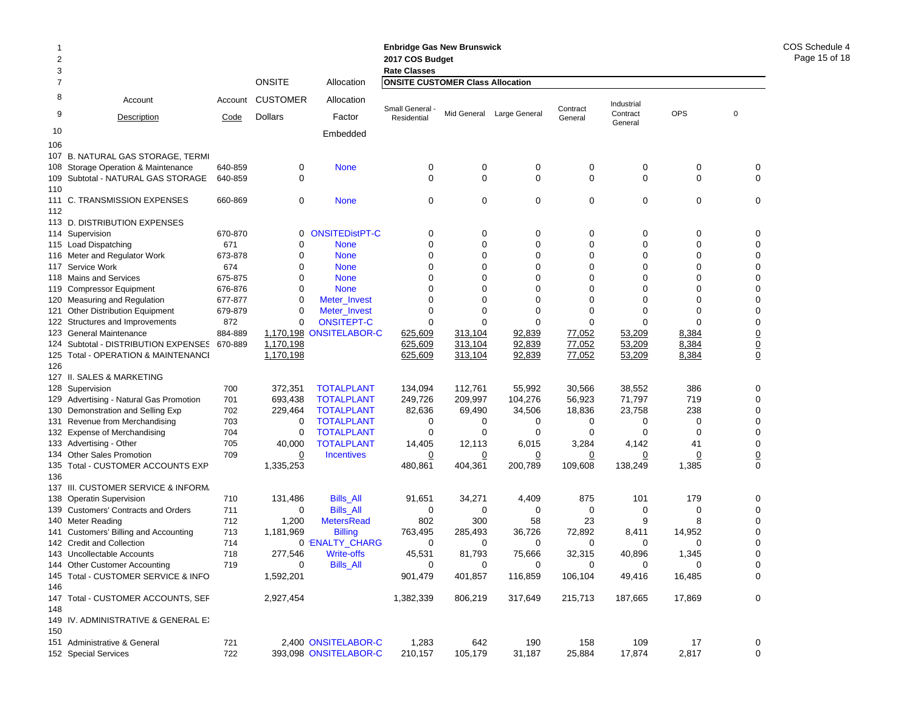| 2<br>3         |                                                             |            |                    |                                        | <b>Enbridge Gas New Brunswick</b><br>2017 COS Budget<br><b>Rate Classes</b> |                    |                   |                  |                     |             |             |               |
|----------------|-------------------------------------------------------------|------------|--------------------|----------------------------------------|-----------------------------------------------------------------------------|--------------------|-------------------|------------------|---------------------|-------------|-------------|---------------|
| $\overline{7}$ |                                                             |            | <b>ONSITE</b>      | Allocation                             | <b>ONSITE CUSTOMER Class Allocation</b>                                     |                    |                   |                  |                     |             |             |               |
| 8              | Account                                                     | Account    | <b>CUSTOMER</b>    | Allocation                             | Small General -                                                             |                    |                   | Contract         | Industrial          |             |             |               |
| 9              | Description                                                 | Code       | Dollars            | Factor                                 | Residential                                                                 | Mid General        | Large General     | General          | Contract<br>General | <b>OPS</b>  | $\mathbf 0$ |               |
| 10<br>106      |                                                             |            |                    | Embedded                               |                                                                             |                    |                   |                  |                     |             |             |               |
| 107            | <b>B. NATURAL GAS STORAGE, TERMI</b>                        |            |                    |                                        |                                                                             |                    |                   |                  |                     |             |             |               |
| 108            | Storage Operation & Maintenance                             | 640-859    | 0                  | <b>None</b>                            | 0                                                                           | 0                  | 0                 | 0                | 0                   | 0           |             | 0             |
| 109            | Subtotal - NATURAL GAS STORAGE                              | 640-859    | 0                  |                                        | 0                                                                           | $\mathbf 0$        | 0                 | $\mathbf 0$      | 0                   | $\mathbf 0$ |             | $\mathbf 0$   |
| 110            |                                                             |            |                    |                                        |                                                                             |                    |                   |                  |                     |             |             |               |
|                | 111 C. TRANSMISSION EXPENSES                                | 660-869    | 0                  | <b>None</b>                            | 0                                                                           | $\mathbf 0$        | 0                 | 0                | 0                   | $\mathbf 0$ |             | 0             |
| 112            |                                                             |            |                    |                                        |                                                                             |                    |                   |                  |                     |             |             |               |
|                | 113 D. DISTRIBUTION EXPENSES                                |            |                    |                                        |                                                                             |                    |                   |                  |                     |             |             |               |
|                | 114 Supervision                                             | 670-870    | 0                  | <b>ONSITEDistPT-C</b>                  | 0                                                                           | 0                  | 0                 | 0                | 0                   | 0           |             | 0             |
|                | 115 Load Dispatching                                        | 671        | $\mathbf 0$        | <b>None</b>                            | $\mathbf 0$                                                                 | $\mathbf 0$        | $\mathbf 0$       | $\mathbf 0$      | $\mathbf 0$         | $\mathbf 0$ |             | $\mathbf 0$   |
|                | 116 Meter and Regulator Work                                | 673-878    | 0                  | <b>None</b>                            | $\mathbf 0$                                                                 | 0                  | 0                 | 0                | 0                   | 0           |             | 0             |
| 117            | Service Work                                                | 674        | $\Omega$           | <b>None</b>                            | 0                                                                           | $\Omega$           | 0                 | 0                | 0                   | 0           |             | 0             |
| 118            | <b>Mains and Services</b>                                   | 675-875    | 0                  | <b>None</b>                            | $\Omega$                                                                    | $\Omega$           | $\Omega$          | 0                | $\Omega$            | 0           |             | 0             |
|                | 119 Compressor Equipment                                    | 676-876    | 0                  | <b>None</b>                            | $\Omega$                                                                    | $\Omega$           | 0                 | 0                | $\Omega$            | 0           |             | 0             |
|                | 120 Measuring and Regulation                                | 677-877    | $\mathbf 0$        | Meter_Invest                           | $\Omega$                                                                    | $\Omega$           | $\Omega$          | $\Omega$         | $\Omega$            | $\Omega$    |             | 0             |
| 121            | <b>Other Distribution Equipment</b>                         | 679-879    | 0                  | Meter Invest                           | 0                                                                           | 0                  | 0                 | 0                | $\Omega$            | $\mathbf 0$ |             | 0             |
| 122            | Structures and Improvements                                 | 872        | $\mathbf 0$        | <b>ONSITEPT-C</b>                      | $\Omega$                                                                    | $\Omega$           | $\Omega$          | $\Omega$         | $\Omega$            | 0           |             | 0             |
| 123            | <b>General Maintenance</b>                                  | 884-889    | 1,170,198          | <b>ONSITELABOR-C</b>                   | 625,609                                                                     | 313,104            | 92,839            | 77,052           | 53,209              | 8,384       |             | $\frac{0}{0}$ |
| 124            | Subtotal - DISTRIBUTION EXPENSES                            | 670-889    | 1,170,198          |                                        | 625,609                                                                     | 313,104            | 92,839            | 77,052           | 53,209              | 8,384       |             |               |
| 125            | Total - OPERATION & MAINTENANCI                             |            | 1,170,198          |                                        | 625,609                                                                     | 313,104            | 92,839            | 77,052           | 53,209              | 8,384       |             |               |
| 126            |                                                             |            |                    |                                        |                                                                             |                    |                   |                  |                     |             |             |               |
|                | 127 II. SALES & MARKETING                                   |            |                    |                                        |                                                                             |                    |                   |                  |                     |             |             |               |
|                | 128 Supervision                                             | 700<br>701 | 372,351<br>693,438 | <b>TOTALPLANT</b><br><b>TOTALPLANT</b> | 134,094<br>249,726                                                          | 112,761<br>209,997 | 55,992<br>104,276 | 30,566<br>56,923 | 38,552<br>71,797    | 386<br>719  |             | 0<br>0        |
| 129            | Advertising - Natural Gas Promotion                         | 702        | 229,464            | <b>TOTALPLANT</b>                      | 82,636                                                                      | 69,490             | 34,506            | 18,836           | 23,758              | 238         |             | 0             |
| 130<br>131     | Demonstration and Selling Exp<br>Revenue from Merchandising | 703        | 0                  | <b>TOTALPLANT</b>                      | 0                                                                           | 0                  | 0                 | 0                | 0                   | $\mathbf 0$ |             | 0             |
| 132            | <b>Expense of Merchandising</b>                             | 704        | $\mathbf 0$        | <b>TOTALPLANT</b>                      | 0                                                                           | 0                  | 0                 | $\Omega$         | $\Omega$            | $\Omega$    |             | 0             |
|                | 133 Advertising - Other                                     | 705        | 40,000             | <b>TOTALPLANT</b>                      | 14,405                                                                      | 12,113             | 6,015             | 3,284            | 4,142               | 41          |             | $\mathbf 0$   |
| 134            | <b>Other Sales Promotion</b>                                | 709        | 0                  | <b>Incentives</b>                      | 0                                                                           | 0                  | 0                 | 0                | 0                   | 0           |             |               |
| 135            | Total - CUSTOMER ACCOUNTS EXP                               |            | 1,335,253          |                                        | 480,861                                                                     | 404,361            | 200,789           | 109,608          | 138,249             | 1,385       |             | $\frac{0}{0}$ |
| 136            |                                                             |            |                    |                                        |                                                                             |                    |                   |                  |                     |             |             |               |
| 137            | III. CUSTOMER SERVICE & INFORM.                             |            |                    |                                        |                                                                             |                    |                   |                  |                     |             |             |               |
| 138            | <b>Operatin Supervision</b>                                 | 710        | 131,486            | <b>Bills All</b>                       | 91,651                                                                      | 34,271             | 4,409             | 875              | 101                 | 179         |             | 0             |
| 139            | <b>Customers' Contracts and Orders</b>                      | 711        | 0                  | <b>Bills_All</b>                       | 0                                                                           | 0                  | 0                 | 0                | 0                   | $\mathbf 0$ |             | 0             |
| 140            | Meter Reading                                               | 712        | 1,200              | <b>MetersRead</b>                      | 802                                                                         | 300                | 58                | 23               | 9                   | 8           |             | 0             |
| 141            | Customers' Billing and Accounting                           | 713        | 1,181,969          | <b>Billing</b>                         | 763,495                                                                     | 285,493            | 36,726            | 72,892           | 8,411               | 14,952      |             | 0             |
|                | 142 Credit and Collection                                   | 714        |                    | 0 'ENALTY_CHARG                        | $\Omega$                                                                    | 0                  | 0                 | 0                | 0                   | 0           |             | 0             |
|                | 143 Uncollectable Accounts                                  | 718        | 277,546            | Write-offs                             | 45,531                                                                      | 81,793             | 75,666            | 32,315           | 40.896              | 1.345       |             | 0             |
|                | 144 Other Customer Accounting                               | 719        | 0                  | <b>Bills_All</b>                       | 0                                                                           | 0                  | 0                 | 0                | 0                   | 0           |             | 0             |
|                | 145 Total - CUSTOMER SERVICE & INFO                         |            | 1,592,201          |                                        | 901,479                                                                     | 401,857            | 116,859           | 106,104          | 49,416              | 16,485      |             | 0             |
| 146            |                                                             |            |                    |                                        |                                                                             |                    |                   |                  |                     |             |             |               |
| 148            | 147 Total - CUSTOMER ACCOUNTS, SEF                          |            | 2,927,454          |                                        | 1,382,339                                                                   | 806,219            | 317,649           | 215,713          | 187,665             | 17,869      |             | 0             |
| 150            | 149 IV. ADMINISTRATIVE & GENERAL EX                         |            |                    |                                        |                                                                             |                    |                   |                  |                     |             |             |               |
|                | 151 Administrative & General                                | 721        |                    | 2,400 ONSITELABOR-C                    | 1,283                                                                       | 642                | 190               | 158              | 109                 | 17          |             | 0             |
|                | 152 Special Services                                        | 722        |                    | 393,098 ONSITELABOR-C                  | 210,157                                                                     | 105,179            | 31,187            | 25,884           | 17,874              | 2,817       |             | 0             |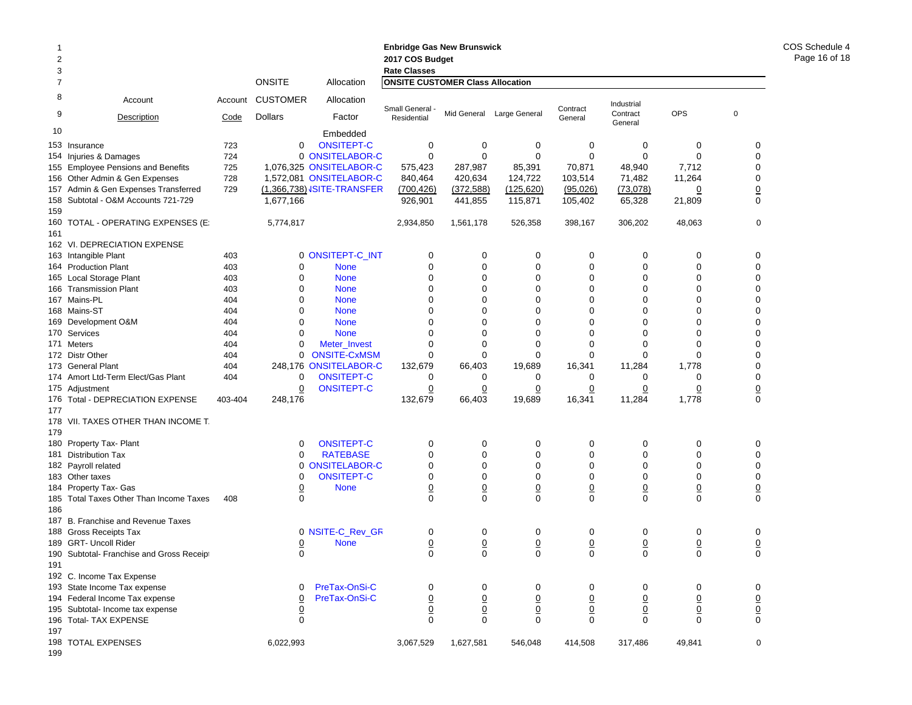|     |                                           |         |                 |                                   | <b>Enbridge Gas New Brunswick</b>       |                 |                           |                 |                     |                 |                                  |
|-----|-------------------------------------------|---------|-----------------|-----------------------------------|-----------------------------------------|-----------------|---------------------------|-----------------|---------------------|-----------------|----------------------------------|
| 2   |                                           |         |                 |                                   | 2017 COS Budget                         |                 |                           |                 |                     |                 |                                  |
| 3   |                                           |         |                 |                                   | <b>Rate Classes</b>                     |                 |                           |                 |                     |                 |                                  |
| 7   |                                           |         | <b>ONSITE</b>   | Allocation                        | <b>ONSITE CUSTOMER Class Allocation</b> |                 |                           |                 |                     |                 |                                  |
| 8   | Account                                   | Account | <b>CUSTOMER</b> | Allocation                        | Small General                           |                 |                           | Contract        | Industrial          |                 |                                  |
| 9   | Description                               | Code    | <b>Dollars</b>  | Factor                            | Residential                             |                 | Mid General Large General | General         | Contract<br>General | <b>OPS</b>      | $\mathbf 0$                      |
| 10  |                                           |         |                 | Embedded                          |                                         |                 |                           |                 |                     |                 |                                  |
|     | 153 Insurance                             | 723     | 0               | <b>ONSITEPT-C</b>                 | 0                                       | 0               | 0                         | 0               | 0                   | 0               | 0                                |
|     | 154 Injuries & Damages                    | 724     |                 | 0 ONSITELABOR-C                   | $\mathbf 0$                             | $\mathbf 0$     | $\mathbf 0$               | $\Omega$        | $\mathbf 0$         | $\Omega$        | 0                                |
| 155 | <b>Employee Pensions and Benefits</b>     | 725     |                 | 1,076,325 ONSITELABOR-C           | 575,423                                 | 287,987         | 85,391                    | 70,871          | 48,940              | 7,712           | $\mathbf 0$                      |
|     | 156 Other Admin & Gen Expenses            | 728     |                 | 1,572,081 ONSITELABOR-C           | 840,464                                 | 420,634         | 124,722                   | 103,514         | 71,482              | 11,264          | 0                                |
|     | 157 Admin & Gen Expenses Transferred      | 729     |                 | (1,366,738) <b>JSITE-TRANSFER</b> | (700, 426)                              | (372, 588)      | (125, 620)                | (95,026)        | (73,078)            | $\overline{0}$  | $\overline{0}$                   |
| 159 | 158 Subtotal - O&M Accounts 721-729       |         | 1,677,166       |                                   | 926,901                                 | 441,855         | 115,871                   | 105,402         | 65,328              | 21,809          | 0                                |
| 160 | TOTAL - OPERATING EXPENSES (E)            |         | 5,774,817       |                                   | 2,934,850                               | 1,561,178       | 526,358                   | 398,167         | 306,202             | 48,063          | $\mathbf 0$                      |
| 161 | 162 VI. DEPRECIATION EXPENSE              |         |                 |                                   |                                         |                 |                           |                 |                     |                 |                                  |
|     | 163 Intangible Plant                      | 403     |                 | 0 ONSITEPT-C_INT                  | 0                                       | 0               | 0                         | 0               | 0                   | 0               | 0                                |
|     | 164 Production Plant                      | 403     | 0               | <b>None</b>                       | 0                                       | $\mathbf 0$     | 0                         | 0               | 0                   | 0               | 0                                |
| 165 | Local Storage Plant                       | 403     | 0               | <b>None</b>                       | $\mathbf 0$                             | 0               | 0                         | 0               | 0                   | 0               | $\mathbf 0$                      |
|     | 166 Transmission Plant                    | 403     | $\mathbf 0$     | <b>None</b>                       | 0                                       | 0               | 0                         | 0               | 0                   | 0               | $\mathbf 0$                      |
|     | 167 Mains-PL                              | 404     | $\mathbf 0$     | <b>None</b>                       | $\mathbf 0$                             | 0               | 0                         | 0               | 0                   | 0               | $\mathbf 0$                      |
|     | 168 Mains-ST                              | 404     | $\mathbf 0$     | <b>None</b>                       | 0                                       | 0               | 0                         | 0               | 0                   | 0               | $\mathbf 0$                      |
|     | 169 Development O&M                       | 404     | $\mathbf 0$     | <b>None</b>                       | $\mathbf 0$                             | $\mathbf 0$     | 0                         | 0               | 0                   | 0               | $\mathbf 0$                      |
|     | 170 Services                              | 404     | $\mathbf 0$     | <b>None</b>                       | $\mathbf 0$                             | 0               | 0                         | 0               | 0                   | 0               | $\mathbf 0$                      |
|     | 171 Meters                                | 404     | $\mathbf 0$     | Meter Invest                      | 0                                       | $\mathbf 0$     | 0                         | 0               | 0                   | 0               | $\mathbf 0$                      |
|     | 172 Distr Other                           |         | 0               | <b>ONSITE-CxMSM</b>               | $\mathbf 0$                             | 0               | 0                         | 0               | $\mathbf 0$         | 0               | $\mathbf 0$                      |
|     |                                           | 404     |                 |                                   |                                         |                 |                           |                 |                     |                 |                                  |
|     | 173 General Plant                         | 404     |                 | 248,176 ONSITELABOR-C             | 132,679                                 | 66,403          | 19,689                    | 16,341          | 11,284              | 1,778           | $\mathbf 0$                      |
|     | 174 Amort Ltd-Term Elect/Gas Plant        | 404     | 0               | ONSITEPT-C                        | 0                                       | 0               | 0                         | 0               | 0                   | 0               | 0                                |
|     | 175 Adjustment                            |         | $\underline{0}$ | <b>ONSITEPT-C</b>                 | $\overline{0}$                          | <u>0</u>        | $\overline{0}$            | $\overline{0}$  | $\overline{0}$      | $\overline{0}$  | $\overline{0}$<br>$\overline{0}$ |
| 177 | 176 Total - DEPRECIATION EXPENSE          | 403-404 | 248,176         |                                   | 132,679                                 | 66,403          | 19,689                    | 16,341          | 11,284              | 1,778           |                                  |
|     | 178 VII. TAXES OTHER THAN INCOME T.       |         |                 |                                   |                                         |                 |                           |                 |                     |                 |                                  |
| 179 |                                           |         |                 |                                   |                                         |                 |                           |                 |                     |                 |                                  |
| 180 | Property Tax- Plant                       |         | 0               | <b>ONSITEPT-C</b>                 | 0                                       | 0               | 0                         | 0               | 0                   | 0               | 0                                |
|     | 181 Distribution Tax                      |         | $\Omega$        | <b>RATEBASE</b>                   | 0                                       | $\mathbf 0$     | 0                         | 0               | 0                   | 0               | $\mathbf 0$                      |
|     | 182 Payroll related                       |         | 0               | <b>ONSITELABOR-C</b>              | $\mathbf 0$                             | 0               | 0                         | 0               | 0                   | 0               | $\mathbf 0$                      |
|     | 183 Other taxes                           |         | $\mathbf 0$     | <b>ONSITEPT-C</b>                 | $\mathbf 0$                             | 0               | 0                         | 0               | 0                   | 0               | 0                                |
|     | 184 Property Tax- Gas                     |         | $\overline{0}$  | <b>None</b>                       | $\underline{0}$                         | $\underline{0}$ | $\overline{0}$            | <u>0</u>        | $\underline{0}$     | $\overline{0}$  | $\underline{0}$                  |
| 186 | 185 Total Taxes Other Than Income Taxes   | 408     | $\mathbf 0$     |                                   | $\mathbf 0$                             | $\mathbf 0$     | $\mathbf 0$               | 0               | $\mathbf 0$         | 0               | $\mathbf 0$                      |
|     | 187 B. Franchise and Revenue Taxes        |         |                 |                                   |                                         |                 |                           |                 |                     |                 |                                  |
|     | 188 Gross Receipts Tax                    |         |                 | 0 NSITE-C_Rev_GR                  | 0                                       | 0               | 0                         | 0               | 0                   | 0               | 0                                |
|     | 189 GRT- Uncoll Rider                     |         | $\overline{0}$  | <b>None</b>                       | $\overline{0}$                          | $\underline{0}$ | $\overline{0}$            | $\overline{0}$  | $\overline{0}$      | $\overline{0}$  | $\overline{0}$                   |
|     | 190 Subtotal- Franchise and Gross Receipt |         | $\mathbf 0$     |                                   | $\mathbf 0$                             | $\mathbf 0$     | 0                         | 0               | 0                   | 0               | $\mathbf 0$                      |
| 191 |                                           |         |                 |                                   |                                         |                 |                           |                 |                     |                 |                                  |
|     | 192 C. Income Tax Expense                 |         |                 |                                   |                                         |                 |                           |                 |                     |                 |                                  |
|     | 193 State Income Tax expense              |         | 0               | PreTax-OnSi-C                     | 0                                       | 0               | 0                         | 0               | 0                   | 0               | 0                                |
|     | 194 Federal Income Tax expense            |         | $\overline{0}$  | PreTax-OnSi-C                     | $\overline{0}$                          | $\underline{0}$ | $\underline{0}$           | $\underline{0}$ | $\overline{0}$      | $\overline{0}$  |                                  |
|     | 195 Subtotal- Income tax expense          |         | $\frac{0}{0}$   |                                   | $\mathbf 0$                             | $\mathbf 0$     | $\underline{0}$           | $\underline{0}$ | $\underline{0}$     | $\underline{0}$ | $\frac{0}{0}$                    |
|     | 196 Total- TAX EXPENSE                    |         |                 |                                   | $\mathsf 0$                             | $\mathbf 0$     | 0                         | $\mathbf 0$     | 0                   | $\mathbf 0$     |                                  |
| 197 |                                           |         |                 |                                   |                                         |                 |                           |                 |                     |                 |                                  |
|     | 198 TOTAL EXPENSES                        |         | 6,022,993       |                                   | 3,067,529                               | 1,627,581       | 546,048                   | 414,508         | 317,486             | 49,841          | 0                                |

COS Schedule 4 Page 16 of 18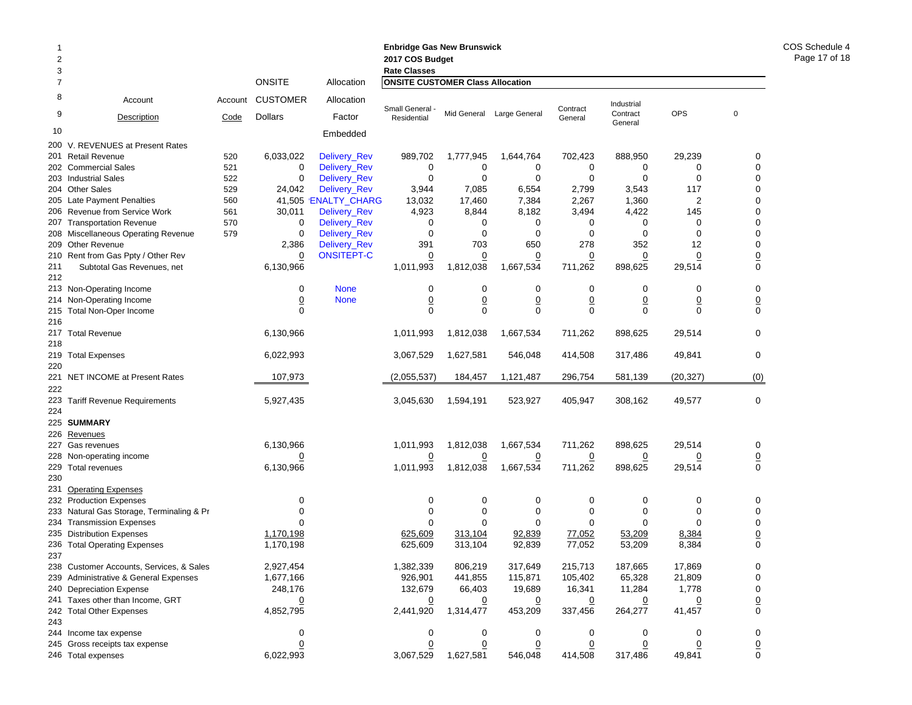| 2          |                                                | <b>Enbridge Gas New Brunswick</b><br>2017 COS Budget<br><b>Rate Classes</b> |                                         |                      |                             |                             |                             |                           |                           |                          |                                |
|------------|------------------------------------------------|-----------------------------------------------------------------------------|-----------------------------------------|----------------------|-----------------------------|-----------------------------|-----------------------------|---------------------------|---------------------------|--------------------------|--------------------------------|
| 3<br>7     |                                                | Allocation                                                                  | <b>ONSITE CUSTOMER Class Allocation</b> |                      |                             |                             |                             |                           |                           |                          |                                |
| 8          | Account                                        | Account                                                                     | <b>CUSTOMER</b>                         | Allocation           | Small General -             |                             |                             | Contract                  | Industrial                |                          |                                |
| 9          | Description                                    | Code                                                                        | <b>Dollars</b>                          | Factor               | Residential                 |                             | Mid General Large General   | General                   | Contract<br>General       | <b>OPS</b>               | $\overline{0}$                 |
| 10         |                                                |                                                                             |                                         | Embedded             |                             |                             |                             |                           |                           |                          |                                |
|            | 200 V. REVENUES at Present Rates               |                                                                             |                                         |                      |                             |                             |                             |                           |                           |                          |                                |
|            | 201 Retail Revenue                             | 520                                                                         | 6,033,022                               | Delivery_Rev         | 989,702                     | 1,777,945                   | 1,644,764                   | 702,423                   | 888,950                   | 29,239                   | 0                              |
|            | 202 Commercial Sales                           | 521                                                                         | 0                                       | <b>Delivery Rev</b>  | $\mathbf 0$                 | 0                           | 0                           | 0                         | 0                         | 0                        | 0                              |
|            | 203 Industrial Sales                           | 522                                                                         | 0                                       | Delivery_Rev         | $\mathbf 0$                 | 0                           | $\mathbf 0$                 | $\mathbf 0$               | $\mathbf 0$               | $\mathbf 0$              | 0                              |
|            | 204 Other Sales                                | 529                                                                         | 24,042                                  | <b>Delivery_Rev</b>  | 3,944                       | 7,085                       | 6,554                       | 2,799                     | 3,543                     | 117                      | 0                              |
|            | 205 Late Payment Penalties                     | 560                                                                         |                                         | 41,505 'ENALTY_CHARG | 13,032                      | 17,460                      | 7,384                       | 2,267                     | 1,360                     | $\overline{2}$           | $\mathbf 0$                    |
|            | 206 Revenue from Service Work                  | 561                                                                         | 30,011                                  | Delivery_Rev         | 4,923                       | 8,844                       | 8,182                       | 3,494                     | 4,422                     | 145                      | 0                              |
| 207        | <b>Transportation Revenue</b>                  | 570                                                                         | 0                                       | Delivery_Rev         | $\mathbf 0$                 | 0                           | 0                           | 0                         | 0                         | 0                        | $\mathbf 0$                    |
|            | 208 Miscellaneous Operating Revenue            | 579                                                                         | 0                                       | Delivery_Rev         | $\mathbf 0$                 | $\mathbf 0$                 | 0                           | 0                         | 0                         | 0                        | 0                              |
|            | 209 Other Revenue                              |                                                                             | 2,386                                   | Delivery_Rev         | 391                         | 703                         | 650                         | 278                       | 352                       | 12                       | 0                              |
|            | 210 Rent from Gas Ppty / Other Rev             |                                                                             | $\overline{0}$                          | <b>ONSITEPT-C</b>    | $\overline{0}$              | $\overline{0}$              | $\overline{0}$              | $\overline{0}$            | $\overline{0}$            | $\overline{0}$           | $\frac{0}{0}$                  |
| 211<br>212 | Subtotal Gas Revenues, net                     |                                                                             | 6,130,966                               |                      | 1,011,993                   | 1,812,038                   | 1,667,534                   | 711,262                   | 898,625                   | 29,514                   |                                |
|            | 213 Non-Operating Income                       |                                                                             | 0                                       | <b>None</b>          | 0                           | 0                           | 0                           | 0                         | 0                         | 0                        | 0                              |
|            | 214 Non-Operating Income                       |                                                                             | $\overline{0}$                          | <b>None</b>          | $\underline{0}$             | $\underline{0}$             | $\overline{0}$              | $\overline{0}$            | $\overline{0}$            | $\overline{0}$           | $\underline{0}$                |
| 215        | <b>Total Non-Oper Income</b>                   |                                                                             | $\Omega$                                |                      | $\Omega$                    | $\Omega$                    | $\Omega$                    | $\Omega$                  | $\Omega$                  | 0                        | $\mathbf 0$                    |
| 216        |                                                |                                                                             |                                         |                      |                             |                             |                             |                           |                           |                          |                                |
| 218        | 217 Total Revenue                              |                                                                             | 6,130,966                               |                      | 1.011.993                   | 1,812,038                   | 1,667,534                   | 711,262                   | 898,625                   | 29,514                   | 0                              |
| 220        | 219 Total Expenses                             |                                                                             | 6,022,993                               |                      | 3,067,529                   | 1,627,581                   | 546,048                     | 414,508                   | 317,486                   | 49,841                   | $\mathbf 0$                    |
| 222        | 221 NET INCOME at Present Rates                |                                                                             | 107,973                                 |                      | (2,055,537)                 | 184,457                     | 1,121,487                   | 296,754                   | 581,139                   | (20, 327)                | (0)                            |
| 224        | 223 Tariff Revenue Requirements                |                                                                             | 5,927,435                               |                      | 3,045,630                   | 1,594,191                   | 523,927                     | 405,947                   | 308,162                   | 49,577                   | 0                              |
|            | 225 SUMMARY                                    |                                                                             |                                         |                      |                             |                             |                             |                           |                           |                          |                                |
|            |                                                |                                                                             |                                         |                      |                             |                             |                             |                           |                           |                          |                                |
| 227        | 226 Revenues                                   |                                                                             | 6,130,966                               |                      |                             | 1,812,038                   | 1,667,534                   | 711,262                   | 898,625                   | 29,514                   |                                |
|            | Gas revenues                                   |                                                                             |                                         |                      | 1,011,993                   |                             |                             |                           |                           |                          | 0                              |
|            | 228 Non-operating income<br>229 Total revenues |                                                                             | <u>0</u><br>6,130,966                   |                      | $\overline{0}$<br>1,011,993 | $\overline{0}$<br>1,812,038 | $\overline{0}$<br>1,667,534 | $\overline{0}$<br>711,262 | $\overline{0}$<br>898,625 | $\overline{0}$<br>29,514 | $\underline{0}$<br>$\mathbf 0$ |
| 230        |                                                |                                                                             |                                         |                      |                             |                             |                             |                           |                           |                          |                                |
| 231        | <b>Operating Expenses</b>                      |                                                                             |                                         |                      |                             |                             |                             |                           |                           |                          |                                |
|            | 232 Production Expenses                        |                                                                             | 0                                       |                      | $\mathbf 0$                 | 0                           | 0                           | 0                         | 0                         | 0                        | 0                              |
| 233        | Natural Gas Storage, Terminaling & Pr          |                                                                             | 0                                       |                      | 0                           | $\mathbf 0$                 | 0                           | 0                         | 0                         | 0                        | 0                              |
|            | 234 Transmission Expenses                      |                                                                             | $\Omega$                                |                      | $\Omega$                    | $\Omega$                    | $\Omega$                    | $\Omega$                  | $\Omega$                  | $\Omega$                 | 0                              |
|            | 235 Distribution Expenses                      |                                                                             | 1,170,198                               |                      | 625,609                     | 313,104                     | 92,839                      | 77,052                    | 53,209                    | 8,384                    | $\underline{0}$                |
| 237        | 236 Total Operating Expenses                   |                                                                             | 1.170.198                               |                      | 625,609                     | 313,104                     | 92,839                      | 77,052                    | 53,209                    | 8,384                    | $\Omega$                       |
|            | 238 Customer Accounts, Services, & Sales       |                                                                             | 2,927,454                               |                      | 1,382,339                   | 806,219                     | 317,649                     | 215,713                   | 187,665                   | 17,869                   | 0                              |
|            | 239 Administrative & General Expenses          |                                                                             | 1,677,166                               |                      | 926,901                     | 441,855                     | 115,871                     | 105,402                   | 65,328                    | 21,809                   | 0                              |
|            | 240 Depreciation Expense                       |                                                                             | 248,176                                 |                      | 132,679                     | 66,403                      | 19,689                      | 16,341                    | 11,284                    | 1,778                    | 0                              |
|            | 241 Taxes other than Income, GRT               |                                                                             |                                         |                      | $\overline{0}$              | $\overline{0}$              | $\overline{0}$              | $\overline{0}$            |                           | 0                        | $\overline{0}$                 |
|            | 242 Total Other Expenses                       |                                                                             | 4,852,795                               |                      | 2,441,920                   | 1,314,477                   | 453,209                     | 337,456                   | 264,277                   | 41,457                   | $\mathbf 0$                    |
| 243        |                                                |                                                                             |                                         |                      |                             |                             |                             |                           |                           |                          |                                |
|            | 244 Income tax expense                         |                                                                             | 0                                       |                      | 0                           | 0                           | 0                           | 0                         | 0                         | 0                        | 0                              |
|            | 245 Gross receipts tax expense                 |                                                                             | $\overline{0}$                          |                      | 0                           | $\overline{0}$              | $\overline{0}$              | $\overline{0}$            | <u>0</u>                  | $\overline{0}$           | $\overline{0}$                 |
|            | 246 Total expenses                             |                                                                             | 6,022,993                               |                      | 3,067,529                   | 1,627,581                   | 546,048                     | 414,508                   | 317,486                   | 49,841                   | 0                              |

COS Schedule 4 Page 17 of 18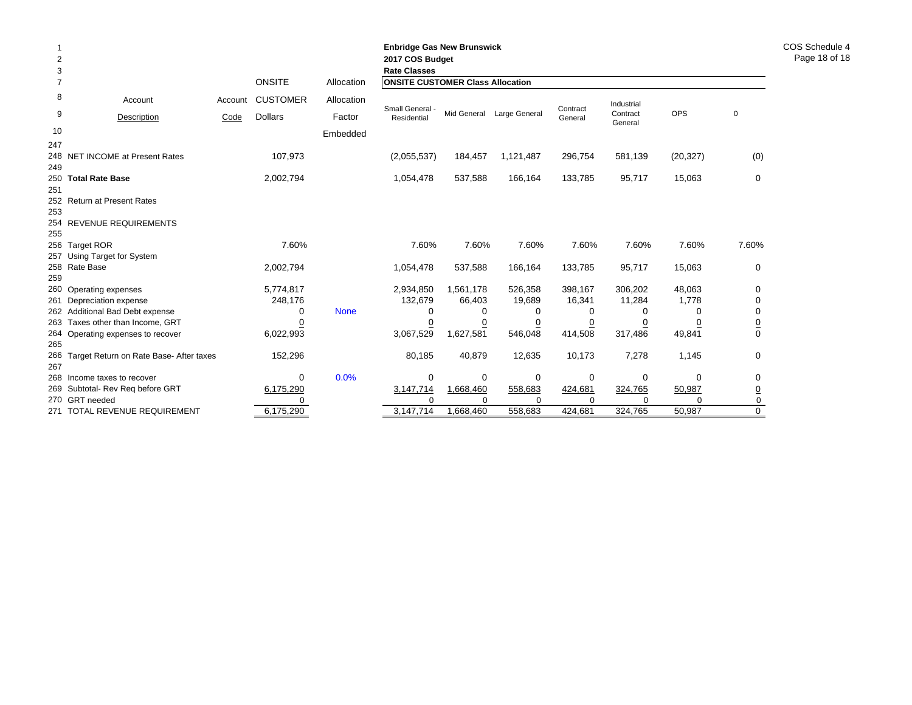| 2<br>3         |                                                 |                             |                 |             | <b>Enbridge Gas New Brunswick</b><br>2017 COS Budget<br><b>Rate Classes</b> |                       |                     |                                         |                     |                    |                |  |  |  |  |  |
|----------------|-------------------------------------------------|-----------------------------|-----------------|-------------|-----------------------------------------------------------------------------|-----------------------|---------------------|-----------------------------------------|---------------------|--------------------|----------------|--|--|--|--|--|
| $\overline{7}$ |                                                 | <b>ONSITE</b><br>Allocation |                 |             |                                                                             |                       |                     | <b>ONSITE CUSTOMER Class Allocation</b> |                     |                    |                |  |  |  |  |  |
| 8              | Account                                         | Account                     | <b>CUSTOMER</b> | Allocation  | Small General -                                                             |                       |                     | Contract                                | Industrial          |                    |                |  |  |  |  |  |
| 9              | Description                                     | Code                        | <b>Dollars</b>  | Factor      | Residential                                                                 | Mid General           | Large General       | General                                 | Contract<br>General | <b>OPS</b>         | $\mathbf 0$    |  |  |  |  |  |
| 10             |                                                 |                             |                 | Embedded    |                                                                             |                       |                     |                                         |                     |                    |                |  |  |  |  |  |
| 247            |                                                 |                             |                 |             |                                                                             |                       |                     |                                         |                     |                    |                |  |  |  |  |  |
|                | 248 NET INCOME at Present Rates                 |                             | 107,973         |             | (2,055,537)                                                                 | 184,457               | 1,121,487           | 296,754                                 | 581,139             | (20, 327)          | (0)            |  |  |  |  |  |
| 249            |                                                 |                             |                 |             |                                                                             | 537,588               | 166,164             | 133,785                                 | 95,717              |                    |                |  |  |  |  |  |
| 251            | 250 Total Rate Base                             |                             | 2,002,794       |             | 1,054,478                                                                   |                       |                     |                                         |                     | 15,063             | 0              |  |  |  |  |  |
|                | 252 Return at Present Rates                     |                             |                 |             |                                                                             |                       |                     |                                         |                     |                    |                |  |  |  |  |  |
| 253            |                                                 |                             |                 |             |                                                                             |                       |                     |                                         |                     |                    |                |  |  |  |  |  |
|                | 254 REVENUE REQUIREMENTS                        |                             |                 |             |                                                                             |                       |                     |                                         |                     |                    |                |  |  |  |  |  |
| 255            |                                                 |                             |                 |             |                                                                             |                       |                     |                                         |                     |                    |                |  |  |  |  |  |
|                | 256 Target ROR                                  |                             | 7.60%           |             | 7.60%                                                                       | 7.60%                 | 7.60%               | 7.60%                                   | 7.60%               | 7.60%              | 7.60%          |  |  |  |  |  |
|                | 257 Using Target for System                     |                             |                 |             |                                                                             |                       |                     |                                         |                     |                    |                |  |  |  |  |  |
| 259            | 258 Rate Base                                   |                             | 2,002,794       |             | 1,054,478                                                                   | 537,588               | 166,164             | 133,785                                 | 95,717              | 15,063             | 0              |  |  |  |  |  |
|                | 260 Operating expenses                          |                             | 5,774,817       |             | 2,934,850                                                                   | 1,561,178             | 526,358             | 398,167                                 | 306,202             | 48,063             | 0              |  |  |  |  |  |
|                | 261 Depreciation expense                        |                             | 248,176         |             | 132,679                                                                     | 66,403                | 19,689              | 16,341                                  | 11,284              | 1,778              | 0              |  |  |  |  |  |
|                | 262 Additional Bad Debt expense                 |                             | 0               | <b>None</b> | $\Omega$                                                                    | 0                     | 0                   | 0                                       | 0                   | 0                  | 0              |  |  |  |  |  |
|                | 263 Taxes other than Income, GRT                |                             |                 |             | 0                                                                           | 0                     | 0                   | 0                                       | 0                   |                    | $\overline{0}$ |  |  |  |  |  |
|                | 264 Operating expenses to recover               |                             | 6,022,993       |             | 3,067,529                                                                   | 1,627,581             | 546,048             | 414,508                                 | 317,486             | 49,841             | $\Omega$       |  |  |  |  |  |
| 265            |                                                 |                             |                 |             |                                                                             |                       |                     |                                         |                     |                    |                |  |  |  |  |  |
|                | 266 Target Return on Rate Base- After taxes     |                             | 152,296         |             | 80,185                                                                      | 40,879                | 12,635              | 10,173                                  | 7,278               | 1,145              | 0              |  |  |  |  |  |
| 267            |                                                 |                             |                 |             |                                                                             |                       |                     |                                         |                     |                    |                |  |  |  |  |  |
|                | 268 Income taxes to recover                     |                             | $\Omega$        | 0.0%        | 0                                                                           | $\Omega$              | 0                   | 0                                       | 0                   | $\Omega$           | 0              |  |  |  |  |  |
|                | 269 Subtotal- Rev Reg before GRT                |                             | 6,175,290       |             | 3,147,714                                                                   | 1,668,460             | 558,683             | 424,681                                 | 324,765             | 50,987             | <u>0</u>       |  |  |  |  |  |
|                | 270 GRT needed<br>271 TOTAL REVENUE REQUIREMENT |                             | 6,175,290       |             | $\Omega$<br>3,147,714                                                       | $\Omega$<br>1,668,460 | $\Omega$<br>558,683 | 424,681                                 | $\Omega$<br>324,765 | $\Omega$<br>50,987 | 0<br>$\Omega$  |  |  |  |  |  |
|                |                                                 |                             |                 |             |                                                                             |                       |                     |                                         |                     |                    |                |  |  |  |  |  |

COS Schedule 4 Page 18 of 18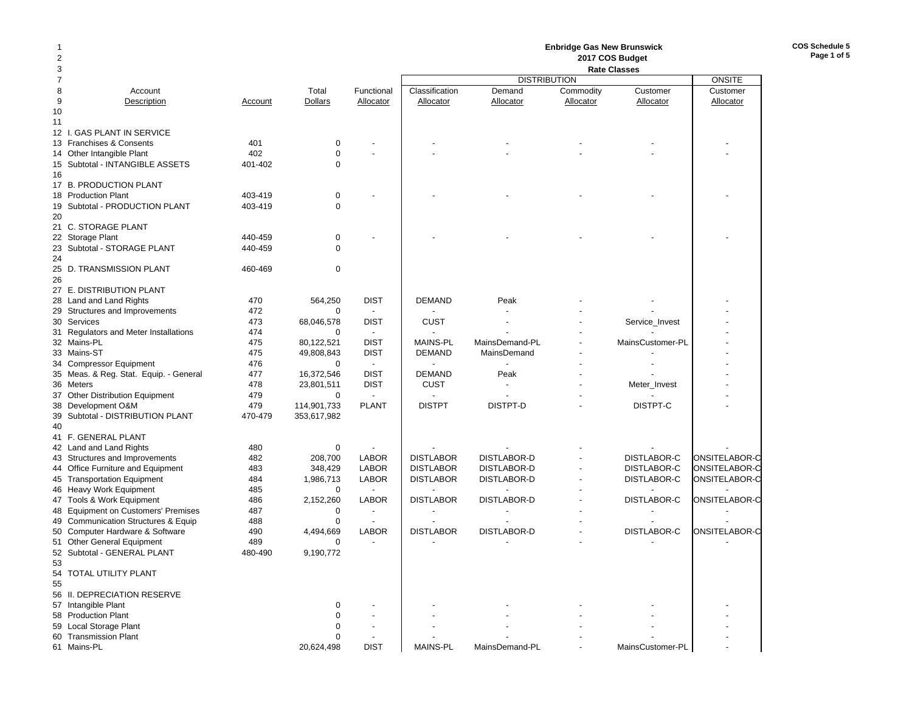# **Enbridge Gas New Brunswick 2017 COS Budget**

**COS Schedule 5Page 1 of 5**

| 3                                      |         |                | <b>Rate Classes</b>      |                  |                     |           |                    |               |
|----------------------------------------|---------|----------------|--------------------------|------------------|---------------------|-----------|--------------------|---------------|
| $\overline{7}$                         |         |                |                          |                  | <b>DISTRIBUTION</b> |           |                    | <b>ONSITE</b> |
| 8<br>Account                           |         | Total          | Functional               | Classification   | Demand              | Commodity | Customer           | Customer      |
| 9<br>Description                       | Account | <b>Dollars</b> | Allocator                | Allocator        | Allocator           | Allocator | Allocator          | Allocator     |
| 10                                     |         |                |                          |                  |                     |           |                    |               |
| 11                                     |         |                |                          |                  |                     |           |                    |               |
| 12 I. GAS PLANT IN SERVICE             |         |                |                          |                  |                     |           |                    |               |
| 13 Franchises & Consents               | 401     | $\mathbf 0$    |                          |                  |                     |           |                    |               |
| 14 Other Intangible Plant              | 402     | $\mathbf 0$    |                          |                  |                     |           |                    |               |
| 15 Subtotal - INTANGIBLE ASSETS        | 401-402 | $\mathbf 0$    |                          |                  |                     |           |                    |               |
| 16                                     |         |                |                          |                  |                     |           |                    |               |
| 17 B. PRODUCTION PLANT                 |         |                |                          |                  |                     |           |                    |               |
| 18 Production Plant                    | 403-419 | $\mathbf 0$    |                          |                  |                     |           |                    |               |
| 19 Subtotal - PRODUCTION PLANT         | 403-419 | $\mathbf 0$    |                          |                  |                     |           |                    |               |
| 20                                     |         |                |                          |                  |                     |           |                    |               |
| 21 C. STORAGE PLANT                    |         |                |                          |                  |                     |           |                    |               |
| 22 Storage Plant                       | 440-459 | 0              |                          |                  |                     |           |                    |               |
| 23 Subtotal - STORAGE PLANT            | 440-459 | $\Omega$       |                          |                  |                     |           |                    |               |
| 24                                     |         |                |                          |                  |                     |           |                    |               |
|                                        |         |                |                          |                  |                     |           |                    |               |
| 25 D. TRANSMISSION PLANT               | 460-469 | 0              |                          |                  |                     |           |                    |               |
| 26                                     |         |                |                          |                  |                     |           |                    |               |
| 27 E. DISTRIBUTION PLANT               |         |                |                          |                  |                     |           |                    |               |
| 28 Land and Land Rights                | 470     | 564,250        | <b>DIST</b>              | <b>DEMAND</b>    | Peak                |           |                    |               |
| 29 Structures and Improvements         | 472     | 0              | $\sim$                   |                  |                     |           |                    |               |
| 30 Services                            | 473     | 68,046,578     | <b>DIST</b>              | <b>CUST</b>      |                     |           | Service_Invest     |               |
| 31 Regulators and Meter Installations  | 474     | 0              | $\sim$                   |                  |                     |           |                    |               |
| 32 Mains-PL                            | 475     | 80,122,521     | <b>DIST</b>              | <b>MAINS-PL</b>  | MainsDemand-PL      |           | MainsCustomer-PL   |               |
| 33 Mains-ST                            | 475     | 49,808,843     | <b>DIST</b>              | <b>DEMAND</b>    | MainsDemand         |           |                    |               |
| 34 Compressor Equipment                | 476     | 0              | $\sim$                   |                  |                     |           |                    |               |
| 35 Meas. & Reg. Stat. Equip. - General | 477     | 16,372,546     | <b>DIST</b>              | <b>DEMAND</b>    | Peak                |           |                    |               |
| 36 Meters                              | 478     | 23,801,511     | <b>DIST</b>              | CUST             |                     |           | Meter_Invest       |               |
| 37 Other Distribution Equipment        | 479     | $\mathbf 0$    | $\overline{\phantom{a}}$ |                  |                     |           |                    |               |
| 38 Development O&M                     | 479     | 114,901,733    | <b>PLANT</b>             | <b>DISTPT</b>    | <b>DISTPT-D</b>     |           | DISTPT-C           |               |
| 39 Subtotal - DISTRIBUTION PLANT       | 470-479 | 353,617,982    |                          |                  |                     |           |                    |               |
| 40                                     |         |                |                          |                  |                     |           |                    |               |
| 41 F. GENERAL PLANT                    |         |                |                          |                  |                     |           |                    |               |
| 42 Land and Land Rights                | 480     | 0              |                          |                  |                     |           |                    |               |
| 43 Structures and Improvements         | 482     | 208,700        | <b>LABOR</b>             | <b>DISTLABOR</b> | DISTLABOR-D         |           | <b>DISTLABOR-C</b> | ONSITELABOR-C |
| 44 Office Furniture and Equipment      | 483     | 348,429        | <b>LABOR</b>             | <b>DISTLABOR</b> | DISTLABOR-D         |           | <b>DISTLABOR-C</b> | ONSITELABOR-C |
| 45 Transportation Equipment            | 484     | 1,986,713      | <b>LABOR</b>             | <b>DISTLABOR</b> | DISTLABOR-D         |           | DISTLABOR-C        | ONSITELABOR-C |
| 46 Heavy Work Equipment                | 485     | $\mathbf 0$    | $\overline{a}$           |                  |                     |           |                    |               |
| 47 Tools & Work Equipment              | 486     | 2,152,260      | <b>LABOR</b>             | <b>DISTLABOR</b> | DISTLABOR-D         |           | DISTLABOR-C        | ONSITELABOR-C |
| 48 Equipment on Customers' Premises    | 487     | 0              |                          |                  |                     |           |                    |               |
| 49 Communication Structures & Equip    | 488     | $\mathbf 0$    |                          |                  |                     |           |                    |               |
| 50 Computer Hardware & Software        | 490     | 4,494,669      | LABOR                    | <b>DISTLABOR</b> | DISTLABOR-D         |           | DISTLABOR-C        | ONSITELABOR-C |
| 51 Other General Equipment             | 489     | $\mathbf 0$    |                          |                  |                     |           |                    |               |
| 52 Subtotal - GENERAL PLANT            | 480-490 |                |                          |                  |                     |           |                    |               |
|                                        |         | 9,190,772      |                          |                  |                     |           |                    |               |
| 53                                     |         |                |                          |                  |                     |           |                    |               |
| 54 TOTAL UTILITY PLANT                 |         |                |                          |                  |                     |           |                    |               |
| 55                                     |         |                |                          |                  |                     |           |                    |               |
| 56 II. DEPRECIATION RESERVE            |         |                |                          |                  |                     |           |                    |               |
| 57 Intangible Plant                    |         | $\mathbf 0$    |                          |                  |                     |           |                    |               |
| 58 Production Plant                    |         | $\mathbf 0$    |                          |                  |                     |           |                    |               |
| 59 Local Storage Plant                 |         | 0              |                          |                  |                     |           |                    |               |
| 60 Transmission Plant                  |         | 0              |                          |                  |                     |           |                    |               |
| 61 Mains-PL                            |         | 20,624,498     | <b>DIST</b>              | <b>MAINS-PL</b>  | MainsDemand-PL      |           | MainsCustomer-PL   |               |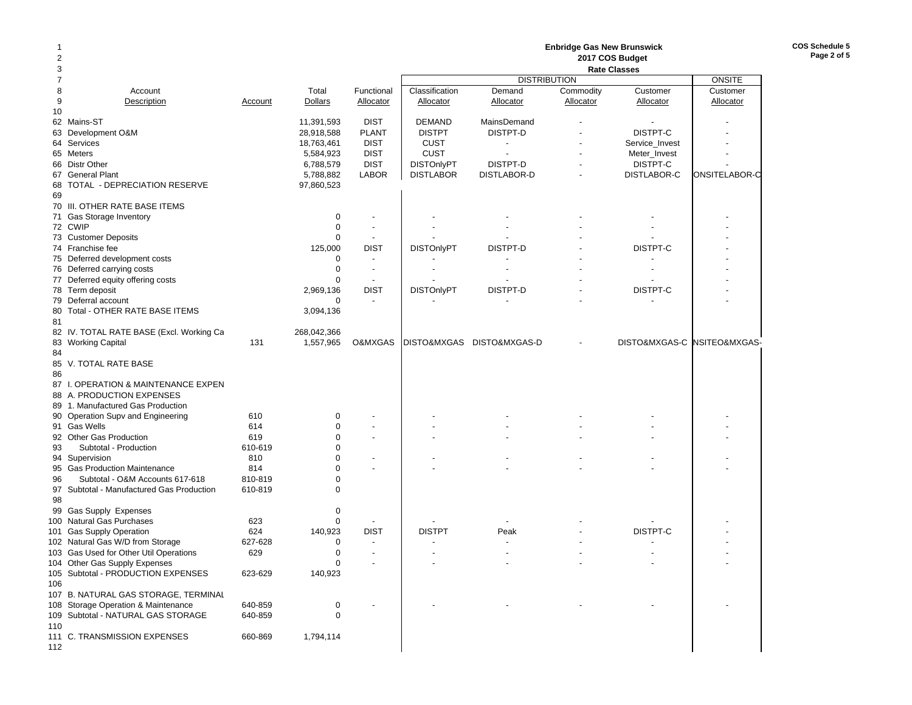| 1<br>2<br>3    |                                                                     |                |                            |                                            | <b>Enbridge Gas New Brunswick</b><br>2017 COS Budget<br><b>Rate Classes</b> |                                |                        |                          |                             |  |
|----------------|---------------------------------------------------------------------|----------------|----------------------------|--------------------------------------------|-----------------------------------------------------------------------------|--------------------------------|------------------------|--------------------------|-----------------------------|--|
| $\overline{7}$ |                                                                     |                |                            |                                            |                                                                             | <b>DISTRIBUTION</b>            |                        |                          | <b>ONSITE</b>               |  |
| 8<br>9<br>10   | Account<br>Description                                              | Account        | Total<br>Dollars           | Functional<br>Allocator                    | Classification<br>Allocator                                                 | Demand<br>Allocator            | Commodity<br>Allocator | Customer<br>Allocator    | Customer<br>Allocator       |  |
|                | 62 Mains-ST<br>63 Development O&M                                   |                | 11,391,593<br>28,918,588   | <b>DIST</b><br><b>PLANT</b>                | <b>DEMAND</b><br><b>DISTPT</b>                                              | <b>MainsDemand</b><br>DISTPT-D |                        | DISTPT-C                 |                             |  |
|                | 64 Services                                                         |                | 18,763,461                 | <b>DIST</b>                                | <b>CUST</b>                                                                 | $\overline{a}$                 |                        | Service_Invest           |                             |  |
|                | 65 Meters<br>66 Distr Other                                         |                | 5,584,923<br>6,788,579     | <b>DIST</b><br><b>DIST</b>                 | <b>CUST</b><br><b>DISTOnlyPT</b>                                            | DISTPT-D                       |                        | Meter_Invest<br>DISTPT-C |                             |  |
|                | 67 General Plant                                                    |                | 5,788,882                  | <b>LABOR</b>                               | <b>DISTLABOR</b>                                                            | DISTLABOR-D                    |                        | DISTLABOR-C              | ONSITELABOR-C               |  |
| 69             | 68 TOTAL - DEPRECIATION RESERVE                                     |                | 97,860,523                 |                                            |                                                                             |                                |                        |                          |                             |  |
|                | 70 III. OTHER RATE BASE ITEMS                                       |                |                            |                                            |                                                                             |                                |                        |                          |                             |  |
|                | 71 Gas Storage Inventory<br>72 CWIP                                 |                | $\mathbf 0$<br>$\mathbf 0$ | $\overline{a}$<br>$\blacksquare$           |                                                                             |                                |                        |                          |                             |  |
|                | 73 Customer Deposits                                                |                | $\mathbf 0$                | $\overline{\phantom{a}}$                   |                                                                             |                                |                        |                          |                             |  |
|                | 74 Franchise fee                                                    |                | 125,000                    | <b>DIST</b>                                | <b>DISTOnlyPT</b>                                                           | DISTPT-D                       |                        | DISTPT-C                 |                             |  |
|                | 75 Deferred development costs                                       |                | $\mathbf 0$                | $\overline{\phantom{a}}$                   |                                                                             |                                |                        |                          |                             |  |
|                | 76 Deferred carrying costs                                          |                | $\mathbf 0$<br>$\Omega$    | $\blacksquare$<br>$\overline{\phantom{a}}$ |                                                                             |                                |                        |                          |                             |  |
|                | 77 Deferred equity offering costs<br>78 Term deposit                |                | 2,969,136                  | <b>DIST</b>                                | <b>DISTOnlyPT</b>                                                           | DISTPT-D                       |                        | DISTPT-C                 |                             |  |
|                | 79 Deferral account                                                 |                | $\mathbf 0$                | $\blacksquare$                             |                                                                             |                                |                        |                          |                             |  |
| 81             | 80 Total - OTHER RATE BASE ITEMS                                    |                | 3,094,136                  |                                            |                                                                             |                                |                        |                          |                             |  |
|                | 82 IV. TOTAL RATE BASE (Excl. Working Ca                            |                | 268,042,366                |                                            |                                                                             |                                |                        |                          |                             |  |
| 84             | 83 Working Capital                                                  | 131            | 1,557,965                  | O&MXGAS                                    |                                                                             | DISTO&MXGAS DISTO&MXGAS-D      |                        |                          | DISTO&MXGAS-C NSITEO&MXGAS- |  |
| 86             | 85 V. TOTAL RATE BASE                                               |                |                            |                                            |                                                                             |                                |                        |                          |                             |  |
|                | 87 I. OPERATION & MAINTENANCE EXPEN<br>88 A. PRODUCTION EXPENSES    |                |                            |                                            |                                                                             |                                |                        |                          |                             |  |
|                | 89 1. Manufactured Gas Production                                   |                |                            |                                            |                                                                             |                                |                        |                          |                             |  |
|                | 90 Operation Supv and Engineering                                   | 610            | 0                          |                                            |                                                                             |                                |                        |                          |                             |  |
|                | 91 Gas Wells                                                        | 614            | $\mathbf 0$                |                                            |                                                                             |                                |                        |                          |                             |  |
| 93             | 92 Other Gas Production<br>Subtotal - Production                    | 619<br>610-619 | $\mathbf 0$<br>$\Omega$    | $\overline{\phantom{a}}$                   |                                                                             |                                |                        |                          |                             |  |
|                | 94 Supervision                                                      | 810            | $\Omega$                   | ٠                                          |                                                                             |                                |                        |                          |                             |  |
|                | 95 Gas Production Maintenance                                       | 814            | $\Omega$                   | $\overline{a}$                             |                                                                             |                                |                        |                          |                             |  |
| 96             | Subtotal - O&M Accounts 617-618                                     | 810-819        | $\mathbf 0$                |                                            |                                                                             |                                |                        |                          |                             |  |
| 98             | 97 Subtotal - Manufactured Gas Production                           | 610-819        | $\mathbf 0$                |                                            |                                                                             |                                |                        |                          |                             |  |
|                | 99 Gas Supply Expenses                                              |                | 0                          |                                            |                                                                             |                                |                        |                          |                             |  |
|                | 100 Natural Gas Purchases                                           | 623            | $\mathbf 0$                | $\overline{\phantom{a}}$                   |                                                                             |                                |                        |                          |                             |  |
|                | 101 Gas Supply Operation                                            | 624            | 140,923                    | <b>DIST</b>                                | <b>DISTPT</b>                                                               | Peak                           |                        | DISTPT-C                 |                             |  |
|                | 102 Natural Gas W/D from Storage                                    | 627-628        | $\mathbf 0$                | $\blacksquare$                             |                                                                             |                                |                        |                          |                             |  |
|                | 103 Gas Used for Other Util Operations                              | 629            | $\mathbf 0$                | $\blacksquare$                             |                                                                             |                                |                        |                          |                             |  |
|                | 104 Other Gas Supply Expenses<br>105 Subtotal - PRODUCTION EXPENSES | 623-629        | 0<br>140,923               |                                            |                                                                             |                                |                        |                          |                             |  |
| 106            | 107 B. NATURAL GAS STORAGE, TERMINAL                                |                |                            |                                            |                                                                             |                                |                        |                          |                             |  |
|                | 108 Storage Operation & Maintenance                                 | 640-859        | 0                          |                                            |                                                                             |                                |                        |                          |                             |  |
| 110            | 109 Subtotal - NATURAL GAS STORAGE                                  | 640-859        | $\mathbf 0$                |                                            |                                                                             |                                |                        |                          |                             |  |
| 112            | 111 C. TRANSMISSION EXPENSES                                        | 660-869        | 1,794,114                  |                                            |                                                                             |                                |                        |                          |                             |  |

**COS Schedule 5 Page 2 of 5**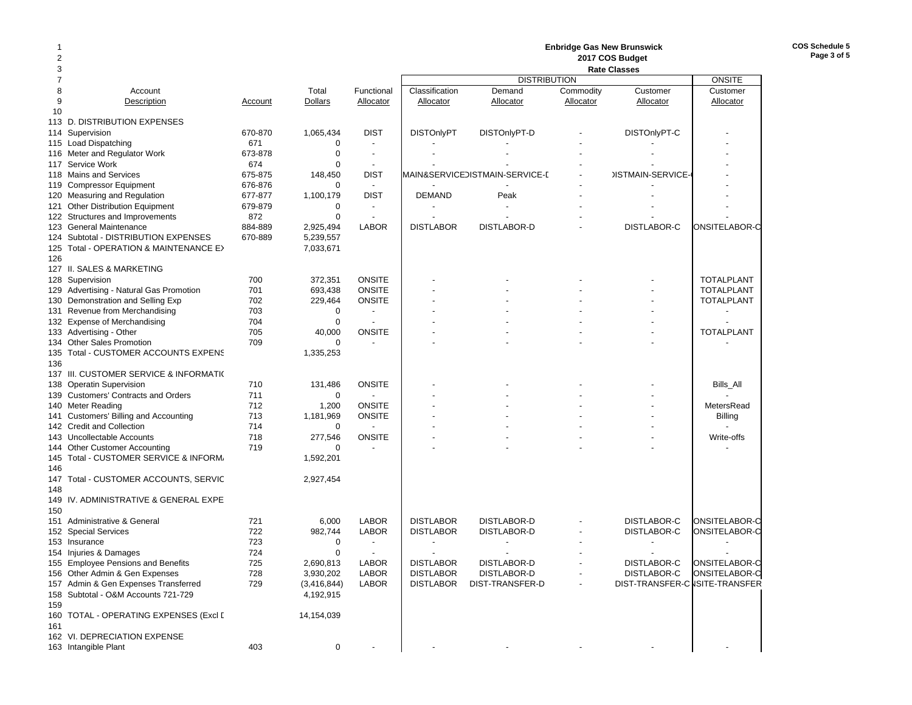### 2 **2017 COS Budget**  3 **Rate ClassesRate Classes** 7 DISTRIBUTION ONSITECustomer 8 Account Total Functional | Classification Demand Commodity Customer | Customer 9 Description Account Dollars Allocator Allocator Allocator Allocator Allocator Allocator 10113 D. DISTRIBUTION EXPENSES114 Supervision 670-870 1,065,434 DIST | DISTOnlyPT DISTOnlyPT-D DISTOnlyPT-C | -115 Load Dispatching the control of the control of the control of the control of the control of the control of the control of the control of the control of the control of the control of the control of the control of the co 116 Meter and Regulator Work 673-878 0 -117 Service Work **674** 0 -118 Mains and Services **675-875** 148,450 DIST MAIN&SERVICEDISTMAIN-SERVICE-C - DISTMAIN-SERVICE-119 Compressor Equipment 676-876 0 -120 Measuring and Regulation 677-877 1,100,179 DIST DEMAND Peak - - - 121 Other Distribution Equipment 679-879 0 - - - - - - 122 Structures and Improvements 872 0 - - - - - - 123 General Maintenance 884-889 2,925,494 LABOR DISTLABOR DISTLABOR-D - DISTLABOR-C ONSITELABOR-C 124 Subtotal - DISTRIBUTION EXPENSES 670-889 5,239,557 125 Total - OPERATION & MAINTENANCE EX 7,033,671 126127 II. SALES & MARKETING128 Supervision 700 372,351 ONSITE - TOTALPLANT 129 Advertising - Natural Gas Promotion and 701 693,438 ONSITE | TOTALPLANT | - TOTALPLANT 130 Demonstration and Selling Exp 702 229,464 ONSITE | Formulation Control of TOTALPLANT 131 Revenue from Merchandising 703 0 -132 Expense of Merchandising 704 704 0 133 Advertising - Other Christian Christian Christian Christian Motor Christian Advertising - Christian Total PLANT 134 Other Sales Promotion **709** 0 -135 Total - CUSTOMER ACCOUNTS EXPENS 1,335,253 136137 III. CUSTOMER SERVICE & INFORMATIO 138 Operatin Supervision **131,486 ONSITE** | The Constitution of the Constitution of the Constitution of the Const 139 Customers' Contracts and Orders 711 711 0 140 Meter Reading 712 1,200 ONSITE | - - MetersRead 141 Customers' Billing and Accounting 713 1,181,969 ONSITE | The Customers' Billing Customers' Billing and Accounting 713 1,181,969 ONSITE | The Customers' Billing and Accounting 713 1,181,969 ONSITE | The Customers' Billi 142 Credit and Collection **142 Credit and Collection 142 Credit and Collection** 143 Uncollectable Accounts 718 277,546 ONSITE - - - - Write-offs 144 Other Customer Accounting  $\overline{719}$   $\overline{0}$  -145 Total - CUSTOMER SERVICE & INFORM 1,592,201 146147 Total - CUSTOMER ACCOUNTS, SERVIC 2,927,454 148149 IV. ADMINISTRATIVE & GENERAL EXPE150151 Administrative & General 721 6,000 LABOR DISTLABOR DISTLABOR-D - DISTLABOR-C ONSITELABOR-C 152 Special Services 722 982,744 LABOR DISTLABOR DISTLABOR-D - DISTLABOR-C ONSITELABOR-C 153 Insurance 723 0 - - - - - -154 Injuries & Damages 724 0 - - - - - - 155 Employee Pensions and Benefits 725 2,690,813 LABOR DISTLABOR DISTLABOR-D - DISTLABOR-C ONSITELABOR-C 156 Other Admin & Gen Expenses 728 3,930,202 LABOR DISTLABOR DISTLABOR-D - DISTLABOR-C ONSITELABOR-C 157 Admin & Gen Expenses Transferred 729 (3,416,844) LABOR DISTLABOR DIST-TRANSFER-D - DIST-TRANSFER-CNSITE-TRANSFER 158 Subtotal - O&M Accounts 721-729 4,192,915 159160 TOTAL - OPERATING EXPENSES (Excl D 14,154,039 161162 VI. DEPRECIATION EXPENSE163 Intangible Plant 403 0 - - - - - -

1

**COS Schedule 5Page 3 of 5**

**Enbridge Gas New Brunswick**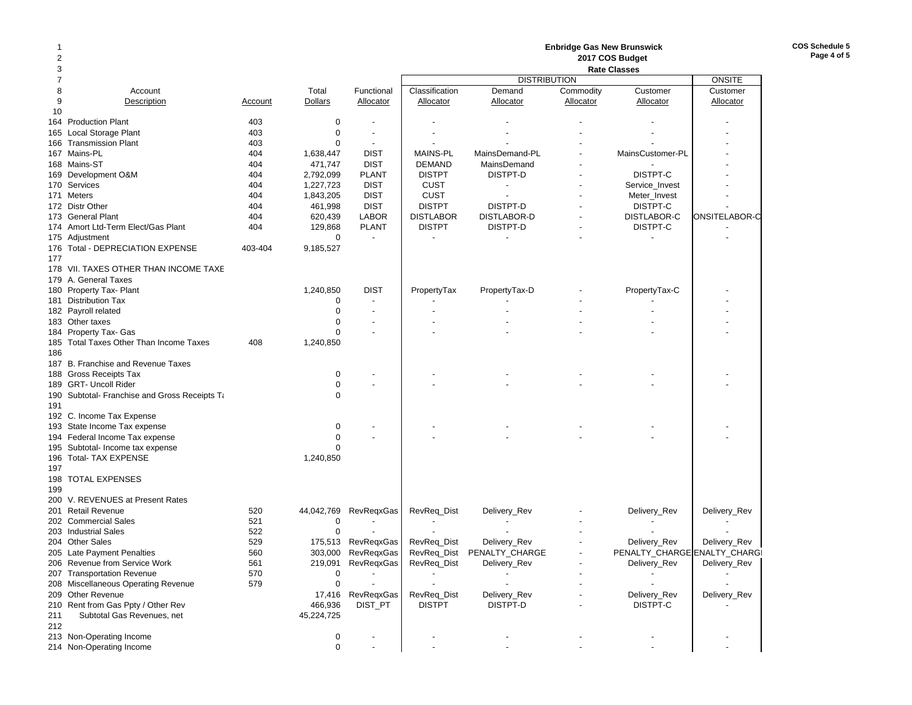|     |                                               |         |             |                          |                  |                          | <b>Enbridge Gas New Brunswick</b> |                              |               |
|-----|-----------------------------------------------|---------|-------------|--------------------------|------------------|--------------------------|-----------------------------------|------------------------------|---------------|
| 2   |                                               |         |             |                          |                  |                          |                                   | 2017 COS Budget              |               |
| 3   |                                               |         |             |                          |                  |                          |                                   | <b>Rate Classes</b>          |               |
| 7   |                                               |         |             |                          |                  | <b>DISTRIBUTION</b>      |                                   |                              | <b>ONSITE</b> |
| 8   | Account                                       |         | Total       | Functional               | Classification   | Demand                   | Commodity                         | Customer                     | Customer      |
| 9   | Description                                   | Account | Dollars     | Allocator                | <b>Allocator</b> | Allocator                | Allocator                         | Allocator                    | Allocator     |
| 10  |                                               |         |             |                          |                  |                          |                                   |                              |               |
|     | 164 Production Plant                          | 403     | 0           |                          |                  |                          |                                   |                              |               |
| 165 | Local Storage Plant                           | 403     | $\mathbf 0$ |                          |                  |                          |                                   |                              |               |
|     | 166 Transmission Plant                        | 403     | $\Omega$    | $\blacksquare$           |                  |                          |                                   |                              |               |
|     | 167 Mains-PL                                  | 404     | 1,638,447   | <b>DIST</b>              | <b>MAINS-PL</b>  | MainsDemand-PL           |                                   | MainsCustomer-PL             |               |
|     | 168 Mains-ST                                  | 404     | 471,747     | <b>DIST</b>              | <b>DEMAND</b>    | MainsDemand              |                                   |                              |               |
|     | 169 Development O&M                           | 404     | 2,792,099   | <b>PLANT</b>             | <b>DISTPT</b>    | DISTPT-D                 |                                   | DISTPT-C                     |               |
|     | 170 Services                                  | 404     | 1,227,723   | <b>DIST</b>              | <b>CUST</b>      | $\overline{\phantom{a}}$ |                                   | Service Invest               |               |
|     | 171 Meters                                    | 404     | 1,843,205   | <b>DIST</b>              | <b>CUST</b>      |                          |                                   | Meter_Invest                 |               |
|     | 172 Distr Other                               | 404     | 461,998     | <b>DIST</b>              | <b>DISTPT</b>    | DISTPT-D                 |                                   | DISTPT-C                     |               |
|     | 173 General Plant                             | 404     | 620,439     | <b>LABOR</b>             | <b>DISTLABOR</b> | DISTLABOR-D              |                                   | DISTLABOR-C                  | ONSITELABOR-C |
|     | 174 Amort Ltd-Term Elect/Gas Plant            | 404     | 129,868     | <b>PLANT</b>             | <b>DISTPT</b>    | DISTPT-D                 |                                   | DISTPT-C                     |               |
|     | 175 Adjustment                                |         | $\mathbf 0$ | $\blacksquare$           |                  |                          |                                   |                              |               |
|     | 176 Total - DEPRECIATION EXPENSE              | 403-404 | 9,185,527   |                          |                  |                          |                                   |                              |               |
| 177 |                                               |         |             |                          |                  |                          |                                   |                              |               |
|     | 178 VII. TAXES OTHER THAN INCOME TAXE         |         |             |                          |                  |                          |                                   |                              |               |
|     | 179 A. General Taxes                          |         |             |                          |                  |                          |                                   |                              |               |
|     | 180 Property Tax- Plant                       |         | 1,240,850   | <b>DIST</b>              | PropertyTax      | PropertyTax-D            |                                   | PropertyTax-C                |               |
|     | 181 Distribution Tax                          |         | $\Omega$    |                          |                  |                          |                                   |                              |               |
|     | 182 Payroll related                           |         | $\mathbf 0$ | $\overline{\phantom{a}}$ |                  |                          |                                   |                              |               |
|     | 183 Other taxes                               |         | 0           |                          |                  |                          |                                   |                              |               |
|     | 184 Property Tax- Gas                         |         | $\mathbf 0$ |                          |                  |                          |                                   |                              |               |
|     | 185 Total Taxes Other Than Income Taxes       | 408     | 1,240,850   |                          |                  |                          |                                   |                              |               |
| 186 |                                               |         |             |                          |                  |                          |                                   |                              |               |
|     | 187 B. Franchise and Revenue Taxes            |         |             |                          |                  |                          |                                   |                              |               |
|     | 188 Gross Receipts Tax                        |         | 0           |                          |                  |                          |                                   |                              |               |
|     | 189 GRT- Uncoll Rider                         |         | $\mathbf 0$ |                          |                  |                          |                                   |                              |               |
|     | 190 Subtotal- Franchise and Gross Receipts Ta |         | $\Omega$    |                          |                  |                          |                                   |                              |               |
| 191 |                                               |         |             |                          |                  |                          |                                   |                              |               |
|     | 192 C. Income Tax Expense                     |         |             |                          |                  |                          |                                   |                              |               |
|     | 193 State Income Tax expense                  |         | 0           |                          |                  |                          |                                   |                              |               |
|     | 194 Federal Income Tax expense                |         | $\mathbf 0$ |                          |                  |                          |                                   |                              |               |
|     | 195 Subtotal- Income tax expense              |         | $\Omega$    |                          |                  |                          |                                   |                              |               |
|     | 196 Total- TAX EXPENSE                        |         | 1,240,850   |                          |                  |                          |                                   |                              |               |
| 197 |                                               |         |             |                          |                  |                          |                                   |                              |               |
|     | 198 TOTAL EXPENSES                            |         |             |                          |                  |                          |                                   |                              |               |
| 199 |                                               |         |             |                          |                  |                          |                                   |                              |               |
|     | 200 V. REVENUES at Present Rates              |         |             |                          |                  |                          |                                   |                              |               |
|     | 201 Retail Revenue                            | 520     | 44,042,769  | <b>RevRegxGas</b>        | RevReq_Dist      | Delivery_Rev             |                                   | Delivery_Rev                 | Delivery_Rev  |
|     | 202 Commercial Sales                          | 521     | 0           |                          |                  |                          |                                   |                              |               |
|     | 203 Industrial Sales                          | 522     | $\Omega$    |                          |                  |                          |                                   |                              |               |
|     | 204 Other Sales                               | 529     | 175,513     | <b>RevRegxGas</b>        | RevReq_Dist      | Delivery_Rev             |                                   | Delivery Rev                 | Delivery_Rev  |
|     | 205 Late Payment Penalties                    | 560     | 303,000     | RevRegxGas               | RevReq_Dist      | PENALTY_CHARGE           |                                   | PENALTY_CHARGE ENALTY_CHARGI |               |
|     | 206 Revenue from Service Work                 | 561     | 219,091     | RevReqxGas               | RevReq_Dist      | Delivery_Rev             |                                   | Delivery_Rev                 | Delivery_Rev  |
|     | 207 Transportation Revenue                    | 570     | 0           |                          |                  |                          |                                   |                              |               |
|     | 208 Miscellaneous Operating Revenue           | 579     | 0           |                          |                  |                          |                                   |                              |               |
|     | 209 Other Revenue                             |         | 17,416      | RevReqxGas               | RevReq_Dist      | Delivery_Rev             |                                   | Delivery_Rev                 | Delivery_Rev  |
|     | 210 Rent from Gas Ppty / Other Rev            |         | 466,936     | DIST_PT                  | <b>DISTPT</b>    | DISTPT-D                 |                                   | DISTPT-C                     |               |
| 211 | Subtotal Gas Revenues, net                    |         | 45,224,725  |                          |                  |                          |                                   |                              |               |
| 212 |                                               |         |             |                          |                  |                          |                                   |                              |               |
|     | 213 Non-Operating Income                      |         | 0           |                          |                  |                          |                                   |                              |               |
|     | 214 Non-Operating Income                      |         | $\mathbf 0$ |                          |                  |                          |                                   |                              |               |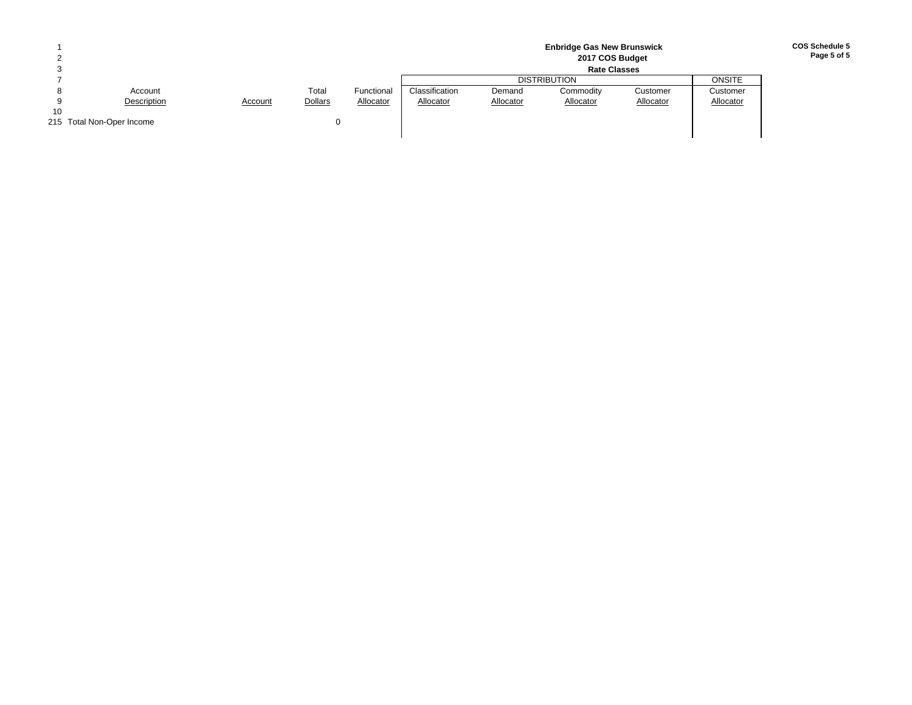|    |                           |         |                |            |                |           | <b>Enbridge Gas New Brunswick</b><br>2017 COS Budget |           |           |
|----|---------------------------|---------|----------------|------------|----------------|-----------|------------------------------------------------------|-----------|-----------|
|    |                           |         |                |            |                |           |                                                      |           |           |
|    |                           |         |                |            |                |           | <b>DISTRIBUTION</b>                                  |           | ONSITE    |
|    | Account                   |         | Total          | Functional | Classification | Demand    | Commodity                                            | Customer  | Customer  |
|    | Description               | Account | <b>Dollars</b> | Allocator  | Allocator      | Allocator | Allocator                                            | Allocator | Allocator |
| 10 |                           |         |                |            |                |           |                                                      |           |           |
|    | 215 Total Non-Oper Income |         |                |            |                |           |                                                      |           |           |
|    |                           |         |                |            |                |           |                                                      |           |           |